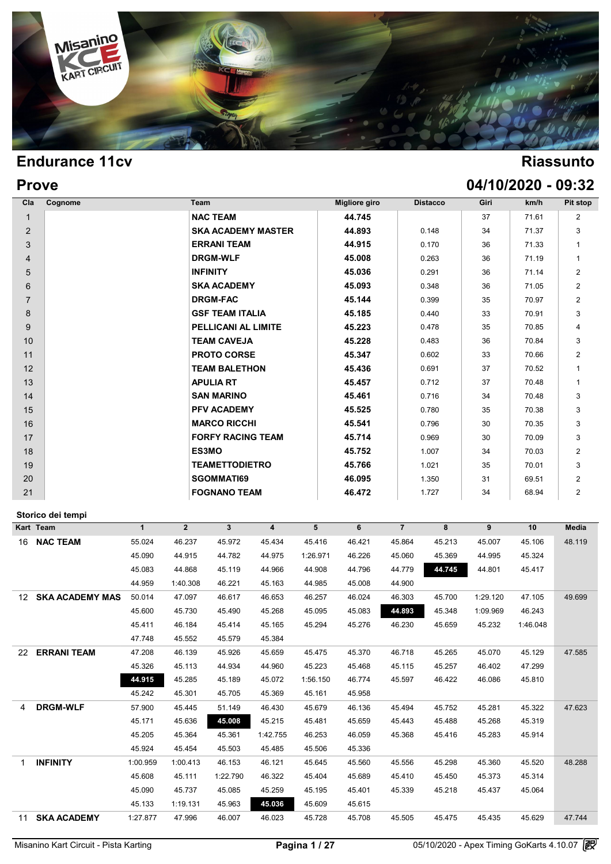

## **Prove 04/10/2020 - 09:32**

| Cla            | Cognome            |              | Team           |                           |                         |          | <b>Migliore giro</b> |                | <b>Distacco</b> | Giri             | km/h     | Pit stop       |
|----------------|--------------------|--------------|----------------|---------------------------|-------------------------|----------|----------------------|----------------|-----------------|------------------|----------|----------------|
| $\mathbf{1}$   |                    |              |                | <b>NAC TEAM</b>           |                         |          | 44.745               |                |                 | 37               | 71.61    | 2              |
| 2              |                    |              |                | <b>SKA ACADEMY MASTER</b> |                         |          | 44.893               |                | 0.148           | 34               | 71.37    | 3              |
| 3              |                    |              |                | <b>ERRANI TEAM</b>        |                         |          | 44.915               |                | 0.170           | 36               | 71.33    | 1              |
| 4              |                    |              |                | <b>DRGM-WLF</b>           |                         |          | 45.008               |                | 0.263           | 36               | 71.19    | $\mathbf{1}$   |
| 5              |                    |              |                | <b>INFINITY</b>           |                         |          | 45.036               |                | 0.291           | 36               | 71.14    | $\overline{2}$ |
| 6              |                    |              |                | <b>SKA ACADEMY</b>        |                         |          | 45.093               |                | 0.348           | 36               | 71.05    | $\overline{c}$ |
| $\overline{7}$ |                    |              |                | <b>DRGM-FAC</b>           |                         |          | 45.144               |                | 0.399           | 35               | 70.97    | $\overline{2}$ |
| 8              |                    |              |                | <b>GSF TEAM ITALIA</b>    |                         |          | 45.185               |                | 0.440           | 33               | 70.91    | 3              |
| 9              |                    |              |                | PELLICANI AL LIMITE       |                         |          | 45.223               |                | 0.478           | 35               | 70.85    | 4              |
| 10             |                    |              |                | <b>TEAM CAVEJA</b>        |                         |          | 45.228               |                | 0.483           | 36               | 70.84    | 3              |
| 11             |                    |              |                | <b>PROTO CORSE</b>        |                         |          | 45.347               |                | 0.602           | 33               | 70.66    | $\overline{2}$ |
| 12             |                    |              |                | <b>TEAM BALETHON</b>      |                         |          | 45.436               |                | 0.691           | 37               | 70.52    | 1              |
| 13             |                    |              |                | <b>APULIA RT</b>          |                         |          | 45.457               |                | 0.712           | 37               | 70.48    | $\mathbf{1}$   |
| 14             |                    |              |                | <b>SAN MARINO</b>         |                         |          | 45.461               |                | 0.716           | 34               | 70.48    | 3              |
| 15             |                    |              |                | PFV ACADEMY               |                         |          | 45.525               |                | 0.780           | 35               | 70.38    | 3              |
| 16             |                    |              |                | <b>MARCO RICCHI</b>       |                         |          | 45.541               |                | 0.796           | 30               | 70.35    | 3              |
| 17             |                    |              |                | <b>FORFY RACING TEAM</b>  |                         |          | 45.714               |                | 0.969           | 30               | 70.09    | 3              |
| 18             |                    |              |                | ES3MO                     |                         |          | 45.752               |                | 1.007           | 34               | 70.03    | 2              |
| 19             |                    |              |                | <b>TEAMETTODIETRO</b>     |                         |          | 45.766               |                | 1.021           | 35               | 70.01    | 3              |
| 20             |                    |              |                | <b>SGOMMATI69</b>         |                         |          | 46.095               |                | 1.350           | 31               | 69.51    | $\overline{2}$ |
| 21             |                    |              |                | <b>FOGNANO TEAM</b>       |                         |          | 46.472               |                | 1.727           | 34               | 68.94    | $\overline{2}$ |
|                |                    |              |                |                           |                         |          |                      |                |                 |                  |          |                |
|                | Storico dei tempi  |              |                |                           |                         |          |                      |                |                 |                  |          |                |
| Kart Team      |                    | $\mathbf{1}$ | $\overline{2}$ | $\mathbf{3}$              | $\overline{\mathbf{4}}$ | 5        | 6                    | $\overline{7}$ | 8               | $\boldsymbol{9}$ | 10       | Media          |
|                | 16 NAC TEAM        | 55.024       | 46.237         | 45.972                    | 45.434                  | 45.416   | 46.421               | 45.864         | 45.213          | 45.007           | 45.106   | 48.119         |
|                |                    | 45.090       | 44.915         | 44.782                    | 44.975                  | 1:26.971 | 46.226               | 45.060         | 45.369          | 44.995           | 45.324   |                |
|                |                    | 45.083       | 44.868         | 45.119                    | 44.966                  | 44.908   | 44.796               | 44.779         | 44.745          | 44.801           | 45.417   |                |
|                |                    | 44.959       | 1:40.308       | 46.221                    | 45.163                  | 44.985   | 45.008               | 44.900         |                 |                  |          |                |
|                | 12 SKA ACADEMY MAS | 50.014       | 47.097         | 46.617                    | 46.653                  | 46.257   | 46.024               | 46.303         | 45.700          | 1:29.120         | 47.105   | 49.699         |
|                |                    | 45.600       | 45.730         | 45.490                    | 45.268                  | 45.095   | 45.083               | 44.893         | 45.348          | 1:09.969         | 46.243   |                |
|                |                    | 45.411       | 46.184         | 45.414                    | 45.165                  | 45.294   | 45.276               | 46.230         | 45.659          | 45.232           | 1:46.048 |                |
|                |                    | 47.748       | 45.552         | 45.579                    | 45.384                  |          |                      |                |                 |                  |          |                |
|                | 22 ERRANI TEAM     | 47.208       | 46.139         | 45.926                    | 45.659                  | 45.475   | 45.370               | 46.718         | 45.265          | 45.070           | 45.129   | 47.585         |
|                |                    | 45.326       | 45.113         | 44.934                    | 44.960                  | 45.223   | 45.468               | 45.115         | 45.257          | 46.402           | 47.299   |                |
|                |                    | 44.915       | 45.285         | 45.189                    | 45.072                  | 1:56.150 | 46.774               | 45.597         | 46.422          | 46.086           | 45.810   |                |
|                |                    | 45.242       | 45.301         | 45.705                    | 45.369                  | 45.161   | 45.958               |                |                 |                  |          |                |
| 4              | <b>DRGM-WLF</b>    | 57.900       | 45.445         | 51.149                    | 46.430                  | 45.679   | 46.136               | 45.494         | 45.752          | 45.281           | 45.322   | 47.623         |
|                |                    | 45.171       | 45.636         | 45.008                    | 45.215                  | 45.481   | 45.659               | 45.443         | 45.488          | 45.268           | 45.319   |                |
|                |                    | 45.205       | 45.364         | 45.361                    | 1:42.755                | 46.253   | 46.059               | 45.368         | 45.416          | 45.283           | 45.914   |                |
|                |                    | 45.924       | 45.454         | 45.503                    | 45.485                  | 45.506   | 45.336               |                |                 |                  |          |                |
| $\mathbf{1}$   | <b>INFINITY</b>    | 1:00.959     | 1:00.413       | 46.153                    | 46.121                  | 45.645   | 45.560               | 45.556         | 45.298          | 45.360           | 45.520   | 48.288         |
|                |                    | 45.608       | 45.111         | 1:22.790                  | 46.322                  | 45.404   | 45.689               | 45.410         | 45.450          | 45.373           | 45.314   |                |
|                |                    |              |                |                           |                         |          |                      |                |                 |                  |          |                |
|                |                    | 45.090       | 45.737         | 45.085                    | 45.259                  | 45.195   | 45.401               | 45.339         | 45.218          | 45.437           | 45.064   |                |
|                |                    | 45.133       | 1:19.131       | 45.963                    | 45.036                  | 45.609   | 45.615               |                |                 |                  |          |                |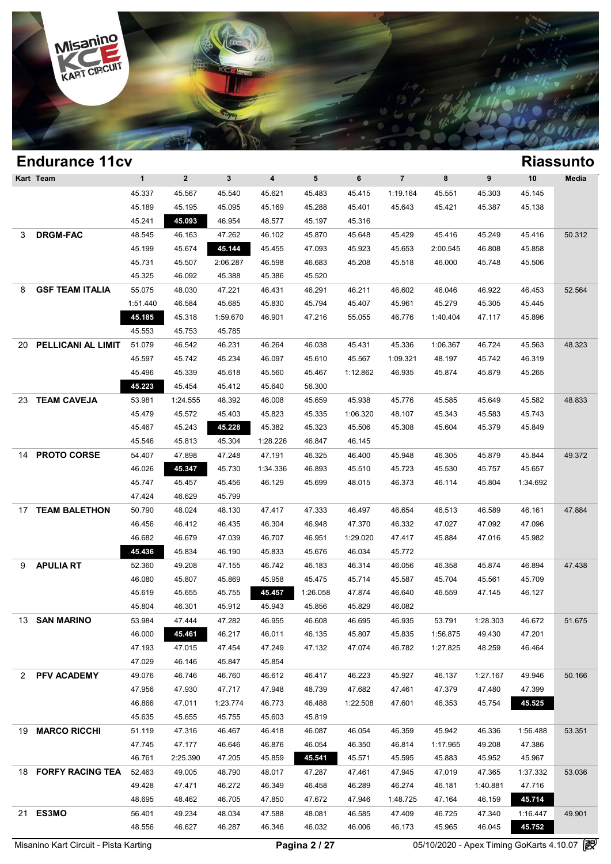

### **Endurance 11cv Riassunto Kart Team 1 2 3 4 5 6 7 8 9 10 Media Riassun**<br>
45.337 45.567 45.540 45.621 45.483 45.415 1:19.164 45.551 45.303 45.145<br>
45.180 45.185 45.185 45.180 45.288 45.421 45.642 45.483 45.145 45.303 45.145 1 2 3 4 5 6 7 8 9 10 Med<br>45.337 45.567 45.540 45.621 45.483 45.415 1:19.164 45.551 45.303 45.145<br>45.189 45.195 45.095 45.169 45.288 45.401 45.643 45.421 45.387 45.138<br>45.241 45.992 46.054 48.577 45.107 45.316 1 2 3 4 5 6 7<br>45.337 45.567 45.540 45.621 45.483 45.415 1:19.1<br>45.189 45.195 45.095 45.169 45.288 45.401 45.64<br>45.241 45.093 46.954 48.577 45.197 45.316 3 **DRGM-FAC** 48.545 46.163 47.262 46.102 45.870 45.648 45.429 45.416 45.249 45.416 50.312 45.189 45.195 45.095 45.169 45.288 45.401 45.643 45.421 45.387 45.138<br>45.241 **45.093** 46.954 48.577 45.197 45.316<br>48.545 46.163 47.262 46.102 45.870 45.648 45.429 45.416 45.249 45.416 50.3<br>45.199 45.674 45.144 45.455 47.09 45.241 45.093 46.954 48.577 45.197 45.316<br>48.545 46.163 47.262 46.102 45.870 45.648 45.429 45.416 45.249 45.416 50.3<br>45.199 45.674 45.144 45.455 47.093 45.923 45.653 2:00.545 46.808 45.858<br>45.731 45.507 2:06.287 46.598 46.6 46.545 46.163 47.262 46.102 45.870 45.6<br>45.199 45.674 45.144 45.455 47.093 45.9<br>45.731 45.507 2:06.287 46.598 46.683 45.20<br>45.325 46.092 45.388 45.386 45.520 8 **GSF TEAM ITALIA** 55.075 48.030 47.221 46.431 46.291 46.211 46.602 46.046 46.922 46.453 52.564 45.731 45.507 2:06.287 46.598 46.683 45.208 45.518 46.000 45.748 45.506<br>45.325 46.092 45.388 45.386 45.520<br>55.075 48.030 47.221 46.431 46.291 46.211 46.602 46.046 46.922 46.453 52.5<br>1:51.440 46.584 45.685 45.830 45.794 45. 45.325 46.092 45.388 45.386 45.520<br>
55.075 48.030 47.221 46.431 46.291 46.211 46.602 46.046 46.922 46.453 52.5<br>
51.440 46.584 45.685 45.830 45.794 45.407 45.961 45.279 45.305 45.445<br>
45.185 45.318 1:59.670 46.901 47.216 55 48.030 47.221 46.4;<br>
45.440 46.584 45.685 45.8;<br>
45.185 45.318 1:59.670 46.9<br>
45.553 45.753 45.785 20 **PELLICANI AL LIMITE** 51.079 46.542 46.231 46.264 46.038 45.431 45.336 1:06.367 46.724 45.563 48.323 45.185 45.318 1:59.670 46.901 47.216 55.055 46.776 1:40.404 47.117 45.896<br>45.553 45.753 45.785<br>51.079 46.542 46.231 46.264 46.038 45.431 45.336 1:06.367 46.724 45.563 48.3:<br>45.597 45.742 45.234 46.097 45.610 45.567 1:09.321 45.553 45.753 45.785<br>
51.079 46.542 46.231 46.264 46.038 45.431 45.336 1:06.367 46.724 45.563 48.3;<br>
45.597 45.742 45.234 46.097 45.610 45.567 1:09.321 48.197 45.742 46.319<br>
45.496 45.339 45.618 45.560 45.467 1:12.862 46.9 46.542 46.231 46.264 46.038 45.43<br>45.597 45.742 45.234 46.097 45.610 45.5<br>45.496 45.339 45.618 45.560 45.467 1:12.8<br>45.223 45.454 45.412 45.640 56.300 23 **TEAM CAVEJA** 53.981 1:24.555 48.392 46.008 45.659 45.938 45.776 45.585 45.649 45.582 48.833 45.496 45.339 45.618 45.560 45.467 1:12.862 46.935 45.874 45.879 45.265<br>45.223 45.454 45.412 45.640 56.300<br>53.981 1:24.555 48.392 46.008 45.659 45.938 45.776 45.585 45.649 45.582 48.8<br>45.479 45.572 45.403 45.823 45.335 1:06 45.223 45.454 45.412 45.640 56.300<br>
53.981 1:24.555 48.392 46.008 45.659 45.938 45.776 45.585 45.649 45.582 48.8<br>
45.479 45.572 45.403 45.823 45.335 1:06.320 48.107 45.343 45.583 45.743<br>
45.467 45.243 45.228 45.382 45.323 45.981 1:24.555 48.392 46.008 45.659 45.938 45.7<br>45.479 45.572 45.403 45.823 45.335 1:06.320 48.1<br>45.467 45.243 45.304 45.382 45.323 45.506 45.31<br>45.546 45.813 45.304 1:28.226 46.847 46.145 14 **PROTO CORSE** 54.407 47.898 47.248 47.191 46.325 46.400 45.948 46.305 45.879 45.844 49.372 45.467 45.243 45.228 45.382 45.323 45.506 45.308 45.604 45.379 45.849<br>45.546 45.813 45.304 1:28.226 46.847 46.145<br>54.407 47.898 47.248 47.191 46.325 46.400 45.948 46.305 45.879 45.844 49.3<br>46.026 45.347 45.730 1:34.336 46. 45.546 45.813 45.304 1:28.226 46.847 46.145<br>54.407 47.898 47.248 47.191 46.325 46.400 45.948 46.305 45.879 45.844 49.3<br>46.026 45.747 45.457 45.456 46.129 45.699 48.015 46.373 46.114 45.804 1:34.692<br>47.434 46.620 45.790 47.424 46.026 47.424 46.629 47.424 46.629 48.799 48.799 48.799 48.799 48.799 48.799 48.799 48.799 48.799 48.799 48.799 48.799 48.799 48.799 48.799 48.799 48.799 48.799 48.799 48.799 48.799 48.799 48.799 48.799 48.799 48.79 17 **TEAM BALETHON** 50.790 48.024 48.130 47.417 47.333 46.497 46.654 46.513 46.589 46.161 47.884 46.747 45.457 45.456 46.129 45.699 48.015 46.373 46.114 45.804 1:34.692<br>47.424 46.629 45.799 48.024 48.130 47.417 47.333 46.497 46.654 46.513 46.589 46.161 47.8<br>46.456 46.412 46.435 46.304 46.948 47.370 46.332 47.027 47.09 47.424 46.629 45.799<br>
50.790 48.024 48.130 47.417 47.333 46.497 46.654 46.513 46.589 46.161 47.8<br>
46.456 46.412 46.435 46.304 46.948 47.370 46.332 47.027 47.092 47.096<br>
46.682 46.679 47.039 46.707 46.951 1:29.020 47.417 45 46.456 46.412 46.435 46.304 46.948 47.370 46.654 46.54<br>46.456 46.412 46.435 46.304 46.948 47.370 46.332 47.03<br>46.682 46.679 47.039 46.707 46.951 1:29.020 47.417 45.88<br>45.436 45.834 46.190 45.833 45.676 46.034 45.772 9 **APULIA RT** 52.360 49.208 47.155 46.742 46.183 46.314 46.056 46.358 45.874 46.894 47.438 46.682 46.679 47.039 46.707 46.951 1:29.020 47.417 45.884 47.016 45.982<br>45.436 45.834 46.190 45.833 45.676 46.034 45.772<br>52.360 49.208 47.155 46.742 46.183 46.314 46.056 46.358 45.874 46.894 47.41<br>46.080 45.807 45.869 45.9 45.436 45.834 46.190 45.833 45.676 46.034 45.772<br>
52.360 49.208 47.155 46.742 46.183 46.314 46.056 46.358 45.874 46.894 47.4;<br>
46.080 45.807 45.869 45.958 45.475 45.714 45.587 45.704 45.561 45.709<br>
45.619 45.655 45.755 45. 46.080 49.208 47.155 46.742 46.183 46.314 46.056 46.31<br>46.080 45.807 45.869 45.958 45.475 45.714 45.587 45.71<br>45.619 45.655 45.755 45.457 1:26.058 47.874 46.640 46.51<br>45.804 46.301 45.912 45.943 45.856 45.829 46.082 13 **SAN MARINO** 53.984 47.444 47.282 46.955 46.608 46.695 46.935 53.791 1:28.303 46.672 51.675 45.619 45.655 45.755 45.457 1:26.058 47.874 46.640 46.559 47.145 46.127<br>45.804 46.301 45.912 45.943 45.856 45.829 46.082<br>53.984 47.444 47.282 46.955 46.608 46.695 46.935 53.791 1:28.303 46.672 51.6 46.804 46.301 45.912 45.943 45.856 45.829 46.082<br>
53.984 47.444 47.282 46.955 46.608 46.695 46.935 53.791 1:28.303 46.672 51.6<br>
46.000 45.451 46.217 46.011 46.135 45.807 45.835 1:56.875 49.430 47.201<br>
47.193 47.015 47.454 47.444 47.282 46.955 46.61<br>46.000 45.461 46.217 46.011 46.1;<br>47.193 47.015 47.454 47.249 47.1;<br>47.029 46.146 45.847 45.854 2 **PFV ACADEMY** 49.076 46.746 46.760 46.612 46.417 46.223 45.927 46.137 1:27.167 49.946 50.166 47.193 47.015 47.454 47.249 47.132 47.074 46.782 1:27.825 48.259 46.464<br>47.029 46.146 45.847 45.854<br>49.076 46.746 46.760 46.612 46.417 46.223 45.927 46.137 1:27.167 49.946 50.1<br>47.956 47.930 47.717 47.948 48.739 47.682 47. 47.029 46.146 45.847 45.854<br>49.076 46.746 46.760 46.612 46.417 46.223 45.927 46.137 1:27.167 49.946 50<br>47.956 47.930 47.717 47.948 48.739 47.682 47.461 47.379 47.480 47.399<br>46.866 47.011 1:23.774 46.773 46.488 1:22.508 47. 46.746 46.760 46.612 46.417 46.22.47.956 47.930 47.717 47.948 48.739 47.61<br>46.866 47.011 1:23.774 46.773 46.488 1:22.4<br>45.635 45.655 45.755 45.603 45.819 19 **MARCO RICCHI** 51.119 47.316 46.467 46.418 46.087 46.054 46.359 45.942 46.336 1:56.488 53.351 46.866 47.011 1:23.774 46.773 46.488 1:22.508 47.601 46.353 45.754 45.525<br>45.635 45.655 45.755 45.603 45.819<br>51.119 47.316 46.467 46.418 46.087 46.054 46.359 45.942 46.336 1:56.488 53.3<br>47.745 47.177 46.646 46.876 46.054 46 45.635 45.655 45.755 45.603 45.819<br>
51.119 47.316 46.467 46.418 46.087 46.054 46.359 45.942 46.336 1:56.488 53.3<br>
47.745 47.177 46.646 46.876 46.054 46.350 46.814 1:17.965 49.208 47.386<br>
46.761 2:25.390 47.205 45.859 45.54 18 **FORFY RACING TEAM** 52.463 49.005 48.790 48.017 47.287 47.461 47.945 47.019 47.365 1:37.332 53.036 47.745 47.177 46.646 46.876 46.054 46.350 46.814 1:17.965 49.208 47.386<br>46.761 2:25.390 47.205 45.859 45.541 45.571 45.595 45.883 45.952 45.967<br>52.463 49.005 48.790 48.017 47.287 47.461 47.945 47.019 47.365 1:37.332 53.0<br>4 46.761 2:25.390 47.205 45.859 45.541 45.571 45.595 45.883 45.952 45.967<br>52.463 49.005 48.790 48.017 47.287 47.461 47.945 47.019 47.365 1:37.332 53<br>49.428 47.471 46.272 46.349 46.458 46.289 46.274 46.181 1:40.881 47.716<br>48. 21 **ES3MO** 56.401 49.234 48.034 47.588 48.081 46.585 47.409 46.725 47.340 1:16.447 49.901 48.428 47.471 46.272 46.349 46.458 46.289 46.274 46.181 1:40.881 47.716<br>48.695 48.462 46.705 47.850 47.672 47.946 1:48.725 47.164 46.159 45.741<br>56.401 49.234 48.034 47.588 48.081 46.585 47.409 46.725 47.340 1:16.44<br>48.556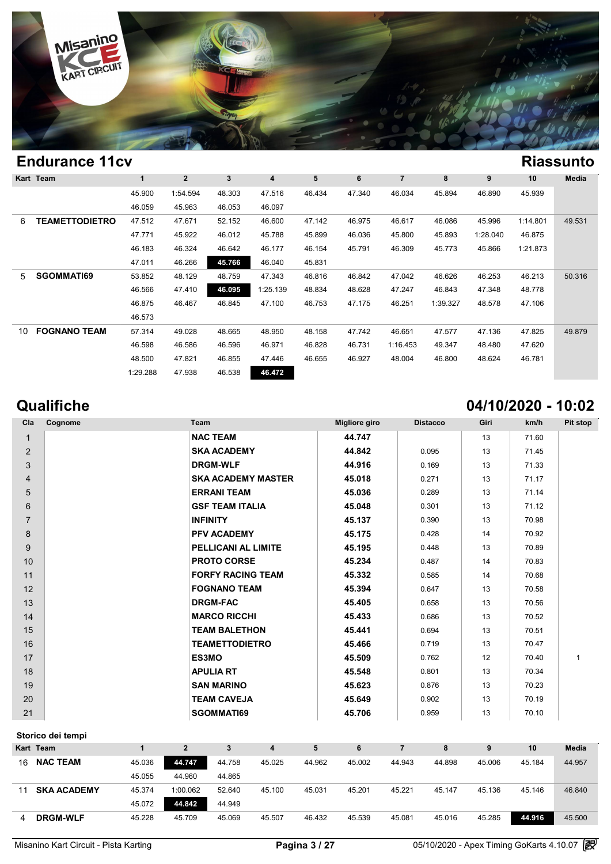

|    | <b>Endurance 11cv</b> |          |                |        |          |        |        |                |          |          |          | <b>Riassunto</b> |
|----|-----------------------|----------|----------------|--------|----------|--------|--------|----------------|----------|----------|----------|------------------|
|    | Kart Team             | 1        | $\overline{2}$ | 3      | 4        | 5      | 6      | $\overline{7}$ | 8        | 9        | 10       | Media            |
|    |                       | 45.900   | 1:54.594       | 48.303 | 47.516   | 46.434 | 47.340 | 46.034         | 45.894   | 46.890   | 45.939   |                  |
|    |                       | 46.059   | 45.963         | 46.053 | 46.097   |        |        |                |          |          |          |                  |
| 6  | TEAMETTODIETRO        | 47.512   | 47.671         | 52.152 | 46.600   | 47.142 | 46.975 | 46.617         | 46.086   | 45.996   | 1:14.801 | 49.531           |
|    |                       | 47.771   | 45.922         | 46.012 | 45.788   | 45.899 | 46.036 | 45.800         | 45.893   | 1:28.040 | 46.875   |                  |
|    |                       | 46.183   | 46.324         | 46.642 | 46.177   | 46.154 | 45.791 | 46.309         | 45.773   | 45.866   | 1:21.873 |                  |
|    |                       | 47.011   | 46.266         | 45.766 | 46.040   | 45.831 |        |                |          |          |          |                  |
| 5  | SGOMMATI69            | 53.852   | 48.129         | 48.759 | 47.343   | 46.816 | 46.842 | 47.042         | 46.626   | 46.253   | 46.213   | 50.316           |
|    |                       | 46.566   | 47.410         | 46.095 | 1:25.139 | 48.834 | 48.628 | 47.247         | 46.843   | 47.348   | 48.778   |                  |
|    |                       | 46.875   | 46.467         | 46.845 | 47.100   | 46.753 | 47.175 | 46.251         | 1:39.327 | 48.578   | 47.106   |                  |
|    |                       | 46.573   |                |        |          |        |        |                |          |          |          |                  |
| 10 | <b>FOGNANO TEAM</b>   | 57.314   | 49.028         | 48.665 | 48.950   | 48.158 | 47.742 | 46.651         | 47.577   | 47.136   | 47.825   | 49.879           |
|    |                       | 46.598   | 46.586         | 46.596 | 46.971   | 46.828 | 46.731 | 1:16.453       | 49.347   | 48.480   | 47.620   |                  |
|    |                       | 48.500   | 47.821         | 46.855 | 47.446   | 46.655 | 46.927 | 48.004         | 46.800   | 48.624   | 46.781   |                  |
|    |                       | 1:29.288 | 47.938         | 46.538 | 46.472   |        |        |                |          |          |          |                  |

# **Qualifiche 04/10/2020 - 10:02**

| Cla            | Cognome | Team                      | <b>Migliore giro</b> | <b>Distacco</b> | Giri | km/h  | <b>Pit stop</b> |
|----------------|---------|---------------------------|----------------------|-----------------|------|-------|-----------------|
| $\mathbf{1}$   |         | <b>NAC TEAM</b>           | 44.747               |                 | 13   | 71.60 |                 |
| 2              |         | <b>SKA ACADEMY</b>        | 44.842               | 0.095           | 13   | 71.45 |                 |
| 3              |         | <b>DRGM-WLF</b>           | 44.916               | 0.169           | 13   | 71.33 |                 |
| $\overline{4}$ |         | <b>SKA ACADEMY MASTER</b> | 45.018               | 0.271           | 13   | 71.17 |                 |
| 5              |         | <b>ERRANI TEAM</b>        | 45.036               | 0.289           | 13   | 71.14 |                 |
| 6              |         | <b>GSF TEAM ITALIA</b>    | 45.048               | 0.301           | 13   | 71.12 |                 |
| $\overline{7}$ |         | <b>INFINITY</b>           | 45.137               | 0.390           | 13   | 70.98 |                 |
| 8              |         | <b>PFV ACADEMY</b>        | 45.175               | 0.428           | 14   | 70.92 |                 |
| 9              |         | PELLICANI AL LIMITE       | 45.195               | 0.448           | 13   | 70.89 |                 |
| 10             |         | <b>PROTO CORSE</b>        | 45.234               | 0.487           | 14   | 70.83 |                 |
| 11             |         | <b>FORFY RACING TEAM</b>  | 45.332               | 0.585           | 14   | 70.68 |                 |
| 12             |         | <b>FOGNANO TEAM</b>       | 45.394               | 0.647           | 13   | 70.58 |                 |
| 13             |         | <b>DRGM-FAC</b>           | 45.405               | 0.658           | 13   | 70.56 |                 |
| 14             |         | <b>MARCO RICCHI</b>       | 45.433               | 0.686           | 13   | 70.52 |                 |
| 15             |         | <b>TEAM BALETHON</b>      | 45.441               | 0.694           | 13   | 70.51 |                 |
| 16             |         | <b>TEAMETTODIETRO</b>     | 45.466               | 0.719           | 13   | 70.47 |                 |
| 17             |         | <b>ES3MO</b>              | 45.509               | 0.762           | 12   | 70.40 | $\mathbf{1}$    |
| 18             |         | <b>APULIA RT</b>          | 45.548               | 0.801           | 13   | 70.34 |                 |
| 19             |         | <b>SAN MARINO</b>         | 45.623               | 0.876           | 13   | 70.23 |                 |
| 20             |         | <b>TEAM CAVEJA</b>        | 45.649               | 0.902           | 13   | 70.19 |                 |
| 21             |         | SGOMMATI69                | 45.706               | 0.959           | 13   | 70.10 |                 |

### **Storico dei tempi**

|    | Storico dei tempi  |        |          |        |        |        |        |        |        |        |        |              |
|----|--------------------|--------|----------|--------|--------|--------|--------|--------|--------|--------|--------|--------------|
|    | Kart Team          |        |          |        |        | 5      | 6      |        | 8      |        | 10     | <b>Media</b> |
| 16 | <b>NAC TEAM</b>    | 45.036 | 44.747   | 44.758 | 45.025 | 44.962 | 45.002 | 44.943 | 44.898 | 45.006 | 45.184 | 44.957       |
|    |                    | 45.055 | 44.960   | 44.865 |        |        |        |        |        |        |        |              |
| 11 | <b>SKA ACADEMY</b> | 45.374 | 1:00.062 | 52.640 | 45.100 | 45.031 | 45.201 | 45.221 | 45.147 | 45.136 | 45.146 | 46.840       |
|    |                    | 45.072 | 44.842   | 44.949 |        |        |        |        |        |        |        |              |
| 4  | <b>DRGM-WLF</b>    | 45.228 | 45.709   | 45.069 | 45.507 | 46.432 | 45.539 | 45.081 | 45.016 | 45.285 | 44.916 | 45,500       |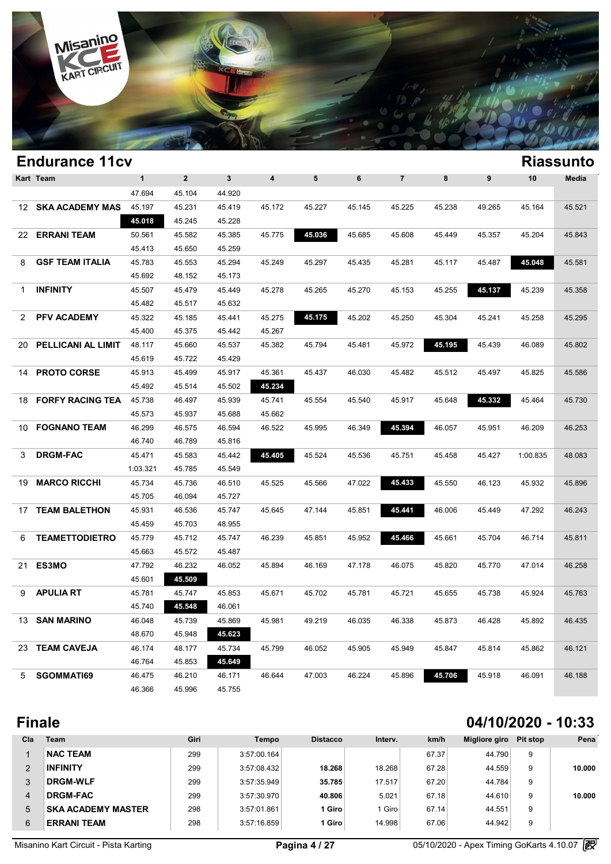

|     | <b>Endurance 11cv</b>   |              |                |        |                         |        |        |                |        |        |          | <b>Riassunto</b> |
|-----|-------------------------|--------------|----------------|--------|-------------------------|--------|--------|----------------|--------|--------|----------|------------------|
|     | Kart Team               | $\mathbf{1}$ | $\overline{2}$ | 3      | $\overline{\mathbf{4}}$ | 5      | 6      | $\overline{7}$ | 8      | 9      | 10       | Media            |
|     |                         | 47.694       | 45.104         | 44.920 |                         |        |        |                |        |        |          |                  |
| 12  | <b>SKA ACADEMY MAS</b>  | 45.197       | 45.231         | 45.419 | 45.172                  | 45.227 | 45.145 | 45.225         | 45.238 | 49.265 | 45.164   | 45.521           |
|     |                         | 45.018       | 45.245         | 45.228 |                         |        |        |                |        |        |          |                  |
| 22. | <b>ERRANI TEAM</b>      | 50.561       | 45.582         | 45.385 | 45.775                  | 45.036 | 45.685 | 45.608         | 45.449 | 45.357 | 45.204   | 45.843           |
|     |                         | 45.413       | 45.650         | 45.259 |                         |        |        |                |        |        |          |                  |
| 8   | <b>GSF TEAM ITALIA</b>  | 45.783       | 45.553         | 45.294 | 45.249                  | 45.297 | 45.435 | 45.281         | 45.117 | 45.487 | 45.048   | 45.581           |
|     |                         | 45.692       | 48.152         | 45.173 |                         |        |        |                |        |        |          |                  |
| 1.  | <b>INFINITY</b>         | 45.507       | 45.479         | 45.449 | 45.278                  | 45.265 | 45.270 | 45.153         | 45.255 | 45.137 | 45.239   | 45.358           |
|     |                         | 45.482       | 45.517         | 45.632 |                         |        |        |                |        |        |          |                  |
| 2   | <b>PFV ACADEMY</b>      | 45.322       | 45.185         | 45.441 | 45.275                  | 45.175 | 45.202 | 45.250         | 45.304 | 45.241 | 45.258   | 45.295           |
|     |                         | 45.400       | 45.375         | 45.442 | 45.267                  |        |        |                |        |        |          |                  |
| 20  | PELLICANI AL LIMIT      | 48.117       | 45.660         | 45.537 | 45.382                  | 45.794 | 45.481 | 45.972         | 45.195 | 45.439 | 46.089   | 45.802           |
|     |                         | 45.619       | 45.722         | 45.429 |                         |        |        |                |        |        |          |                  |
| 14  | <b>PROTO CORSE</b>      | 45.913       | 45.499         | 45.917 | 45.361                  | 45.437 | 46.030 | 45.482         | 45.512 | 45.497 | 45.825   | 45.586           |
|     |                         | 45.492       | 45.514         | 45.502 | 45.234                  |        |        |                |        |        |          |                  |
| 18  | <b>FORFY RACING TEA</b> | 45.738       | 46.497         | 45.939 | 45.741                  | 45.554 | 45.540 | 45.917         | 45.648 | 45.332 | 45.464   | 45.730           |
|     |                         | 45.573       | 45.937         | 45.688 | 45.662                  |        |        |                |        |        |          |                  |
| 10  | <b>FOGNANO TEAM</b>     | 46.299       | 46.575         | 46.594 | 46.522                  | 45.995 | 46.349 | 45.394         | 46.057 | 45.951 | 46.209   | 46.253           |
|     |                         | 46.740       | 46.789         | 45.816 |                         |        |        |                |        |        |          |                  |
| 3   | <b>DRGM-FAC</b>         | 45.471       | 45.583         | 45.442 | 45.405                  | 45.524 | 45.536 | 45.751         | 45.458 | 45.427 | 1:00.835 | 48.083           |
|     |                         | 1:03.321     | 45.785         | 45.549 |                         |        |        |                |        |        |          |                  |
| 19  | <b>MARCO RICCHI</b>     | 45.734       | 45.736         | 46.510 | 45.525                  | 45.566 | 47.022 | 45.433         | 45.550 | 46.123 | 45.932   | 45.896           |
|     |                         | 45.705       | 46.094         | 45.727 |                         |        |        |                |        |        |          |                  |
| 17  | <b>TEAM BALETHON</b>    | 45.931       | 46.536         | 45.747 | 45.645                  | 47.144 | 45.851 | 45.441         | 46.006 | 45.449 | 47.292   | 46.243           |
|     |                         | 45.459       | 45.703         | 48.955 |                         |        |        |                |        |        |          |                  |
| 6   | <b>TEAMETTODIETRO</b>   | 45.779       | 45.712         | 45.747 | 46.239                  | 45.851 | 45.952 | 45.466         | 45.661 | 45.704 | 46.714   | 45.811           |
|     |                         | 45.663       | 45.572         | 45.487 |                         |        |        |                |        |        |          |                  |
| 21  | ES3MO                   | 47.792       | 46.232         | 46.052 | 45.894                  | 46.169 | 47.178 | 46.075         | 45.820 | 45.770 | 47.014   | 46.258           |
|     |                         | 45.601       | 45.509         |        |                         |        |        |                |        |        |          |                  |
| 9   | <b>APULIA RT</b>        | 45.781       | 45.747         | 45.853 | 45.671                  | 45.702 | 45.781 | 45.721         | 45.655 | 45.738 | 45.924   | 45.763           |
|     |                         | 45.740       | 45.548         | 46.061 |                         |        |        |                |        |        |          |                  |
|     | 13 <b>SAN MARINO</b>    | 46.048       | 45.739         | 45.869 | 45.981                  | 49.219 | 46.035 | 46.338         | 45.873 | 46.428 | 45.892   | 46.435           |
|     |                         | 48.670       | 45.948         | 45.623 |                         |        |        |                |        |        |          |                  |
|     | 23 TEAM CAVEJA          | 46.174       | 48.177         | 45.734 | 45.799                  | 46.052 | 45.905 | 45.949         | 45.847 | 45.814 | 45.862   | 46.121           |
|     |                         | 46.764       | 45.853         | 45.649 |                         |        |        |                |        |        |          |                  |
| 5   | SGOMMATI69              | 46.475       | 46.210         | 46.171 | 46.644                  | 47.003 | 46.224 | 45.896         | 45.706 | 45.918 | 46.091   | 46.188           |
|     |                         | 46.366       | 45.996         | 45.755 |                         |        |        |                |        |        |          |                  |
|     |                         |              |                |        |                         |        |        |                |        |        |          |                  |

## **Finale 04/10/2020 - 10:33**

| Cla | <b>Team</b>               | Giri | Tempo       | <b>Distacco</b> | Interv. | km/h  | Migliore giro | Pit stop | Pena   |
|-----|---------------------------|------|-------------|-----------------|---------|-------|---------------|----------|--------|
|     | <b>NAC TEAM</b>           | 299  | 3:57:00.164 |                 |         | 67.37 | 44.790        | 9        |        |
| 2   | <b>INFINITY</b>           | 299  | 3:57:08.432 | 18.268          | 18.268  | 67.28 | 44.559        | 9        | 10.000 |
| 3   | <b>DRGM-WLF</b>           | 299  | 3:57:35.949 | 35.785          | 17.517  | 67.20 | 44.784        | 9        |        |
| 4   | <b>DRGM-FAC</b>           | 299  | 3:57:30.970 | 40.806          | 5.021   | 67.18 | 44.610        | 9        | 10.000 |
| 5   | <b>SKA ACADEMY MASTER</b> | 298  | 3:57:01.861 | 1 Giro          | I Giro  | 67.14 | 44.551        | 9        |        |
| 6   | <b>ERRANI TEAM</b>        | 298  | 3:57:16.859 | 1 Giro          | 14.998  | 67.06 | 44.942        | 9        |        |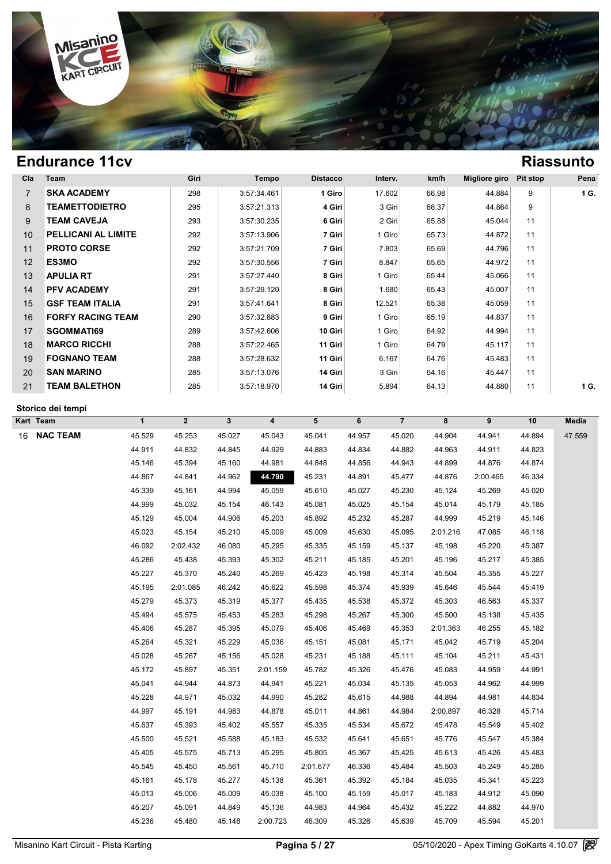

| Cla            | Team                       | Giri | Tempo       | <b>Distacco</b> | Interv. | km/h  | Migliore giro | Pit stop | Pena |
|----------------|----------------------------|------|-------------|-----------------|---------|-------|---------------|----------|------|
| $\overline{7}$ | <b>SKA ACADEMY</b>         | 298  | 3:57:34.461 | 1 Giro          | 17.602  | 66.98 | 44.884        | 9        | 1 G. |
| 8              | <b>TEAMETTODIETRO</b>      | 295  | 3:57:21.313 | 4 Giri          | 3 Giri  | 66.37 | 44.864        | 9        |      |
| 9              | <b>TEAM CAVEJA</b>         | 293  | 3:57:30.235 | 6 Giri          | 2 Giri  | 65.88 | 45.044        | 11       |      |
| 10             | <b>PELLICANI AL LIMITE</b> | 292  | 3:57:13.906 | 7 Giri          | 1 Giro  | 65.73 | 44.872        | 11       |      |
| 11             | <b>PROTO CORSE</b>         | 292  | 3:57:21.709 | 7 Giri          | 7.803   | 65.69 | 44.796        | 11       |      |
| 12             | <b>ES3MO</b>               | 292  | 3:57:30.556 | 7 Giri          | 8.847   | 65.65 | 44.972        | 11       |      |
| 13             | <b>APULIA RT</b>           | 291  | 3:57:27.440 | 8 Giri          | 1 Giro  | 65.44 | 45.066        | 11       |      |
| 14             | <b>PFV ACADEMY</b>         | 291  | 3:57:29.120 | 8 Giri          | 1.680   | 65.43 | 45.007        | 11       |      |
| 15             | <b>GSF TEAM ITALIA</b>     | 291  | 3:57:41.641 | 8 Giri          | 12.521  | 65.38 | 45.059        | 11       |      |
| 16             | <b>FORFY RACING TEAM</b>   | 290  | 3:57:32.883 | 9 Giri          | 1 Giro  | 65.19 | 44.837        | 11       |      |
| 17             | <b>SGOMMATI69</b>          | 289  | 3:57:42.606 | 10 Giri         | 1 Giro  | 64.92 | 44.994        | 11       |      |
| 18             | <b>MARCO RICCHI</b>        | 288  | 3:57:22.465 | 11 Giri         | 1 Giro  | 64.79 | 45.117        | 11       |      |
| 19             | <b>FOGNANO TEAM</b>        | 288  | 3:57:28.632 | 11 Giri         | 6.167   | 64.76 | 45.483        | 11       |      |
| 20             | <b>SAN MARINO</b>          | 285  | 3:57:13.076 | 14 Giri         | 3 Giri  | 64.16 | 45.447        | 11       |      |
| 21             | <b>TEAM BALETHON</b>       | 285  | 3:57:18.970 | 14 Giri         | 5.894   | 64.13 | 44.880        | 11       | 1 G. |

### **Storico dei tempi**

| Kart Team             | $\mathbf{1}$ | $\overline{2}$ | $\mathbf{3}$ | $\overline{\mathbf{4}}$ | 5        | 6      | $\overline{7}$ | 8        | 9        | $10$   | Media  |
|-----------------------|--------------|----------------|--------------|-------------------------|----------|--------|----------------|----------|----------|--------|--------|
| <b>NAC TEAM</b><br>16 | 45.529       | 45.253         | 45.027       | 45.043                  | 45.041   | 44.957 | 45.020         | 44.904   | 44.941   | 44.894 | 47.559 |
|                       | 44.911       | 44.832         | 44.845       | 44.929                  | 44.883   | 44.834 | 44.882         | 44.963   | 44.911   | 44.823 |        |
|                       | 45.146       | 45.394         | 45.160       | 44.981                  | 44.848   | 44.856 | 44.943         | 44.899   | 44.876   | 44.874 |        |
|                       | 44.867       | 44.841         | 44.962       | 44.790                  | 45.231   | 44.891 | 45.477         | 44.876   | 2:00.465 | 46.334 |        |
|                       | 45.339       | 45.161         | 44.994       | 45.059                  | 45.610   | 45.027 | 45.230         | 45.124   | 45.269   | 45.020 |        |
|                       | 44.999       | 45.032         | 45.154       | 46.143                  | 45.081   | 45.025 | 45.154         | 45.014   | 45.179   | 45.185 |        |
|                       | 45.129       | 45.004         | 44.906       | 45.203                  | 45.892   | 45.232 | 45.287         | 44.999   | 45.219   | 45.146 |        |
|                       | 45.023       | 45.154         | 45.210       | 45.009                  | 45.009   | 45.630 | 45.095         | 2:01.216 | 47.085   | 46.118 |        |
|                       | 46.092       | 2:02.432       | 46.080       | 45.295                  | 45.335   | 45.159 | 45.137         | 45.198   | 45.220   | 45.387 |        |
|                       | 45.286       | 45.438         | 45.393       | 45.302                  | 45.211   | 45.185 | 45.201         | 45.196   | 45.217   | 45.385 |        |
|                       | 45.227       | 45.370         | 45.240       | 45.269                  | 45.423   | 45.198 | 45.314         | 45.504   | 45.355   | 45.227 |        |
|                       | 45.195       | 2:01.085       | 46.242       | 45.622                  | 45.598   | 45.374 | 45.939         | 45.646   | 45.544   | 45.419 |        |
|                       | 45.279       | 45.373         | 45.319       | 45.377                  | 45.435   | 45.538 | 45.372         | 45.303   | 46.563   | 45.337 |        |
|                       | 45.494       | 45.575         | 45.453       | 45.283                  | 45.298   | 45.267 | 45.300         | 45.500   | 45.138   | 45.435 |        |
|                       | 45.406       | 45.287         | 45.395       | 45.079                  | 45.406   | 45.469 | 45.353         | 2:01.363 | 46.255   | 45.182 |        |
|                       | 45.264       | 45.321         | 45.229       | 45.036                  | 45.151   | 45.081 | 45.171         | 45.042   | 45.719   | 45.204 |        |
|                       | 45.028       | 45.267         | 45.156       | 45.028                  | 45.231   | 45.188 | 45.111         | 45.104   | 45.211   | 45.431 |        |
|                       | 45.172       | 45.897         | 45.351       | 2:01.159                | 45.782   | 45.326 | 45.476         | 45.083   | 44.959   | 44.991 |        |
|                       | 45.041       | 44.944         | 44.873       | 44.941                  | 45.221   | 45.034 | 45.135         | 45.053   | 44.962   | 44.999 |        |
|                       | 45.228       | 44.971         | 45.032       | 44.990                  | 45.282   | 45.615 | 44.988         | 44.894   | 44.981   | 44.834 |        |
|                       | 44.997       | 45.191         | 44.983       | 44.878                  | 45.011   | 44.861 | 44.984         | 2:00.897 | 46.328   | 45.714 |        |
|                       | 45.637       | 45.393         | 45.402       | 45.557                  | 45.335   | 45.534 | 45.672         | 45.478   | 45.549   | 45.402 |        |
|                       | 45.500       | 45.521         | 45.588       | 45.183                  | 45.532   | 45.641 | 45.651         | 45.776   | 45.547   | 45.384 |        |
|                       | 45.405       | 45.575         | 45.713       | 45.295                  | 45.805   | 45.367 | 45.425         | 45.613   | 45.426   | 45.483 |        |
|                       | 45.545       | 45.450         | 45.561       | 45.710                  | 2:01.677 | 46.336 | 45.484         | 45.503   | 45.249   | 45.285 |        |
|                       | 45.161       | 45.178         | 45.277       | 45.138                  | 45.361   | 45.392 | 45.184         | 45.035   | 45.341   | 45.223 |        |
|                       | 45.013       | 45.006         | 45.009       | 45.038                  | 45.100   | 45.159 | 45.017         | 45.183   | 44.912   | 45.090 |        |
|                       | 45.207       | 45.091         | 44.849       | 45.136                  | 44.983   | 44.964 | 45.432         | 45.222   | 44.882   | 44.970 |        |
|                       | 45.236       | 45.480         | 45.148       | 2:00.723                | 46.309   | 45.326 | 45.639         | 45.709   | 45.594   | 45.201 |        |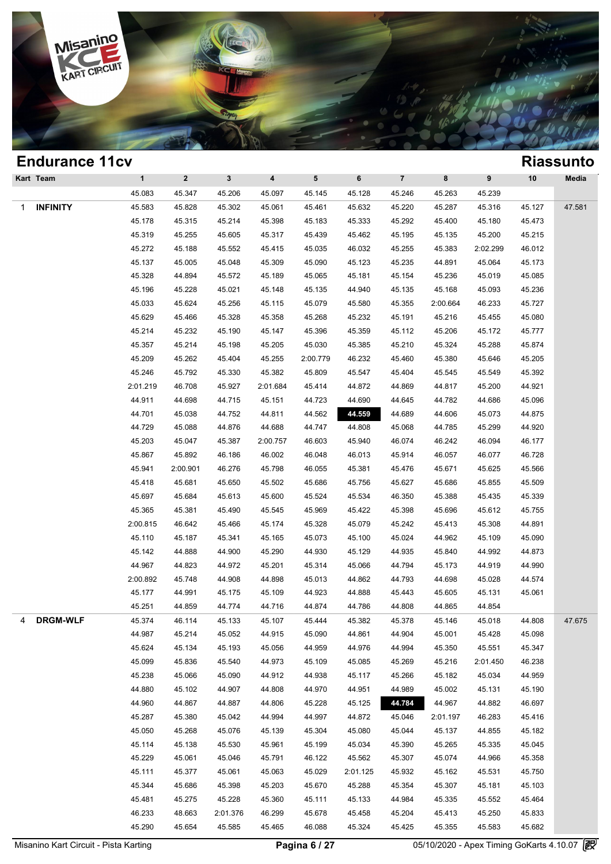

|   | <b>Endurance 11cv</b> |              |              |              |          |                 |          |                |          |           |        | <b>Riassunto</b> |
|---|-----------------------|--------------|--------------|--------------|----------|-----------------|----------|----------------|----------|-----------|--------|------------------|
|   | Kart Team             | $\mathbf{1}$ | $\mathbf{2}$ | $\mathbf{3}$ | 4        | $5\phantom{.0}$ | 6        | $\overline{7}$ | 8        | $\pmb{9}$ | 10     | Media            |
|   |                       | 45.083       | 45.347       | 45.206       | 45.097   | 45.145          | 45.128   | 45.246         | 45.263   | 45.239    |        |                  |
| 1 | <b>INFINITY</b>       | 45.583       | 45.828       | 45.302       | 45.061   | 45.461          | 45.632   | 45.220         | 45.287   | 45.316    | 45.127 | 47.581           |
|   |                       | 45.178       | 45.315       | 45.214       | 45.398   | 45.183          | 45.333   | 45.292         | 45.400   | 45.180    | 45.473 |                  |
|   |                       | 45.319       | 45.255       | 45.605       | 45.317   | 45.439          | 45.462   | 45.195         | 45.135   | 45.200    | 45.215 |                  |
|   |                       | 45.272       | 45.188       | 45.552       | 45.415   | 45.035          | 46.032   | 45.255         | 45.383   | 2:02.299  | 46.012 |                  |
|   |                       | 45.137       | 45.005       | 45.048       | 45.309   | 45.090          | 45.123   | 45.235         | 44.891   | 45.064    | 45.173 |                  |
|   |                       | 45.328       | 44.894       | 45.572       | 45.189   | 45.065          | 45.181   | 45.154         | 45.236   | 45.019    | 45.085 |                  |
|   |                       | 45.196       | 45.228       | 45.021       | 45.148   | 45.135          | 44.940   | 45.135         | 45.168   | 45.093    | 45.236 |                  |
|   |                       | 45.033       | 45.624       | 45.256       | 45.115   | 45.079          | 45.580   | 45.355         | 2:00.664 | 46.233    | 45.727 |                  |
|   |                       | 45.629       | 45.466       | 45.328       | 45.358   | 45.268          | 45.232   | 45.191         | 45.216   | 45.455    | 45.080 |                  |
|   |                       | 45.214       | 45.232       | 45.190       | 45.147   | 45.396          | 45.359   | 45.112         | 45.206   | 45.172    | 45.777 |                  |
|   |                       | 45.357       | 45.214       | 45.198       | 45.205   | 45.030          | 45.385   | 45.210         | 45.324   | 45.288    | 45.874 |                  |
|   |                       | 45.209       | 45.262       | 45.404       | 45.255   | 2:00.779        | 46.232   | 45.460         | 45.380   | 45.646    | 45.205 |                  |
|   |                       | 45.246       | 45.792       | 45.330       | 45.382   | 45.809          | 45.547   | 45.404         | 45.545   | 45.549    | 45.392 |                  |
|   |                       | 2:01.219     | 46.708       | 45.927       | 2:01.684 | 45.414          | 44.872   | 44.869         | 44.817   | 45.200    | 44.921 |                  |
|   |                       | 44.911       | 44.698       | 44.715       | 45.151   | 44.723          | 44.690   | 44.645         | 44.782   | 44.686    | 45.096 |                  |
|   |                       | 44.701       | 45.038       | 44.752       | 44.811   | 44.562          | 44.559   | 44.689         | 44.606   | 45.073    | 44.875 |                  |
|   |                       | 44.729       | 45.088       | 44.876       | 44.688   | 44.747          | 44.808   | 45.068         | 44.785   | 45.299    | 44.920 |                  |
|   |                       | 45.203       | 45.047       | 45.387       | 2:00.757 | 46.603          | 45.940   | 46.074         | 46.242   | 46.094    | 46.177 |                  |
|   |                       | 45.867       | 45.892       | 46.186       | 46.002   | 46.048          | 46.013   | 45.914         | 46.057   | 46.077    | 46.728 |                  |
|   |                       | 45.941       | 2:00.901     | 46.276       | 45.798   | 46.055          | 45.381   | 45.476         | 45.671   | 45.625    | 45.566 |                  |
|   |                       | 45.418       | 45.681       | 45.650       | 45.502   | 45.686          | 45.756   | 45.627         | 45.686   | 45.855    | 45.509 |                  |
|   |                       | 45.697       | 45.684       | 45.613       | 45.600   | 45.524          | 45.534   | 46.350         | 45.388   | 45.435    | 45.339 |                  |
|   |                       | 45.365       | 45.381       | 45.490       | 45.545   | 45.969          | 45.422   | 45.398         | 45.696   | 45.612    | 45.755 |                  |
|   |                       | 2:00.815     | 46.642       | 45.466       | 45.174   | 45.328          | 45.079   | 45.242         | 45.413   | 45.308    | 44.891 |                  |
|   |                       | 45.110       | 45.187       | 45.341       | 45.165   | 45.073          | 45.100   | 45.024         | 44.962   | 45.109    | 45.090 |                  |
|   |                       | 45.142       | 44.888       | 44.900       | 45.290   | 44.930          | 45.129   | 44.935         | 45.840   | 44.992    | 44.873 |                  |
|   |                       | 44.967       | 44.823       | 44.972       | 45.201   | 45.314          | 45.066   | 44.794         | 45.173   | 44.919    | 44.990 |                  |
|   |                       | 2:00.892     | 45.748       | 44.908       | 44.898   | 45.013          | 44.862   | 44.793         | 44.698   | 45.028    | 44.574 |                  |
|   |                       | 45.177       | 44.991       | 45.175       | 45.109   | 44.923          | 44.888   | 45.443         | 45.605   | 45.131    | 45.061 |                  |
|   |                       | 45.251       | 44.859       | 44.774       | 44.716   | 44.874          | 44.786   | 44.808         | 44.865   | 44.854    |        |                  |
| 4 | <b>DRGM-WLF</b>       | 45.374       | 46.114       | 45.133       | 45.107   | 45.444          | 45.382   | 45.378         | 45.146   | 45.018    | 44.808 | 47.675           |
|   |                       | 44.987       | 45.214       | 45.052       | 44.915   | 45.090          | 44.861   | 44.904         | 45.001   | 45.428    | 45.098 |                  |
|   |                       | 45.624       | 45.134       | 45.193       | 45.056   | 44.959          | 44.976   | 44.994         | 45.350   | 45.551    | 45.347 |                  |
|   |                       | 45.099       | 45.836       | 45.540       | 44.973   | 45.109          | 45.085   | 45.269         | 45.216   | 2:01.450  | 46.238 |                  |
|   |                       | 45.238       | 45.066       | 45.090       | 44.912   | 44.938          | 45.117   | 45.266         | 45.182   | 45.034    | 44.959 |                  |
|   |                       | 44.880       | 45.102       | 44.907       | 44.808   | 44.970          | 44.951   | 44.989         | 45.002   | 45.131    | 45.190 |                  |
|   |                       | 44.960       | 44.867       | 44.887       | 44.806   | 45.228          | 45.125   | 44.784         | 44.967   | 44.882    | 46.697 |                  |
|   |                       | 45.287       | 45.380       | 45.042       | 44.994   | 44.997          | 44.872   | 45.046         | 2:01.197 | 46.283    | 45.416 |                  |
|   |                       | 45.050       | 45.268       | 45.076       | 45.139   | 45.304          | 45.080   | 45.044         | 45.137   | 44.855    | 45.182 |                  |
|   |                       | 45.114       | 45.138       | 45.530       | 45.961   | 45.199          | 45.034   | 45.390         | 45.265   | 45.335    | 45.045 |                  |
|   |                       | 45.229       | 45.061       | 45.046       | 45.791   | 46.122          | 45.562   | 45.307         | 45.074   | 44.966    | 45.358 |                  |
|   |                       | 45.111       | 45.377       | 45.061       | 45.063   | 45.029          | 2:01.125 | 45.932         | 45.162   | 45.531    | 45.750 |                  |
|   |                       | 45.344       | 45.686       | 45.398       | 45.203   | 45.670          | 45.288   | 45.354         | 45.307   | 45.181    | 45.103 |                  |
|   |                       | 45.481       | 45.275       | 45.228       | 45.360   | 45.111          | 45.133   | 44.984         | 45.335   | 45.552    | 45.464 |                  |
|   |                       | 46.233       | 48.663       | 2:01.376     | 46.299   | 45.678          | 45.458   | 45.204         | 45.413   | 45.250    | 45.833 |                  |
|   |                       | 45.290       | 45.654       | 45.585       | 45.465   | 46.088          | 45.324   | 45.425         | 45.355   | 45.583    | 45.682 |                  |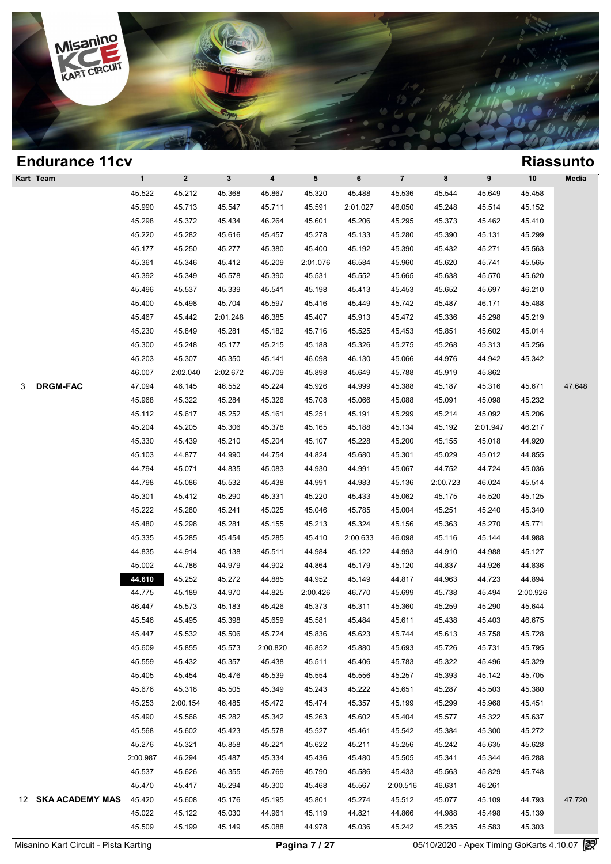

| <b>Endurance 11cv</b> |                  |                    |                  |                         |                  |                  |                  |                  |                  |                  | <b>Riassunto</b> |
|-----------------------|------------------|--------------------|------------------|-------------------------|------------------|------------------|------------------|------------------|------------------|------------------|------------------|
| Kart Team             | $\mathbf{1}$     | $\mathbf{2}$       | $3\phantom{a}$   | $\overline{\mathbf{4}}$ | $5\phantom{.0}$  | 6                | $\overline{7}$   | 8                | 9                | 10               | Media            |
|                       | 45.522           | 45.212             | 45.368           | 45.867                  | 45.320           | 45.488           | 45.536           | 45.544           | 45.649           | 45.458           |                  |
|                       | 45.990           | 45.713             | 45.547           | 45.711                  | 45.591           | 2:01.027         | 46.050           | 45.248           | 45.514           | 45.152           |                  |
|                       | 45.298           | 45.372             | 45.434           | 46.264                  | 45.601           | 45.206           | 45.295           | 45.373           | 45.462           | 45.410           |                  |
|                       | 45.220           | 45.282             | 45.616           | 45.457                  | 45.278           | 45.133           | 45.280           | 45.390           | 45.131           | 45.299           |                  |
|                       | 45.177           | 45.250             | 45.277           | 45.380                  | 45.400           | 45.192           | 45.390           | 45.432           | 45.271           | 45.563           |                  |
|                       | 45.361           | 45.346             | 45.412           | 45.209                  | 2:01.076         | 46.584           | 45.960           | 45.620           | 45.741           | 45.565           |                  |
|                       | 45.392           | 45.349             | 45.578           | 45.390                  | 45.531           | 45.552           | 45.665           | 45.638           | 45.570           | 45.620           |                  |
|                       | 45.496           | 45.537             | 45.339           | 45.541                  | 45.198           | 45.413           | 45.453           | 45.652           | 45.697           | 46.210           |                  |
|                       | 45.400           | 45.498             | 45.704           | 45.597                  | 45.416           | 45.449           | 45.742           | 45.487           | 46.171           | 45.488           |                  |
|                       | 45.467           | 45.442             | 2:01.248         | 46.385                  | 45.407           | 45.913           | 45.472           | 45.336           | 45.298           | 45.219           |                  |
|                       | 45.230           | 45.849             | 45.281           | 45.182                  | 45.716           | 45.525           | 45.453           | 45.851           | 45.602           | 45.014           |                  |
|                       | 45.300           | 45.248             | 45.177           | 45.215                  | 45.188           | 45.326           | 45.275           | 45.268           | 45.313           | 45.256           |                  |
|                       | 45.203           | 45.307             | 45.350           | 45.141                  | 46.098           | 46.130           | 45.066           | 44.976           | 44.942           | 45.342           |                  |
|                       | 46.007           | 2:02.040           | 2:02.672         | 46.709                  | 45.898           | 45.649           | 45.788           | 45.919           | 45.862           |                  |                  |
| <b>DRGM-FAC</b><br>3  | 47.094           | 46.145             | 46.552           | 45.224                  | 45.926           | 44.999           | 45.388           | 45.187           | 45.316           | 45.671           | 47.648           |
|                       | 45.968           | 45.322             | 45.284           | 45.326                  | 45.708           | 45.066           | 45.088           | 45.091           | 45.098           | 45.232           |                  |
|                       | 45.112           | 45.617             | 45.252           | 45.161                  | 45.251           | 45.191           | 45.299           | 45.214           | 45.092           | 45.206           |                  |
|                       | 45.204           | 45.205             | 45.306           | 45.378                  | 45.165           | 45.188           | 45.134           | 45.192           | 2:01.947         | 46.217           |                  |
|                       | 45.330           | 45.439             | 45.210           | 45.204                  | 45.107           | 45.228           | 45.200           | 45.155           | 45.018           | 44.920           |                  |
|                       | 45.103           | 44.877             | 44.990           | 44.754                  | 44.824           | 45.680           | 45.301           | 45.029           | 45.012           | 44.855           |                  |
|                       | 44.794           | 45.071             | 44.835           | 45.083                  | 44.930           | 44.991           | 45.067           | 44.752           | 44.724           | 45.036           |                  |
|                       | 44.798           | 45.086             | 45.532           | 45.438                  | 44.991           | 44.983           | 45.136           | 2:00.723         | 46.024           | 45.514           |                  |
|                       | 45.301           | 45.412             | 45.290           | 45.331                  | 45.220           | 45.433           | 45.062           | 45.175           | 45.520           | 45.125           |                  |
|                       | 45.222           | 45.280             | 45.241           | 45.025                  | 45.046           | 45.785           | 45.004           | 45.251           | 45.240           | 45.340           |                  |
|                       | 45.480           | 45.298             | 45.281           | 45.155                  | 45.213           | 45.324           | 45.156           | 45.363           | 45.270           | 45.771           |                  |
|                       | 45.335           | 45.285             | 45.454           | 45.285                  | 45.410           | 2:00.633         | 46.098           | 45.116           | 45.144           | 44.988           |                  |
|                       | 44.835           | 44.914             | 45.138           | 45.511                  | 44.984           | 45.122           | 44.993           | 44.910           | 44.988           | 45.127           |                  |
|                       | 45.002           | 44.786             | 44.979           | 44.902                  | 44.864           | 45.179           | 45.120           | 44.837           | 44.926           | 44.836           |                  |
|                       | 44.610           | 45.252             | 45.272           | 44.885                  | 44.952           | 45.149           | 44.817           | 44.963           | 44.723           | 44.894           |                  |
|                       | 44.775           | 45.189             | 44.970           | 44.825                  | 2:00.426         | 46.770           | 45.699           | 45.738           | 45.494           | 2:00.926         |                  |
|                       | 46.447           | 45.573             | 45.183           | 45.426                  | 45.373           | 45.311           | 45.360           | 45.259           | 45.290           | 45.644           |                  |
|                       | 45.546           | 45.495             | 45.398           | 45.659                  | 45.581           | 45.484           | 45.611           | 45.438           | 45.403           | 46.675           |                  |
|                       | 45.447           | 45.532             | 45.506           | 45.724                  | 45.836           | 45.623           | 45.744           | 45.613           | 45.758           | 45.728           |                  |
|                       | 45.609           | 45.855             | 45.573           | 2:00.820                | 46.852           | 45.880           | 45.693           | 45.726           | 45.731           | 45.795           |                  |
|                       | 45.559           | 45.432             | 45.357           | 45.438                  | 45.511           | 45.406           | 45.783           | 45.322           | 45.496           | 45.329           |                  |
|                       | 45.405           | 45.454             | 45.476           | 45.539                  | 45.554           | 45.556           | 45.257           | 45.393           | 45.142           | 45.705           |                  |
|                       |                  |                    |                  |                         |                  |                  |                  |                  |                  |                  |                  |
|                       | 45.676           | 45.318             | 45.505           | 45.349                  | 45.243           | 45.222           | 45.651           | 45.287           | 45.503           | 45.380           |                  |
|                       | 45.253<br>45.490 | 2:00.154<br>45.566 | 46.485<br>45.282 | 45.472<br>45.342        | 45.474<br>45.263 | 45.357<br>45.602 | 45.199<br>45.404 | 45.299<br>45.577 | 45.968<br>45.322 | 45.451<br>45.637 |                  |
|                       |                  |                    |                  |                         |                  |                  |                  |                  |                  |                  |                  |
|                       | 45.568           | 45.602             | 45.423           | 45.578                  | 45.527           | 45.461           | 45.542           | 45.384           | 45.300           | 45.272           |                  |
|                       | 45.276           | 45.321             | 45.858           | 45.221                  | 45.622           | 45.211           | 45.256           | 45.242           | 45.635           | 45.628           |                  |
|                       | 2:00.987         | 46.294             | 45.487           | 45.334                  | 45.436           | 45.480           | 45.505           | 45.341           | 45.344           | 46.288           |                  |
|                       | 45.537           | 45.626             | 46.355           | 45.769                  | 45.790           | 45.586           | 45.433           | 45.563           | 45.829           | 45.748           |                  |
|                       | 45.470           | 45.417             | 45.294           | 45.300                  | 45.468           | 45.567           | 2:00.516         | 46.631           | 46.261           |                  |                  |
| 12 SKA ACADEMY MAS    | 45.420           | 45.608             | 45.176           | 45.195                  | 45.801           | 45.274           | 45.512           | 45.077           | 45.109           | 44.793           | 47.720           |
|                       | 45.022           | 45.122             | 45.030           | 44.961                  | 45.119           | 44.821           | 44.866           | 44.988           | 45.498           | 45.139           |                  |
|                       | 45.509           | 45.199             | 45.149           | 45.088                  | 44.978           | 45.036           | 45.242           | 45.235           | 45.583           | 45.303           |                  |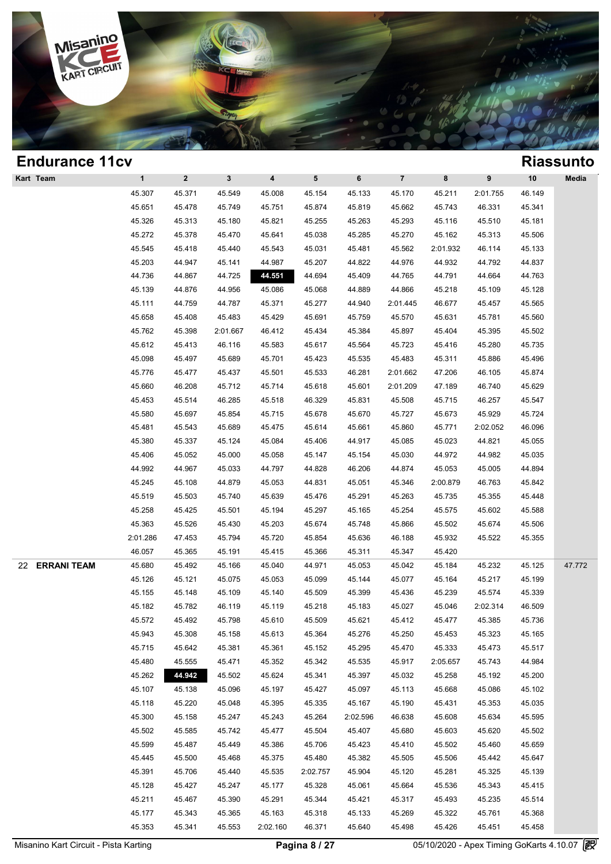

| <b>Endurance 11cv</b>    |              |              |          |                         |                 |          |                |          |          |        | <b>Riassunto</b> |
|--------------------------|--------------|--------------|----------|-------------------------|-----------------|----------|----------------|----------|----------|--------|------------------|
| Kart Team                | $\mathbf{1}$ | $\mathbf{2}$ | 3        | $\overline{\mathbf{4}}$ | $5\phantom{.0}$ | 6        | $\overline{7}$ | 8        | 9        | 10     | Media            |
|                          | 45.307       | 45.371       | 45.549   | 45.008                  | 45.154          | 45.133   | 45.170         | 45.211   | 2:01.755 | 46.149 |                  |
|                          | 45.651       | 45.478       | 45.749   | 45.751                  | 45.874          | 45.819   | 45.662         | 45.743   | 46.331   | 45.341 |                  |
|                          | 45.326       | 45.313       | 45.180   | 45.821                  | 45.255          | 45.263   | 45.293         | 45.116   | 45.510   | 45.181 |                  |
|                          | 45.272       | 45.378       | 45.470   | 45.641                  | 45.038          | 45.285   | 45.270         | 45.162   | 45.313   | 45.506 |                  |
|                          | 45.545       | 45.418       | 45.440   | 45.543                  | 45.031          | 45.481   | 45.562         | 2:01.932 | 46.114   | 45.133 |                  |
|                          | 45.203       | 44.947       | 45.141   | 44.987                  | 45.207          | 44.822   | 44.976         | 44.932   | 44.792   | 44.837 |                  |
|                          | 44.736       | 44.867       | 44.725   | 44.551                  | 44.694          | 45.409   | 44.765         | 44.791   | 44.664   | 44.763 |                  |
|                          | 45.139       | 44.876       | 44.956   | 45.086                  | 45.068          | 44.889   | 44.866         | 45.218   | 45.109   | 45.128 |                  |
|                          | 45.111       | 44.759       | 44.787   | 45.371                  | 45.277          | 44.940   | 2:01.445       | 46.677   | 45.457   | 45.565 |                  |
|                          | 45.658       | 45.408       | 45.483   | 45.429                  | 45.691          | 45.759   | 45.570         | 45.631   | 45.781   | 45.560 |                  |
|                          | 45.762       | 45.398       | 2:01.667 | 46.412                  | 45.434          | 45.384   | 45.897         | 45.404   | 45.395   | 45.502 |                  |
|                          | 45.612       | 45.413       | 46.116   | 45.583                  | 45.617          | 45.564   | 45.723         | 45.416   | 45.280   | 45.735 |                  |
|                          | 45.098       | 45.497       | 45.689   | 45.701                  | 45.423          | 45.535   | 45.483         | 45.311   | 45.886   | 45.496 |                  |
|                          | 45.776       | 45.477       | 45.437   | 45.501                  | 45.533          | 46.281   | 2:01.662       | 47.206   | 46.105   | 45.874 |                  |
|                          | 45.660       | 46.208       | 45.712   | 45.714                  | 45.618          | 45.601   | 2:01.209       | 47.189   | 46.740   | 45.629 |                  |
|                          | 45.453       | 45.514       | 46.285   | 45.518                  | 46.329          | 45.831   | 45.508         | 45.715   | 46.257   | 45.547 |                  |
|                          | 45.580       | 45.697       | 45.854   | 45.715                  | 45.678          | 45.670   | 45.727         | 45.673   | 45.929   | 45.724 |                  |
|                          | 45.481       | 45.543       | 45.689   | 45.475                  | 45.614          | 45.661   | 45.860         | 45.771   | 2:02.052 | 46.096 |                  |
|                          | 45.380       | 45.337       | 45.124   | 45.084                  | 45.406          | 44.917   | 45.085         | 45.023   | 44.821   | 45.055 |                  |
|                          | 45.406       | 45.052       | 45.000   | 45.058                  | 45.147          | 45.154   | 45.030         | 44.972   | 44.982   | 45.035 |                  |
|                          | 44.992       | 44.967       | 45.033   | 44.797                  | 44.828          | 46.206   | 44.874         | 45.053   | 45.005   | 44.894 |                  |
|                          | 45.245       | 45.108       | 44.879   | 45.053                  | 44.831          | 45.051   | 45.346         | 2:00.879 | 46.763   | 45.842 |                  |
|                          | 45.519       | 45.503       | 45.740   | 45.639                  | 45.476          | 45.291   | 45.263         | 45.735   | 45.355   | 45.448 |                  |
|                          | 45.258       | 45.425       | 45.501   | 45.194                  | 45.297          | 45.165   | 45.254         | 45.575   | 45.602   | 45.588 |                  |
|                          | 45.363       | 45.526       | 45.430   | 45.203                  | 45.674          | 45.748   | 45.866         | 45.502   | 45.674   | 45.506 |                  |
|                          | 2:01.286     | 47.453       | 45.794   | 45.720                  | 45.854          | 45.636   | 46.188         | 45.932   | 45.522   | 45.355 |                  |
|                          | 46.057       | 45.365       | 45.191   | 45.415                  | 45.366          | 45.311   | 45.347         | 45.420   |          |        |                  |
| <b>ERRANI TEAM</b><br>22 | 45.680       | 45.492       | 45.166   | 45.040                  | 44.971          | 45.053   | 45.042         | 45.184   | 45.232   | 45.125 | 47.772           |
|                          | 45.126       | 45.121       | 45.075   | 45.053                  | 45.099          | 45.144   | 45.077         | 45.164   | 45.217   | 45.199 |                  |
|                          | 45.155       | 45.148       | 45.109   | 45.140                  | 45.509          | 45.399   | 45.436         | 45.239   | 45.574   | 45.339 |                  |
|                          | 45.182       | 45.782       | 46.119   | 45.119                  | 45.218          | 45.183   | 45.027         | 45.046   | 2:02.314 | 46.509 |                  |
|                          | 45.572       | 45.492       | 45.798   | 45.610                  | 45.509          | 45.621   | 45.412         | 45.477   | 45.385   | 45.736 |                  |
|                          | 45.943       | 45.308       | 45.158   | 45.613                  | 45.364          | 45.276   | 45.250         | 45.453   | 45.323   | 45.165 |                  |
|                          | 45.715       | 45.642       | 45.381   | 45.361                  | 45.152          | 45.295   | 45.470         | 45.333   | 45.473   | 45.517 |                  |
|                          | 45.480       | 45.555       | 45.471   | 45.352                  | 45.342          | 45.535   | 45.917         | 2:05.657 | 45.743   | 44.984 |                  |
|                          | 45.262       | 44.942       | 45.502   | 45.624                  | 45.341          | 45.397   | 45.032         | 45.258   | 45.192   | 45.200 |                  |
|                          | 45.107       | 45.138       | 45.096   | 45.197                  | 45.427          | 45.097   | 45.113         | 45.668   | 45.086   | 45.102 |                  |
|                          | 45.118       | 45.220       | 45.048   | 45.395                  | 45.335          | 45.167   | 45.190         | 45.431   | 45.353   | 45.035 |                  |
|                          | 45.300       | 45.158       | 45.247   | 45.243                  | 45.264          | 2:02.596 | 46.638         | 45.608   | 45.634   | 45.595 |                  |
|                          | 45.502       | 45.585       | 45.742   | 45.477                  | 45.504          | 45.407   | 45.680         | 45.603   | 45.620   | 45.502 |                  |
|                          | 45.599       | 45.487       | 45.449   | 45.386                  | 45.706          | 45.423   | 45.410         | 45.502   | 45.460   | 45.659 |                  |
|                          | 45.445       | 45.500       | 45.468   | 45.375                  | 45.480          | 45.382   | 45.505         | 45.506   | 45.442   | 45.647 |                  |
|                          | 45.391       | 45.706       | 45.440   | 45.535                  | 2:02.757        | 45.904   | 45.120         | 45.281   | 45.325   | 45.139 |                  |
|                          |              | 45.427       | 45.247   | 45.177                  | 45.328          | 45.061   | 45.664         | 45.536   | 45.343   | 45.415 |                  |
|                          | 45.128       |              |          |                         |                 |          |                |          |          |        |                  |
|                          | 45.211       | 45.467       | 45.390   | 45.291                  | 45.344          | 45.421   | 45.317         | 45.493   | 45.235   | 45.514 |                  |
|                          | 45.177       | 45.343       | 45.365   | 45.163                  | 45.318          | 45.133   | 45.269         | 45.322   | 45.761   | 45.368 |                  |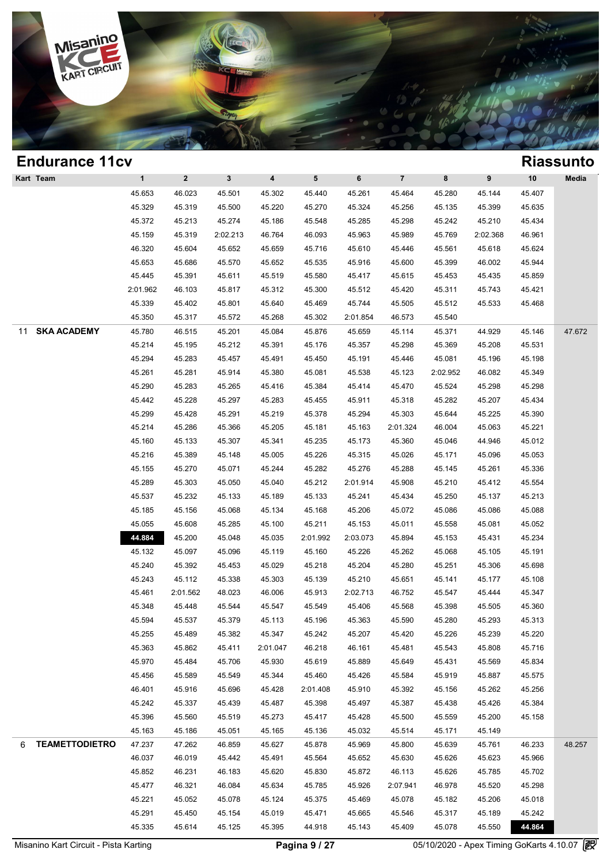

| $\mathbf{1}$<br>${\bf 5}$<br>6<br>$\overline{\mathbf{7}}$<br>$\mathbf{2}$<br>$\mathbf{3}$<br>4<br>8<br>9<br>10<br>Media<br>45.407<br>45.653<br>46.023<br>45.501<br>45.302<br>45.440<br>45.261<br>45.464<br>45.280<br>45.144<br>45.329<br>45.319<br>45.500<br>45.220<br>45.324<br>45.135<br>45.635<br>45.270<br>45.256<br>45.399<br>45.372<br>45.213<br>45.274<br>45.186<br>45.548<br>45.285<br>45.298<br>45.242<br>45.210<br>45.434<br>45.159<br>45.319<br>2:02.213<br>46.764<br>46.093<br>45.963<br>45.989<br>45.769<br>2:02.368<br>46.961<br>46.320<br>45.604<br>45.652<br>45.659<br>45.716<br>45.561<br>45.624<br>45.610<br>45.446<br>45.618<br>45.653<br>45.686<br>45.652<br>45.600<br>45.399<br>46.002<br>45.944<br>45.570<br>45.535<br>45.916<br>45.445<br>45.391<br>45.519<br>45.611<br>45.580<br>45.417<br>45.615<br>45.453<br>45.435<br>45.859<br>2:01.962<br>46.103<br>45.817<br>45.312<br>45.300<br>45.512<br>45.420<br>45.311<br>45.743<br>45.421<br>45.339<br>45.402<br>45.801<br>45.640<br>45.744<br>45.505<br>45.512<br>45.468<br>45.469<br>45.533<br>45.350<br>45.317<br>45.572<br>45.268<br>45.302<br>2:01.854<br>46.573<br>45.540<br><b>SKA ACADEMY</b><br>45.780<br>47.672<br>46.515<br>45.201<br>45.084<br>45.876<br>45.659<br>45.114<br>45.371<br>44.929<br>45.146<br>45.214<br>45.195<br>45.212<br>45.391<br>45.176<br>45.357<br>45.298<br>45.369<br>45.208<br>45.531<br>45.294<br>45.283<br>45.081<br>45.198<br>45.457<br>45.491<br>45.450<br>45.191<br>45.446<br>45.196<br>45.261<br>45.281<br>45.914<br>45.380<br>45.081<br>45.538<br>45.349<br>45.123<br>2:02.952<br>46.082<br>45.290<br>45.384<br>45.524<br>45.283<br>45.265<br>45.416<br>45.414<br>45.470<br>45.298<br>45.298<br>45.282<br>45.442<br>45.228<br>45.297<br>45.283<br>45.455<br>45.911<br>45.318<br>45.207<br>45.434<br>45.299<br>45.428<br>45.291<br>45.219<br>45.378<br>45.294<br>45.303<br>45.644<br>45.225<br>45.390<br>45.214<br>45.286<br>45.366<br>45.205<br>45.181<br>45.163<br>2:01.324<br>46.004<br>45.063<br>45.221<br>45.160<br>45.173<br>44.946<br>45.012<br>45.133<br>45.307<br>45.341<br>45.235<br>45.360<br>45.046<br>45.216<br>45.389<br>45.148<br>45.005<br>45.226<br>45.315<br>45.026<br>45.171<br>45.096<br>45.053<br>45.155<br>45.270<br>45.071<br>45.244<br>45.282<br>45.276<br>45.288<br>45.145<br>45.336<br>45.261<br>45.289<br>45.303<br>45.050<br>45.040<br>45.212<br>2:01.914<br>45.908<br>45.210<br>45.554<br>45.412<br>45.537<br>45.232<br>45.133<br>45.189<br>45.133<br>45.241<br>45.434<br>45.250<br>45.213<br>45.137<br>45.185<br>45.088<br>45.156<br>45.068<br>45.134<br>45.168<br>45.206<br>45.072<br>45.086<br>45.086<br>45.055<br>45.211<br>45.011<br>45.052<br>45.608<br>45.285<br>45.100<br>45.153<br>45.558<br>45.081<br>44.884<br>45.200<br>45.048<br>2:01.992<br>2:03.073<br>45.894<br>45.153<br>45.234<br>45.035<br>45.431<br>45.132<br>45.097<br>45.096<br>45.160<br>45.226<br>45.262<br>45.068<br>45.191<br>45.119<br>45.105<br>45.240<br>45.392<br>45.453<br>45.029<br>45.218<br>45.204<br>45.280<br>45.251<br>45.306<br>45.698<br>45.243<br>45.112<br>45.338<br>45.303<br>45.139<br>45.210<br>45.651<br>45.141<br>45.177<br>45.108<br>45.461<br>45.913<br>45.547<br>45.347<br>2:01.562<br>48.023<br>46.006<br>2:02.713<br>46.752<br>45.444<br>45.348<br>45.448<br>45.544<br>45.547<br>45.549<br>45.406<br>45.568<br>45.398<br>45.505<br>45.360<br>45.594<br>45.537<br>45.379<br>45.113<br>45.196<br>45.363<br>45.590<br>45.280<br>45.293<br>45.313<br>45.255<br>45.242<br>45.489<br>45.382<br>45.347<br>45.207<br>45.420<br>45.226<br>45.239<br>45.220<br>45.363<br>45.862<br>46.218<br>45.543<br>45.716<br>45.411<br>2:01.047<br>46.161<br>45.481<br>45.808<br>45.970<br>45.484<br>45.706<br>45.930<br>45.619<br>45.889<br>45.649<br>45.431<br>45.834<br>45.569<br>45.456<br>45.589<br>45.549<br>45.344<br>45.460<br>45.919<br>45.575<br>45.426<br>45.584<br>45.887<br>46.401<br>45.916<br>45.156<br>45.256<br>45.696<br>45.428<br>2:01.408<br>45.910<br>45.392<br>45.262<br>45.242<br>45.337<br>45.439<br>45.398<br>45.387<br>45.438<br>45.384<br>45.487<br>45.497<br>45.426<br>45.396<br>45.560<br>45.519<br>45.273<br>45.417<br>45.500<br>45.559<br>45.200<br>45.158<br>45.428<br>45.163<br>45.186<br>45.051<br>45.165<br>45.136<br>45.032<br>45.514<br>45.171<br>45.149<br><b>TEAMETTODIETRO</b><br>45.878<br>46.233<br>48.257<br>6<br>47.237<br>47.262<br>46.859<br>45.627<br>45.969<br>45.800<br>45.639<br>45.761<br>46.037<br>46.019<br>45.442<br>45.564<br>45.626<br>45.966<br>45.491<br>45.652<br>45.630<br>45.623<br>45.852<br>46.231<br>46.183<br>45.620<br>45.830<br>45.872<br>46.113<br>45.626<br>45.785<br>45.702<br>45.477<br>46.321<br>46.084<br>45.634<br>45.785<br>45.926<br>2:07.941<br>46.978<br>45.298<br>45.520<br>45.221<br>45.052<br>45.375<br>45.182<br>45.018<br>45.078<br>45.124<br>45.469<br>45.078<br>45.206<br>45.291<br>45.450<br>45.242<br>45.154<br>45.019<br>45.471<br>45.665<br>45.546<br>45.317<br>45.189 | <b>Endurance 11cv</b> |        |        |        |        |        |        |        |        |        |        | <b>Riassunto</b> |
|---------------------------------------------------------------------------------------------------------------------------------------------------------------------------------------------------------------------------------------------------------------------------------------------------------------------------------------------------------------------------------------------------------------------------------------------------------------------------------------------------------------------------------------------------------------------------------------------------------------------------------------------------------------------------------------------------------------------------------------------------------------------------------------------------------------------------------------------------------------------------------------------------------------------------------------------------------------------------------------------------------------------------------------------------------------------------------------------------------------------------------------------------------------------------------------------------------------------------------------------------------------------------------------------------------------------------------------------------------------------------------------------------------------------------------------------------------------------------------------------------------------------------------------------------------------------------------------------------------------------------------------------------------------------------------------------------------------------------------------------------------------------------------------------------------------------------------------------------------------------------------------------------------------------------------------------------------------------------------------------------------------------------------------------------------------------------------------------------------------------------------------------------------------------------------------------------------------------------------------------------------------------------------------------------------------------------------------------------------------------------------------------------------------------------------------------------------------------------------------------------------------------------------------------------------------------------------------------------------------------------------------------------------------------------------------------------------------------------------------------------------------------------------------------------------------------------------------------------------------------------------------------------------------------------------------------------------------------------------------------------------------------------------------------------------------------------------------------------------------------------------------------------------------------------------------------------------------------------------------------------------------------------------------------------------------------------------------------------------------------------------------------------------------------------------------------------------------------------------------------------------------------------------------------------------------------------------------------------------------------------------------------------------------------------------------------------------------------------------------------------------------------------------------------------------------------------------------------------------------------------------------------------------------------------------------------------------------------------------------------------------------------------------------------------------------------------------------------------------------------------------------------------------------------------------------------------------------------------------------------------------------------------------------------------------------------------------------------------------------------------------------------------------------------------------------------------------------------------------------------------------------------------------------------------------------------------------------------------------------------------------------------------------------------------------------------------------------------------------------------------------------------------------------------------------------------------------------------------------------------------------------------------------------------------------------------------------------------------------------|-----------------------|--------|--------|--------|--------|--------|--------|--------|--------|--------|--------|------------------|
|                                                                                                                                                                                                                                                                                                                                                                                                                                                                                                                                                                                                                                                                                                                                                                                                                                                                                                                                                                                                                                                                                                                                                                                                                                                                                                                                                                                                                                                                                                                                                                                                                                                                                                                                                                                                                                                                                                                                                                                                                                                                                                                                                                                                                                                                                                                                                                                                                                                                                                                                                                                                                                                                                                                                                                                                                                                                                                                                                                                                                                                                                                                                                                                                                                                                                                                                                                                                                                                                                                                                                                                                                                                                                                                                                                                                                                                                                                                                                                                                                                                                                                                                                                                                                                                                                                                                                                                                                                                                                                                                                                                                                                                                                                                                                                                                                                                                                                                                                                                       | Kart Team             |        |        |        |        |        |        |        |        |        |        |                  |
|                                                                                                                                                                                                                                                                                                                                                                                                                                                                                                                                                                                                                                                                                                                                                                                                                                                                                                                                                                                                                                                                                                                                                                                                                                                                                                                                                                                                                                                                                                                                                                                                                                                                                                                                                                                                                                                                                                                                                                                                                                                                                                                                                                                                                                                                                                                                                                                                                                                                                                                                                                                                                                                                                                                                                                                                                                                                                                                                                                                                                                                                                                                                                                                                                                                                                                                                                                                                                                                                                                                                                                                                                                                                                                                                                                                                                                                                                                                                                                                                                                                                                                                                                                                                                                                                                                                                                                                                                                                                                                                                                                                                                                                                                                                                                                                                                                                                                                                                                                                       |                       |        |        |        |        |        |        |        |        |        |        |                  |
|                                                                                                                                                                                                                                                                                                                                                                                                                                                                                                                                                                                                                                                                                                                                                                                                                                                                                                                                                                                                                                                                                                                                                                                                                                                                                                                                                                                                                                                                                                                                                                                                                                                                                                                                                                                                                                                                                                                                                                                                                                                                                                                                                                                                                                                                                                                                                                                                                                                                                                                                                                                                                                                                                                                                                                                                                                                                                                                                                                                                                                                                                                                                                                                                                                                                                                                                                                                                                                                                                                                                                                                                                                                                                                                                                                                                                                                                                                                                                                                                                                                                                                                                                                                                                                                                                                                                                                                                                                                                                                                                                                                                                                                                                                                                                                                                                                                                                                                                                                                       |                       |        |        |        |        |        |        |        |        |        |        |                  |
|                                                                                                                                                                                                                                                                                                                                                                                                                                                                                                                                                                                                                                                                                                                                                                                                                                                                                                                                                                                                                                                                                                                                                                                                                                                                                                                                                                                                                                                                                                                                                                                                                                                                                                                                                                                                                                                                                                                                                                                                                                                                                                                                                                                                                                                                                                                                                                                                                                                                                                                                                                                                                                                                                                                                                                                                                                                                                                                                                                                                                                                                                                                                                                                                                                                                                                                                                                                                                                                                                                                                                                                                                                                                                                                                                                                                                                                                                                                                                                                                                                                                                                                                                                                                                                                                                                                                                                                                                                                                                                                                                                                                                                                                                                                                                                                                                                                                                                                                                                                       |                       |        |        |        |        |        |        |        |        |        |        |                  |
|                                                                                                                                                                                                                                                                                                                                                                                                                                                                                                                                                                                                                                                                                                                                                                                                                                                                                                                                                                                                                                                                                                                                                                                                                                                                                                                                                                                                                                                                                                                                                                                                                                                                                                                                                                                                                                                                                                                                                                                                                                                                                                                                                                                                                                                                                                                                                                                                                                                                                                                                                                                                                                                                                                                                                                                                                                                                                                                                                                                                                                                                                                                                                                                                                                                                                                                                                                                                                                                                                                                                                                                                                                                                                                                                                                                                                                                                                                                                                                                                                                                                                                                                                                                                                                                                                                                                                                                                                                                                                                                                                                                                                                                                                                                                                                                                                                                                                                                                                                                       |                       |        |        |        |        |        |        |        |        |        |        |                  |
|                                                                                                                                                                                                                                                                                                                                                                                                                                                                                                                                                                                                                                                                                                                                                                                                                                                                                                                                                                                                                                                                                                                                                                                                                                                                                                                                                                                                                                                                                                                                                                                                                                                                                                                                                                                                                                                                                                                                                                                                                                                                                                                                                                                                                                                                                                                                                                                                                                                                                                                                                                                                                                                                                                                                                                                                                                                                                                                                                                                                                                                                                                                                                                                                                                                                                                                                                                                                                                                                                                                                                                                                                                                                                                                                                                                                                                                                                                                                                                                                                                                                                                                                                                                                                                                                                                                                                                                                                                                                                                                                                                                                                                                                                                                                                                                                                                                                                                                                                                                       |                       |        |        |        |        |        |        |        |        |        |        |                  |
|                                                                                                                                                                                                                                                                                                                                                                                                                                                                                                                                                                                                                                                                                                                                                                                                                                                                                                                                                                                                                                                                                                                                                                                                                                                                                                                                                                                                                                                                                                                                                                                                                                                                                                                                                                                                                                                                                                                                                                                                                                                                                                                                                                                                                                                                                                                                                                                                                                                                                                                                                                                                                                                                                                                                                                                                                                                                                                                                                                                                                                                                                                                                                                                                                                                                                                                                                                                                                                                                                                                                                                                                                                                                                                                                                                                                                                                                                                                                                                                                                                                                                                                                                                                                                                                                                                                                                                                                                                                                                                                                                                                                                                                                                                                                                                                                                                                                                                                                                                                       |                       |        |        |        |        |        |        |        |        |        |        |                  |
|                                                                                                                                                                                                                                                                                                                                                                                                                                                                                                                                                                                                                                                                                                                                                                                                                                                                                                                                                                                                                                                                                                                                                                                                                                                                                                                                                                                                                                                                                                                                                                                                                                                                                                                                                                                                                                                                                                                                                                                                                                                                                                                                                                                                                                                                                                                                                                                                                                                                                                                                                                                                                                                                                                                                                                                                                                                                                                                                                                                                                                                                                                                                                                                                                                                                                                                                                                                                                                                                                                                                                                                                                                                                                                                                                                                                                                                                                                                                                                                                                                                                                                                                                                                                                                                                                                                                                                                                                                                                                                                                                                                                                                                                                                                                                                                                                                                                                                                                                                                       |                       |        |        |        |        |        |        |        |        |        |        |                  |
|                                                                                                                                                                                                                                                                                                                                                                                                                                                                                                                                                                                                                                                                                                                                                                                                                                                                                                                                                                                                                                                                                                                                                                                                                                                                                                                                                                                                                                                                                                                                                                                                                                                                                                                                                                                                                                                                                                                                                                                                                                                                                                                                                                                                                                                                                                                                                                                                                                                                                                                                                                                                                                                                                                                                                                                                                                                                                                                                                                                                                                                                                                                                                                                                                                                                                                                                                                                                                                                                                                                                                                                                                                                                                                                                                                                                                                                                                                                                                                                                                                                                                                                                                                                                                                                                                                                                                                                                                                                                                                                                                                                                                                                                                                                                                                                                                                                                                                                                                                                       |                       |        |        |        |        |        |        |        |        |        |        |                  |
|                                                                                                                                                                                                                                                                                                                                                                                                                                                                                                                                                                                                                                                                                                                                                                                                                                                                                                                                                                                                                                                                                                                                                                                                                                                                                                                                                                                                                                                                                                                                                                                                                                                                                                                                                                                                                                                                                                                                                                                                                                                                                                                                                                                                                                                                                                                                                                                                                                                                                                                                                                                                                                                                                                                                                                                                                                                                                                                                                                                                                                                                                                                                                                                                                                                                                                                                                                                                                                                                                                                                                                                                                                                                                                                                                                                                                                                                                                                                                                                                                                                                                                                                                                                                                                                                                                                                                                                                                                                                                                                                                                                                                                                                                                                                                                                                                                                                                                                                                                                       |                       |        |        |        |        |        |        |        |        |        |        |                  |
|                                                                                                                                                                                                                                                                                                                                                                                                                                                                                                                                                                                                                                                                                                                                                                                                                                                                                                                                                                                                                                                                                                                                                                                                                                                                                                                                                                                                                                                                                                                                                                                                                                                                                                                                                                                                                                                                                                                                                                                                                                                                                                                                                                                                                                                                                                                                                                                                                                                                                                                                                                                                                                                                                                                                                                                                                                                                                                                                                                                                                                                                                                                                                                                                                                                                                                                                                                                                                                                                                                                                                                                                                                                                                                                                                                                                                                                                                                                                                                                                                                                                                                                                                                                                                                                                                                                                                                                                                                                                                                                                                                                                                                                                                                                                                                                                                                                                                                                                                                                       |                       |        |        |        |        |        |        |        |        |        |        |                  |
|                                                                                                                                                                                                                                                                                                                                                                                                                                                                                                                                                                                                                                                                                                                                                                                                                                                                                                                                                                                                                                                                                                                                                                                                                                                                                                                                                                                                                                                                                                                                                                                                                                                                                                                                                                                                                                                                                                                                                                                                                                                                                                                                                                                                                                                                                                                                                                                                                                                                                                                                                                                                                                                                                                                                                                                                                                                                                                                                                                                                                                                                                                                                                                                                                                                                                                                                                                                                                                                                                                                                                                                                                                                                                                                                                                                                                                                                                                                                                                                                                                                                                                                                                                                                                                                                                                                                                                                                                                                                                                                                                                                                                                                                                                                                                                                                                                                                                                                                                                                       | 11                    |        |        |        |        |        |        |        |        |        |        |                  |
|                                                                                                                                                                                                                                                                                                                                                                                                                                                                                                                                                                                                                                                                                                                                                                                                                                                                                                                                                                                                                                                                                                                                                                                                                                                                                                                                                                                                                                                                                                                                                                                                                                                                                                                                                                                                                                                                                                                                                                                                                                                                                                                                                                                                                                                                                                                                                                                                                                                                                                                                                                                                                                                                                                                                                                                                                                                                                                                                                                                                                                                                                                                                                                                                                                                                                                                                                                                                                                                                                                                                                                                                                                                                                                                                                                                                                                                                                                                                                                                                                                                                                                                                                                                                                                                                                                                                                                                                                                                                                                                                                                                                                                                                                                                                                                                                                                                                                                                                                                                       |                       |        |        |        |        |        |        |        |        |        |        |                  |
|                                                                                                                                                                                                                                                                                                                                                                                                                                                                                                                                                                                                                                                                                                                                                                                                                                                                                                                                                                                                                                                                                                                                                                                                                                                                                                                                                                                                                                                                                                                                                                                                                                                                                                                                                                                                                                                                                                                                                                                                                                                                                                                                                                                                                                                                                                                                                                                                                                                                                                                                                                                                                                                                                                                                                                                                                                                                                                                                                                                                                                                                                                                                                                                                                                                                                                                                                                                                                                                                                                                                                                                                                                                                                                                                                                                                                                                                                                                                                                                                                                                                                                                                                                                                                                                                                                                                                                                                                                                                                                                                                                                                                                                                                                                                                                                                                                                                                                                                                                                       |                       |        |        |        |        |        |        |        |        |        |        |                  |
|                                                                                                                                                                                                                                                                                                                                                                                                                                                                                                                                                                                                                                                                                                                                                                                                                                                                                                                                                                                                                                                                                                                                                                                                                                                                                                                                                                                                                                                                                                                                                                                                                                                                                                                                                                                                                                                                                                                                                                                                                                                                                                                                                                                                                                                                                                                                                                                                                                                                                                                                                                                                                                                                                                                                                                                                                                                                                                                                                                                                                                                                                                                                                                                                                                                                                                                                                                                                                                                                                                                                                                                                                                                                                                                                                                                                                                                                                                                                                                                                                                                                                                                                                                                                                                                                                                                                                                                                                                                                                                                                                                                                                                                                                                                                                                                                                                                                                                                                                                                       |                       |        |        |        |        |        |        |        |        |        |        |                  |
|                                                                                                                                                                                                                                                                                                                                                                                                                                                                                                                                                                                                                                                                                                                                                                                                                                                                                                                                                                                                                                                                                                                                                                                                                                                                                                                                                                                                                                                                                                                                                                                                                                                                                                                                                                                                                                                                                                                                                                                                                                                                                                                                                                                                                                                                                                                                                                                                                                                                                                                                                                                                                                                                                                                                                                                                                                                                                                                                                                                                                                                                                                                                                                                                                                                                                                                                                                                                                                                                                                                                                                                                                                                                                                                                                                                                                                                                                                                                                                                                                                                                                                                                                                                                                                                                                                                                                                                                                                                                                                                                                                                                                                                                                                                                                                                                                                                                                                                                                                                       |                       |        |        |        |        |        |        |        |        |        |        |                  |
|                                                                                                                                                                                                                                                                                                                                                                                                                                                                                                                                                                                                                                                                                                                                                                                                                                                                                                                                                                                                                                                                                                                                                                                                                                                                                                                                                                                                                                                                                                                                                                                                                                                                                                                                                                                                                                                                                                                                                                                                                                                                                                                                                                                                                                                                                                                                                                                                                                                                                                                                                                                                                                                                                                                                                                                                                                                                                                                                                                                                                                                                                                                                                                                                                                                                                                                                                                                                                                                                                                                                                                                                                                                                                                                                                                                                                                                                                                                                                                                                                                                                                                                                                                                                                                                                                                                                                                                                                                                                                                                                                                                                                                                                                                                                                                                                                                                                                                                                                                                       |                       |        |        |        |        |        |        |        |        |        |        |                  |
|                                                                                                                                                                                                                                                                                                                                                                                                                                                                                                                                                                                                                                                                                                                                                                                                                                                                                                                                                                                                                                                                                                                                                                                                                                                                                                                                                                                                                                                                                                                                                                                                                                                                                                                                                                                                                                                                                                                                                                                                                                                                                                                                                                                                                                                                                                                                                                                                                                                                                                                                                                                                                                                                                                                                                                                                                                                                                                                                                                                                                                                                                                                                                                                                                                                                                                                                                                                                                                                                                                                                                                                                                                                                                                                                                                                                                                                                                                                                                                                                                                                                                                                                                                                                                                                                                                                                                                                                                                                                                                                                                                                                                                                                                                                                                                                                                                                                                                                                                                                       |                       |        |        |        |        |        |        |        |        |        |        |                  |
|                                                                                                                                                                                                                                                                                                                                                                                                                                                                                                                                                                                                                                                                                                                                                                                                                                                                                                                                                                                                                                                                                                                                                                                                                                                                                                                                                                                                                                                                                                                                                                                                                                                                                                                                                                                                                                                                                                                                                                                                                                                                                                                                                                                                                                                                                                                                                                                                                                                                                                                                                                                                                                                                                                                                                                                                                                                                                                                                                                                                                                                                                                                                                                                                                                                                                                                                                                                                                                                                                                                                                                                                                                                                                                                                                                                                                                                                                                                                                                                                                                                                                                                                                                                                                                                                                                                                                                                                                                                                                                                                                                                                                                                                                                                                                                                                                                                                                                                                                                                       |                       |        |        |        |        |        |        |        |        |        |        |                  |
|                                                                                                                                                                                                                                                                                                                                                                                                                                                                                                                                                                                                                                                                                                                                                                                                                                                                                                                                                                                                                                                                                                                                                                                                                                                                                                                                                                                                                                                                                                                                                                                                                                                                                                                                                                                                                                                                                                                                                                                                                                                                                                                                                                                                                                                                                                                                                                                                                                                                                                                                                                                                                                                                                                                                                                                                                                                                                                                                                                                                                                                                                                                                                                                                                                                                                                                                                                                                                                                                                                                                                                                                                                                                                                                                                                                                                                                                                                                                                                                                                                                                                                                                                                                                                                                                                                                                                                                                                                                                                                                                                                                                                                                                                                                                                                                                                                                                                                                                                                                       |                       |        |        |        |        |        |        |        |        |        |        |                  |
|                                                                                                                                                                                                                                                                                                                                                                                                                                                                                                                                                                                                                                                                                                                                                                                                                                                                                                                                                                                                                                                                                                                                                                                                                                                                                                                                                                                                                                                                                                                                                                                                                                                                                                                                                                                                                                                                                                                                                                                                                                                                                                                                                                                                                                                                                                                                                                                                                                                                                                                                                                                                                                                                                                                                                                                                                                                                                                                                                                                                                                                                                                                                                                                                                                                                                                                                                                                                                                                                                                                                                                                                                                                                                                                                                                                                                                                                                                                                                                                                                                                                                                                                                                                                                                                                                                                                                                                                                                                                                                                                                                                                                                                                                                                                                                                                                                                                                                                                                                                       |                       |        |        |        |        |        |        |        |        |        |        |                  |
|                                                                                                                                                                                                                                                                                                                                                                                                                                                                                                                                                                                                                                                                                                                                                                                                                                                                                                                                                                                                                                                                                                                                                                                                                                                                                                                                                                                                                                                                                                                                                                                                                                                                                                                                                                                                                                                                                                                                                                                                                                                                                                                                                                                                                                                                                                                                                                                                                                                                                                                                                                                                                                                                                                                                                                                                                                                                                                                                                                                                                                                                                                                                                                                                                                                                                                                                                                                                                                                                                                                                                                                                                                                                                                                                                                                                                                                                                                                                                                                                                                                                                                                                                                                                                                                                                                                                                                                                                                                                                                                                                                                                                                                                                                                                                                                                                                                                                                                                                                                       |                       |        |        |        |        |        |        |        |        |        |        |                  |
|                                                                                                                                                                                                                                                                                                                                                                                                                                                                                                                                                                                                                                                                                                                                                                                                                                                                                                                                                                                                                                                                                                                                                                                                                                                                                                                                                                                                                                                                                                                                                                                                                                                                                                                                                                                                                                                                                                                                                                                                                                                                                                                                                                                                                                                                                                                                                                                                                                                                                                                                                                                                                                                                                                                                                                                                                                                                                                                                                                                                                                                                                                                                                                                                                                                                                                                                                                                                                                                                                                                                                                                                                                                                                                                                                                                                                                                                                                                                                                                                                                                                                                                                                                                                                                                                                                                                                                                                                                                                                                                                                                                                                                                                                                                                                                                                                                                                                                                                                                                       |                       |        |        |        |        |        |        |        |        |        |        |                  |
|                                                                                                                                                                                                                                                                                                                                                                                                                                                                                                                                                                                                                                                                                                                                                                                                                                                                                                                                                                                                                                                                                                                                                                                                                                                                                                                                                                                                                                                                                                                                                                                                                                                                                                                                                                                                                                                                                                                                                                                                                                                                                                                                                                                                                                                                                                                                                                                                                                                                                                                                                                                                                                                                                                                                                                                                                                                                                                                                                                                                                                                                                                                                                                                                                                                                                                                                                                                                                                                                                                                                                                                                                                                                                                                                                                                                                                                                                                                                                                                                                                                                                                                                                                                                                                                                                                                                                                                                                                                                                                                                                                                                                                                                                                                                                                                                                                                                                                                                                                                       |                       |        |        |        |        |        |        |        |        |        |        |                  |
|                                                                                                                                                                                                                                                                                                                                                                                                                                                                                                                                                                                                                                                                                                                                                                                                                                                                                                                                                                                                                                                                                                                                                                                                                                                                                                                                                                                                                                                                                                                                                                                                                                                                                                                                                                                                                                                                                                                                                                                                                                                                                                                                                                                                                                                                                                                                                                                                                                                                                                                                                                                                                                                                                                                                                                                                                                                                                                                                                                                                                                                                                                                                                                                                                                                                                                                                                                                                                                                                                                                                                                                                                                                                                                                                                                                                                                                                                                                                                                                                                                                                                                                                                                                                                                                                                                                                                                                                                                                                                                                                                                                                                                                                                                                                                                                                                                                                                                                                                                                       |                       |        |        |        |        |        |        |        |        |        |        |                  |
|                                                                                                                                                                                                                                                                                                                                                                                                                                                                                                                                                                                                                                                                                                                                                                                                                                                                                                                                                                                                                                                                                                                                                                                                                                                                                                                                                                                                                                                                                                                                                                                                                                                                                                                                                                                                                                                                                                                                                                                                                                                                                                                                                                                                                                                                                                                                                                                                                                                                                                                                                                                                                                                                                                                                                                                                                                                                                                                                                                                                                                                                                                                                                                                                                                                                                                                                                                                                                                                                                                                                                                                                                                                                                                                                                                                                                                                                                                                                                                                                                                                                                                                                                                                                                                                                                                                                                                                                                                                                                                                                                                                                                                                                                                                                                                                                                                                                                                                                                                                       |                       |        |        |        |        |        |        |        |        |        |        |                  |
|                                                                                                                                                                                                                                                                                                                                                                                                                                                                                                                                                                                                                                                                                                                                                                                                                                                                                                                                                                                                                                                                                                                                                                                                                                                                                                                                                                                                                                                                                                                                                                                                                                                                                                                                                                                                                                                                                                                                                                                                                                                                                                                                                                                                                                                                                                                                                                                                                                                                                                                                                                                                                                                                                                                                                                                                                                                                                                                                                                                                                                                                                                                                                                                                                                                                                                                                                                                                                                                                                                                                                                                                                                                                                                                                                                                                                                                                                                                                                                                                                                                                                                                                                                                                                                                                                                                                                                                                                                                                                                                                                                                                                                                                                                                                                                                                                                                                                                                                                                                       |                       |        |        |        |        |        |        |        |        |        |        |                  |
|                                                                                                                                                                                                                                                                                                                                                                                                                                                                                                                                                                                                                                                                                                                                                                                                                                                                                                                                                                                                                                                                                                                                                                                                                                                                                                                                                                                                                                                                                                                                                                                                                                                                                                                                                                                                                                                                                                                                                                                                                                                                                                                                                                                                                                                                                                                                                                                                                                                                                                                                                                                                                                                                                                                                                                                                                                                                                                                                                                                                                                                                                                                                                                                                                                                                                                                                                                                                                                                                                                                                                                                                                                                                                                                                                                                                                                                                                                                                                                                                                                                                                                                                                                                                                                                                                                                                                                                                                                                                                                                                                                                                                                                                                                                                                                                                                                                                                                                                                                                       |                       |        |        |        |        |        |        |        |        |        |        |                  |
|                                                                                                                                                                                                                                                                                                                                                                                                                                                                                                                                                                                                                                                                                                                                                                                                                                                                                                                                                                                                                                                                                                                                                                                                                                                                                                                                                                                                                                                                                                                                                                                                                                                                                                                                                                                                                                                                                                                                                                                                                                                                                                                                                                                                                                                                                                                                                                                                                                                                                                                                                                                                                                                                                                                                                                                                                                                                                                                                                                                                                                                                                                                                                                                                                                                                                                                                                                                                                                                                                                                                                                                                                                                                                                                                                                                                                                                                                                                                                                                                                                                                                                                                                                                                                                                                                                                                                                                                                                                                                                                                                                                                                                                                                                                                                                                                                                                                                                                                                                                       |                       |        |        |        |        |        |        |        |        |        |        |                  |
|                                                                                                                                                                                                                                                                                                                                                                                                                                                                                                                                                                                                                                                                                                                                                                                                                                                                                                                                                                                                                                                                                                                                                                                                                                                                                                                                                                                                                                                                                                                                                                                                                                                                                                                                                                                                                                                                                                                                                                                                                                                                                                                                                                                                                                                                                                                                                                                                                                                                                                                                                                                                                                                                                                                                                                                                                                                                                                                                                                                                                                                                                                                                                                                                                                                                                                                                                                                                                                                                                                                                                                                                                                                                                                                                                                                                                                                                                                                                                                                                                                                                                                                                                                                                                                                                                                                                                                                                                                                                                                                                                                                                                                                                                                                                                                                                                                                                                                                                                                                       |                       |        |        |        |        |        |        |        |        |        |        |                  |
|                                                                                                                                                                                                                                                                                                                                                                                                                                                                                                                                                                                                                                                                                                                                                                                                                                                                                                                                                                                                                                                                                                                                                                                                                                                                                                                                                                                                                                                                                                                                                                                                                                                                                                                                                                                                                                                                                                                                                                                                                                                                                                                                                                                                                                                                                                                                                                                                                                                                                                                                                                                                                                                                                                                                                                                                                                                                                                                                                                                                                                                                                                                                                                                                                                                                                                                                                                                                                                                                                                                                                                                                                                                                                                                                                                                                                                                                                                                                                                                                                                                                                                                                                                                                                                                                                                                                                                                                                                                                                                                                                                                                                                                                                                                                                                                                                                                                                                                                                                                       |                       |        |        |        |        |        |        |        |        |        |        |                  |
|                                                                                                                                                                                                                                                                                                                                                                                                                                                                                                                                                                                                                                                                                                                                                                                                                                                                                                                                                                                                                                                                                                                                                                                                                                                                                                                                                                                                                                                                                                                                                                                                                                                                                                                                                                                                                                                                                                                                                                                                                                                                                                                                                                                                                                                                                                                                                                                                                                                                                                                                                                                                                                                                                                                                                                                                                                                                                                                                                                                                                                                                                                                                                                                                                                                                                                                                                                                                                                                                                                                                                                                                                                                                                                                                                                                                                                                                                                                                                                                                                                                                                                                                                                                                                                                                                                                                                                                                                                                                                                                                                                                                                                                                                                                                                                                                                                                                                                                                                                                       |                       |        |        |        |        |        |        |        |        |        |        |                  |
|                                                                                                                                                                                                                                                                                                                                                                                                                                                                                                                                                                                                                                                                                                                                                                                                                                                                                                                                                                                                                                                                                                                                                                                                                                                                                                                                                                                                                                                                                                                                                                                                                                                                                                                                                                                                                                                                                                                                                                                                                                                                                                                                                                                                                                                                                                                                                                                                                                                                                                                                                                                                                                                                                                                                                                                                                                                                                                                                                                                                                                                                                                                                                                                                                                                                                                                                                                                                                                                                                                                                                                                                                                                                                                                                                                                                                                                                                                                                                                                                                                                                                                                                                                                                                                                                                                                                                                                                                                                                                                                                                                                                                                                                                                                                                                                                                                                                                                                                                                                       |                       |        |        |        |        |        |        |        |        |        |        |                  |
|                                                                                                                                                                                                                                                                                                                                                                                                                                                                                                                                                                                                                                                                                                                                                                                                                                                                                                                                                                                                                                                                                                                                                                                                                                                                                                                                                                                                                                                                                                                                                                                                                                                                                                                                                                                                                                                                                                                                                                                                                                                                                                                                                                                                                                                                                                                                                                                                                                                                                                                                                                                                                                                                                                                                                                                                                                                                                                                                                                                                                                                                                                                                                                                                                                                                                                                                                                                                                                                                                                                                                                                                                                                                                                                                                                                                                                                                                                                                                                                                                                                                                                                                                                                                                                                                                                                                                                                                                                                                                                                                                                                                                                                                                                                                                                                                                                                                                                                                                                                       |                       |        |        |        |        |        |        |        |        |        |        |                  |
|                                                                                                                                                                                                                                                                                                                                                                                                                                                                                                                                                                                                                                                                                                                                                                                                                                                                                                                                                                                                                                                                                                                                                                                                                                                                                                                                                                                                                                                                                                                                                                                                                                                                                                                                                                                                                                                                                                                                                                                                                                                                                                                                                                                                                                                                                                                                                                                                                                                                                                                                                                                                                                                                                                                                                                                                                                                                                                                                                                                                                                                                                                                                                                                                                                                                                                                                                                                                                                                                                                                                                                                                                                                                                                                                                                                                                                                                                                                                                                                                                                                                                                                                                                                                                                                                                                                                                                                                                                                                                                                                                                                                                                                                                                                                                                                                                                                                                                                                                                                       |                       |        |        |        |        |        |        |        |        |        |        |                  |
|                                                                                                                                                                                                                                                                                                                                                                                                                                                                                                                                                                                                                                                                                                                                                                                                                                                                                                                                                                                                                                                                                                                                                                                                                                                                                                                                                                                                                                                                                                                                                                                                                                                                                                                                                                                                                                                                                                                                                                                                                                                                                                                                                                                                                                                                                                                                                                                                                                                                                                                                                                                                                                                                                                                                                                                                                                                                                                                                                                                                                                                                                                                                                                                                                                                                                                                                                                                                                                                                                                                                                                                                                                                                                                                                                                                                                                                                                                                                                                                                                                                                                                                                                                                                                                                                                                                                                                                                                                                                                                                                                                                                                                                                                                                                                                                                                                                                                                                                                                                       |                       |        |        |        |        |        |        |        |        |        |        |                  |
|                                                                                                                                                                                                                                                                                                                                                                                                                                                                                                                                                                                                                                                                                                                                                                                                                                                                                                                                                                                                                                                                                                                                                                                                                                                                                                                                                                                                                                                                                                                                                                                                                                                                                                                                                                                                                                                                                                                                                                                                                                                                                                                                                                                                                                                                                                                                                                                                                                                                                                                                                                                                                                                                                                                                                                                                                                                                                                                                                                                                                                                                                                                                                                                                                                                                                                                                                                                                                                                                                                                                                                                                                                                                                                                                                                                                                                                                                                                                                                                                                                                                                                                                                                                                                                                                                                                                                                                                                                                                                                                                                                                                                                                                                                                                                                                                                                                                                                                                                                                       |                       |        |        |        |        |        |        |        |        |        |        |                  |
|                                                                                                                                                                                                                                                                                                                                                                                                                                                                                                                                                                                                                                                                                                                                                                                                                                                                                                                                                                                                                                                                                                                                                                                                                                                                                                                                                                                                                                                                                                                                                                                                                                                                                                                                                                                                                                                                                                                                                                                                                                                                                                                                                                                                                                                                                                                                                                                                                                                                                                                                                                                                                                                                                                                                                                                                                                                                                                                                                                                                                                                                                                                                                                                                                                                                                                                                                                                                                                                                                                                                                                                                                                                                                                                                                                                                                                                                                                                                                                                                                                                                                                                                                                                                                                                                                                                                                                                                                                                                                                                                                                                                                                                                                                                                                                                                                                                                                                                                                                                       |                       |        |        |        |        |        |        |        |        |        |        |                  |
|                                                                                                                                                                                                                                                                                                                                                                                                                                                                                                                                                                                                                                                                                                                                                                                                                                                                                                                                                                                                                                                                                                                                                                                                                                                                                                                                                                                                                                                                                                                                                                                                                                                                                                                                                                                                                                                                                                                                                                                                                                                                                                                                                                                                                                                                                                                                                                                                                                                                                                                                                                                                                                                                                                                                                                                                                                                                                                                                                                                                                                                                                                                                                                                                                                                                                                                                                                                                                                                                                                                                                                                                                                                                                                                                                                                                                                                                                                                                                                                                                                                                                                                                                                                                                                                                                                                                                                                                                                                                                                                                                                                                                                                                                                                                                                                                                                                                                                                                                                                       |                       |        |        |        |        |        |        |        |        |        |        |                  |
|                                                                                                                                                                                                                                                                                                                                                                                                                                                                                                                                                                                                                                                                                                                                                                                                                                                                                                                                                                                                                                                                                                                                                                                                                                                                                                                                                                                                                                                                                                                                                                                                                                                                                                                                                                                                                                                                                                                                                                                                                                                                                                                                                                                                                                                                                                                                                                                                                                                                                                                                                                                                                                                                                                                                                                                                                                                                                                                                                                                                                                                                                                                                                                                                                                                                                                                                                                                                                                                                                                                                                                                                                                                                                                                                                                                                                                                                                                                                                                                                                                                                                                                                                                                                                                                                                                                                                                                                                                                                                                                                                                                                                                                                                                                                                                                                                                                                                                                                                                                       |                       |        |        |        |        |        |        |        |        |        |        |                  |
|                                                                                                                                                                                                                                                                                                                                                                                                                                                                                                                                                                                                                                                                                                                                                                                                                                                                                                                                                                                                                                                                                                                                                                                                                                                                                                                                                                                                                                                                                                                                                                                                                                                                                                                                                                                                                                                                                                                                                                                                                                                                                                                                                                                                                                                                                                                                                                                                                                                                                                                                                                                                                                                                                                                                                                                                                                                                                                                                                                                                                                                                                                                                                                                                                                                                                                                                                                                                                                                                                                                                                                                                                                                                                                                                                                                                                                                                                                                                                                                                                                                                                                                                                                                                                                                                                                                                                                                                                                                                                                                                                                                                                                                                                                                                                                                                                                                                                                                                                                                       |                       |        |        |        |        |        |        |        |        |        |        |                  |
|                                                                                                                                                                                                                                                                                                                                                                                                                                                                                                                                                                                                                                                                                                                                                                                                                                                                                                                                                                                                                                                                                                                                                                                                                                                                                                                                                                                                                                                                                                                                                                                                                                                                                                                                                                                                                                                                                                                                                                                                                                                                                                                                                                                                                                                                                                                                                                                                                                                                                                                                                                                                                                                                                                                                                                                                                                                                                                                                                                                                                                                                                                                                                                                                                                                                                                                                                                                                                                                                                                                                                                                                                                                                                                                                                                                                                                                                                                                                                                                                                                                                                                                                                                                                                                                                                                                                                                                                                                                                                                                                                                                                                                                                                                                                                                                                                                                                                                                                                                                       |                       |        |        |        |        |        |        |        |        |        |        |                  |
|                                                                                                                                                                                                                                                                                                                                                                                                                                                                                                                                                                                                                                                                                                                                                                                                                                                                                                                                                                                                                                                                                                                                                                                                                                                                                                                                                                                                                                                                                                                                                                                                                                                                                                                                                                                                                                                                                                                                                                                                                                                                                                                                                                                                                                                                                                                                                                                                                                                                                                                                                                                                                                                                                                                                                                                                                                                                                                                                                                                                                                                                                                                                                                                                                                                                                                                                                                                                                                                                                                                                                                                                                                                                                                                                                                                                                                                                                                                                                                                                                                                                                                                                                                                                                                                                                                                                                                                                                                                                                                                                                                                                                                                                                                                                                                                                                                                                                                                                                                                       |                       |        |        |        |        |        |        |        |        |        |        |                  |
|                                                                                                                                                                                                                                                                                                                                                                                                                                                                                                                                                                                                                                                                                                                                                                                                                                                                                                                                                                                                                                                                                                                                                                                                                                                                                                                                                                                                                                                                                                                                                                                                                                                                                                                                                                                                                                                                                                                                                                                                                                                                                                                                                                                                                                                                                                                                                                                                                                                                                                                                                                                                                                                                                                                                                                                                                                                                                                                                                                                                                                                                                                                                                                                                                                                                                                                                                                                                                                                                                                                                                                                                                                                                                                                                                                                                                                                                                                                                                                                                                                                                                                                                                                                                                                                                                                                                                                                                                                                                                                                                                                                                                                                                                                                                                                                                                                                                                                                                                                                       |                       |        |        |        |        |        |        |        |        |        |        |                  |
|                                                                                                                                                                                                                                                                                                                                                                                                                                                                                                                                                                                                                                                                                                                                                                                                                                                                                                                                                                                                                                                                                                                                                                                                                                                                                                                                                                                                                                                                                                                                                                                                                                                                                                                                                                                                                                                                                                                                                                                                                                                                                                                                                                                                                                                                                                                                                                                                                                                                                                                                                                                                                                                                                                                                                                                                                                                                                                                                                                                                                                                                                                                                                                                                                                                                                                                                                                                                                                                                                                                                                                                                                                                                                                                                                                                                                                                                                                                                                                                                                                                                                                                                                                                                                                                                                                                                                                                                                                                                                                                                                                                                                                                                                                                                                                                                                                                                                                                                                                                       |                       |        |        |        |        |        |        |        |        |        |        |                  |
|                                                                                                                                                                                                                                                                                                                                                                                                                                                                                                                                                                                                                                                                                                                                                                                                                                                                                                                                                                                                                                                                                                                                                                                                                                                                                                                                                                                                                                                                                                                                                                                                                                                                                                                                                                                                                                                                                                                                                                                                                                                                                                                                                                                                                                                                                                                                                                                                                                                                                                                                                                                                                                                                                                                                                                                                                                                                                                                                                                                                                                                                                                                                                                                                                                                                                                                                                                                                                                                                                                                                                                                                                                                                                                                                                                                                                                                                                                                                                                                                                                                                                                                                                                                                                                                                                                                                                                                                                                                                                                                                                                                                                                                                                                                                                                                                                                                                                                                                                                                       |                       |        |        |        |        |        |        |        |        |        |        |                  |
|                                                                                                                                                                                                                                                                                                                                                                                                                                                                                                                                                                                                                                                                                                                                                                                                                                                                                                                                                                                                                                                                                                                                                                                                                                                                                                                                                                                                                                                                                                                                                                                                                                                                                                                                                                                                                                                                                                                                                                                                                                                                                                                                                                                                                                                                                                                                                                                                                                                                                                                                                                                                                                                                                                                                                                                                                                                                                                                                                                                                                                                                                                                                                                                                                                                                                                                                                                                                                                                                                                                                                                                                                                                                                                                                                                                                                                                                                                                                                                                                                                                                                                                                                                                                                                                                                                                                                                                                                                                                                                                                                                                                                                                                                                                                                                                                                                                                                                                                                                                       |                       |        |        |        |        |        |        |        |        |        |        |                  |
|                                                                                                                                                                                                                                                                                                                                                                                                                                                                                                                                                                                                                                                                                                                                                                                                                                                                                                                                                                                                                                                                                                                                                                                                                                                                                                                                                                                                                                                                                                                                                                                                                                                                                                                                                                                                                                                                                                                                                                                                                                                                                                                                                                                                                                                                                                                                                                                                                                                                                                                                                                                                                                                                                                                                                                                                                                                                                                                                                                                                                                                                                                                                                                                                                                                                                                                                                                                                                                                                                                                                                                                                                                                                                                                                                                                                                                                                                                                                                                                                                                                                                                                                                                                                                                                                                                                                                                                                                                                                                                                                                                                                                                                                                                                                                                                                                                                                                                                                                                                       |                       | 45.335 | 45.614 | 45.125 | 45.395 | 44.918 | 45.143 | 45.409 | 45.078 | 45.550 | 44.864 |                  |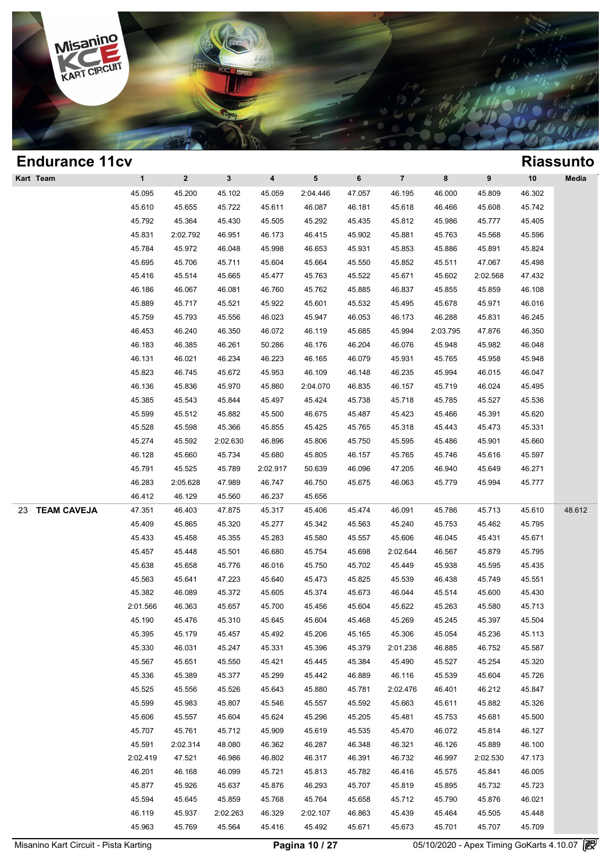

| <b>Endurance 11cv</b>    |              |                  |              |          |                 |        |                |          |          |        | <b>Riassunto</b> |
|--------------------------|--------------|------------------|--------------|----------|-----------------|--------|----------------|----------|----------|--------|------------------|
| Kart Team                | $\mathbf{1}$ | $\boldsymbol{2}$ | $\mathbf{3}$ | 4        | $5\phantom{.0}$ | 6      | $\overline{7}$ | 8        | 9        | $10$   | Media            |
|                          | 45.095       | 45.200           | 45.102       | 45.059   | 2:04.446        | 47.057 | 46.195         | 46.000   | 45.809   | 46.302 |                  |
|                          | 45.610       | 45.655           | 45.722       | 45.611   | 46.087          | 46.181 | 45.618         | 46.466   | 45.608   | 45.742 |                  |
|                          | 45.792       | 45.364           | 45.430       | 45.505   | 45.292          | 45.435 | 45.812         | 45.986   | 45.777   | 45.405 |                  |
|                          | 45.831       | 2:02.792         | 46.951       | 46.173   | 46.415          | 45.902 | 45.881         | 45.763   | 45.568   | 45.596 |                  |
|                          | 45.784       | 45.972           | 46.048       | 45.998   | 46.653          | 45.931 | 45.853         | 45.886   | 45.891   | 45.824 |                  |
|                          | 45.695       | 45.706           | 45.711       | 45.604   | 45.664          | 45.550 | 45.852         | 45.511   | 47.067   | 45.498 |                  |
|                          | 45.416       | 45.514           | 45.665       | 45.477   | 45.763          | 45.522 | 45.671         | 45.602   | 2:02.568 | 47.432 |                  |
|                          | 46.186       | 46.067           | 46.081       | 46.760   | 45.762          | 45.885 | 46.837         | 45.855   | 45.859   | 46.108 |                  |
|                          | 45.889       | 45.717           | 45.521       | 45.922   | 45.601          | 45.532 | 45.495         | 45.678   | 45.971   | 46.016 |                  |
|                          | 45.759       | 45.793           | 45.556       | 46.023   | 45.947          | 46.053 | 46.173         | 46.288   | 45.831   | 46.245 |                  |
|                          | 46.453       | 46.240           | 46.350       | 46.072   | 46.119          | 45.685 | 45.994         | 2:03.795 | 47.876   | 46.350 |                  |
|                          | 46.183       | 46.385           | 46.261       | 50.286   | 46.176          | 46.204 | 46.076         | 45.948   | 45.982   | 46.048 |                  |
|                          | 46.131       | 46.021           | 46.234       | 46.223   | 46.165          | 46.079 | 45.931         | 45.765   | 45.958   | 45.948 |                  |
|                          | 45.823       | 46.745           | 45.672       | 45.953   | 46.109          | 46.148 | 46.235         | 45.994   | 46.015   | 46.047 |                  |
|                          | 46.136       | 45.836           | 45.970       | 45.860   | 2:04.070        | 46.835 | 46.157         | 45.719   | 46.024   | 45.495 |                  |
|                          | 45.385       | 45.543           | 45.844       | 45.497   | 45.424          | 45.738 | 45.718         | 45.785   | 45.527   | 45.536 |                  |
|                          | 45.599       | 45.512           | 45.882       | 45.500   | 46.675          | 45.487 | 45.423         | 45.466   | 45.391   | 45.620 |                  |
|                          | 45.528       | 45.598           | 45.366       | 45.855   | 45.425          | 45.765 | 45.318         | 45.443   | 45.473   | 45.331 |                  |
|                          | 45.274       | 45.592           | 2:02.630     | 46.896   | 45.806          | 45.750 | 45.595         | 45.486   | 45.901   | 45.660 |                  |
|                          | 46.128       | 45.660           | 45.734       | 45.680   | 45.805          | 46.157 | 45.765         | 45.746   | 45.616   | 45.597 |                  |
|                          | 45.791       | 45.525           | 45.789       | 2:02.917 | 50.639          | 46.096 | 47.205         | 46.940   | 45.649   | 46.271 |                  |
|                          | 46.283       | 2:05.628         | 47.989       | 46.747   | 46.750          | 45.675 | 46.063         | 45.779   | 45.994   | 45.777 |                  |
|                          | 46.412       | 46.129           | 45.560       | 46.237   | 45.656          |        |                |          |          |        |                  |
| <b>TEAM CAVEJA</b><br>23 | 47.351       | 46.403           | 47.875       | 45.317   | 45.406          | 45.474 | 46.091         | 45.786   | 45.713   | 45.610 | 48.612           |
|                          | 45.409       | 45.865           | 45.320       | 45.277   | 45.342          | 45.563 | 45.240         | 45.753   | 45.462   | 45.795 |                  |
|                          | 45.433       | 45.458           | 45.355       | 45.283   | 45.580          | 45.557 | 45.606         | 46.045   | 45.431   | 45.671 |                  |
|                          | 45.457       | 45.448           | 45.501       | 46.680   | 45.754          | 45.698 | 2:02.644       | 46.567   | 45.879   | 45.795 |                  |
|                          | 45.638       | 45.658           | 45.776       | 46.016   | 45.750          | 45.702 | 45.449         | 45.938   | 45.595   | 45.435 |                  |
|                          | 45.563       | 45.641           | 47.223       | 45.640   | 45.473          | 45.825 | 45.539         | 46.438   | 45.749   | 45.551 |                  |
|                          | 45.382       | 46.089           | 45.372       | 45.605   | 45.374          | 45.673 | 46.044         | 45.514   | 45.600   | 45.430 |                  |
|                          | 2:01.566     | 46.363           | 45.657       | 45.700   | 45.456          | 45.604 | 45.622         | 45.263   | 45.580   | 45.713 |                  |
|                          | 45.190       | 45.476           | 45.310       | 45.645   | 45.604          | 45.468 | 45.269         | 45.245   | 45.397   | 45.504 |                  |
|                          | 45.395       | 45.179           | 45.457       | 45.492   | 45.206          | 45.165 | 45.306         | 45.054   | 45.236   | 45.113 |                  |
|                          | 45.330       | 46.031           | 45.247       | 45.331   | 45.396          | 45.379 | 2:01.238       | 46.885   | 46.752   | 45.587 |                  |
|                          | 45.567       | 45.651           | 45.550       | 45.421   | 45.445          | 45.384 | 45.490         | 45.527   | 45.254   | 45.320 |                  |
|                          | 45.336       | 45.389           | 45.377       | 45.299   | 45.442          | 46.889 | 46.116         | 45.539   | 45.604   | 45.726 |                  |
|                          | 45.525       | 45.556           | 45.526       | 45.643   | 45.880          | 45.781 | 2:02.476       | 46.401   | 46.212   | 45.847 |                  |
|                          | 45.599       | 45.983           | 45.807       | 45.546   | 45.557          | 45.592 | 45.663         | 45.611   | 45.882   | 45.326 |                  |
|                          | 45.606       | 45.557           | 45.604       | 45.624   | 45.296          | 45.205 | 45.481         | 45.753   | 45.681   | 45.500 |                  |
|                          | 45.707       | 45.761           | 45.712       | 45.909   | 45.619          | 45.535 | 45.470         | 46.072   | 45.814   | 46.127 |                  |
|                          | 45.591       | 2:02.314         | 48.080       | 46.362   | 46.287          | 46.348 | 46.321         | 46.126   | 45.889   | 46.100 |                  |
|                          | 2:02.419     | 47.521           | 46.986       | 46.802   | 46.317          | 46.391 | 46.732         | 46.997   | 2:02.530 | 47.173 |                  |
|                          | 46.201       | 46.168           | 46.099       | 45.721   | 45.813          | 45.782 | 46.416         | 45.575   | 45.841   | 46.005 |                  |
|                          | 45.877       | 45.926           | 45.637       | 45.876   | 46.293          | 45.707 | 45.819         | 45.895   | 45.732   | 45.723 |                  |
|                          | 45.594       | 45.645           | 45.859       | 45.768   | 45.764          | 45.658 | 45.712         | 45.790   | 45.876   | 46.021 |                  |
|                          | 46.119       | 45.937           | 2:02.263     | 46.329   | 2:02.107        | 46.863 | 45.439         | 45.464   | 45.505   | 45.448 |                  |
|                          | 45.963       | 45.769           | 45.564       | 45.416   | 45.492          | 45.671 | 45.673         | 45.701   | 45.707   | 45.709 |                  |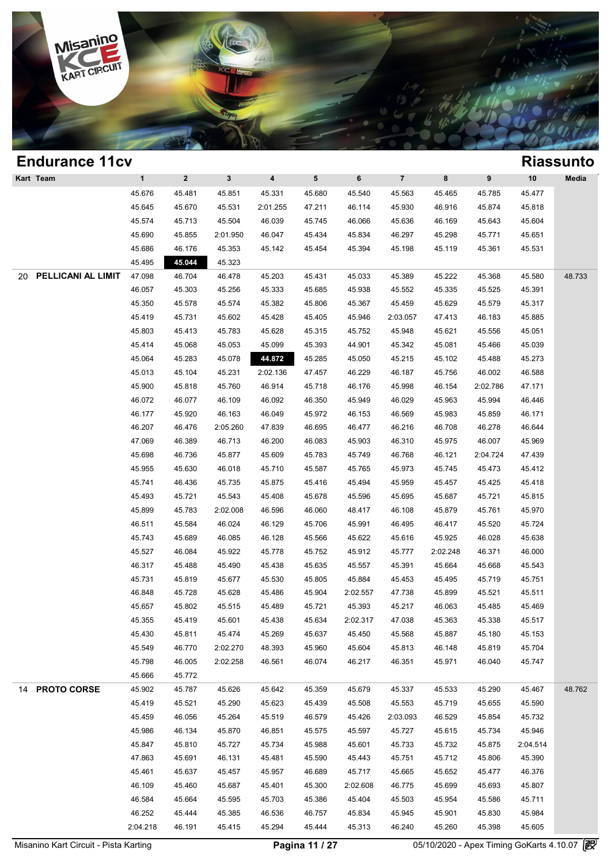

### **Endurance 11cv Riassunto Kart Team 1 2 3 4 5 6 7 8 9 10 Media Process 25.676 45.481 45.851 45.331 45.680 45.563 45.465 45.785 45.477 46.686** 45.670 45.670 45.570 45.570 45.570 45.570 45.570 45.570 45.570 45.570 45.570 45.570 45.570 45.570 45.570 45.570 45.570 45.570 45.570 45.570 45 1 2 3 4 5 6 7 8 9 10 Med<br>45.676 45.481 45.851 45.331 45.680 45.540 45.563 45.465 45.785 45.477<br>45.645 45.670 45.531 2:01.255 47.211 46.114 45.930 46.916 45.874 45.818<br>45.574 45.713 45.504 46.930 45.745 46.966 45.636 46.460 1 2 3 4 5 6 7 8 9 10 Med<br>45.676 45.481 45.851 45.331 45.680 45.540 45.563 45.465 45.785 45.477<br>45.645 45.670 45.531 2:01.255 47.211 46.114 45.930 46.916 45.874 45.818<br>45.574 45.713 45.504 46.039 45.745 46.066 45.636 46.169 45.676 45.481 45.851 45.331 45.680 45.540 45.563 45.465 45.785 45.477<br>45.645 45.670 45.531 2:01.255 47.211 46.114 45.930 46.916 45.874 45.818<br>45.574 45.713 45.504 46.039 45.745 46.066 45.636 46.169 45.643 45.604<br>45.690 45.8 45.645 45.670 45.531 2:01.255 47.211 46.114 45.930 46.916 45.874 45.818<br>45.574 45.713 45.504 46.039 45.745 46.066 45.636 46.169 45.643 45.604<br>45.690 45.855 2:01.950 46.047 45.434 45.834 46.297 45.298 45.771 45.651<br>45.686 46 45.495 **45.044** 45.323 20 **PELLICANI AL LIMITE** 47.098 46.704 46.478 45.203 45.431 45.033 45.389 45.222 45.368 45.580 48.733 45.686 46.176 45.353 45.142 45.454 45.394 45.198 45.119 45.361 45.531<br>45.495 45.044 45.323<br>47.098 46.704 46.478 45.203 45.431 45.033 45.389 45.222 45.368 45.580 48.73<br>46.057 45.303 45.256 45.333 45.685 45.938 45.552 45.335 45.495 45.044 45.323<br>47.098 46.704 46.478 45.203 45.431 45.033 45.389 45.222 45.368 45.580 48.7<br>46.057 45.303 45.256 45.333 45.685 45.938 45.552 45.335 45.525 45.391<br>45.350 45.578 45.574 45.382 45.806 45.367 45.459 45.629 4 46.057 46.704 46.478 45.203 45.431 45.033 45.389 45.222 45.368 45.580 48.7<br>46.057 45.303 45.256 45.333 45.685 45.938 45.552 45.335 45.525 45.391<br>45.350 45.578 45.574 45.382 45.806 45.367 45.459 45.629 45.579 45.317<br>45.419 46.057 45.303 45.256 45.333 45.685 45.938 45.552 45.335 45.525 45.391<br>45.350 45.578 45.574 45.382 45.806 45.367 45.459 45.629 45.579 45.317<br>45.419 45.731 45.602 45.428 45.405 45.946 2:03.057 47.413 46.183 45.885<br>45.803 45. 45.350 45.578 45.574 45.382 45.806 45.367 45.459 45.629 45.579 45.317<br>45.419 45.731 45.602 45.428 45.405 45.946 2:03.057 47.413 46.183 45.885<br>45.803 45.413 45.783 45.628 45.315 45.752 45.948 45.621 45.556 45.051<br>45.414 45. 45.419 45.731 45.602 45.428 45.405 45.946 2:03.057 47.413 46.183 45.885<br>45.803 45.413 45.783 45.628 45.315 45.752 45.948 45.621 45.556 45.051<br>45.414 45.068 45.053 45.099 45.393 44.901 45.342 45.081 45.466 45.039<br>45.064 45. 45.803 45.413 45.783 45.628 45.315 45.752 45.948 45.621 45.556 45.051<br>45.414 45.068 45.053 45.099 45.393 44.901 45.342 45.081 45.466 45.039<br>45.064 45.283 45.078 44.872 45.285 45.050 45.215 45.102 45.488 45.273<br>45.013 45.10 45.414 45.068 45.053 45.099 45.393 44.901 45.342 45.081 45.466 45.039<br>45.064 45.283 45.078 44.872 45.285 45.050 45.215 45.102 45.488 45.273<br>45.013 45.104 45.231 2:02.136 47.457 46.229 46.187 45.756 46.002 46.588<br>45.900 45.8 45.064 45.283 45.078 44.872 45.285 45.050 45.215 45.102 45.488 45.273<br>45.013 45.104 45.231 2:02.136 47.457 46.229 46.187 45.756 46.002 46.588<br>45.900 45.818 45.760 46.914 45.718 46.176 45.998 46.154 2:02.786 47.171<br>46.072 46 46.073 45.104 45.231 2:02.136 47.457 46.229 46.187 45.756 46.002 46.588<br>45.900 45.818 45.760 46.914 45.718 46.176 45.998 46.154 2:02.786 47.171<br>46.072 46.077 46.109 46.092 46.350 45.949 46.029 45.963 45.994 46.446<br>46.177 4 46.072 46.077 46.109 46.914 45.718 46.176 45.998 46.154 2:02.786 47.171<br>46.072 46.077 46.109 46.092 46.350 45.949 46.029 45.963 45.994 46.446<br>46.177 45.920 46.163 46.049 45.972 46.153 46.569 45.983 45.859 46.171<br>46.207 46. 46.072 46.077 46.109 46.092 46.350 45.949 46.029 45.963 45.994 46.446<br>46.177 45.920 46.163 46.049 45.972 46.153 46.569 45.983 45.859 46.171<br>46.207 46.476 2:05.260 47.839 46.695 46.477 46.216 46.708 46.278 46.644<br>47.069 46. 46.177 45.920 46.163 46.049 45.972 46.153 46.569 45.983 45.859 46.171<br>46.207 46.476 2:05.260 47.839 46.695 46.477 46.216 46.708 46.278 46.644<br>47.069 46.389 46.713 46.200 46.083 45.903 46.310 45.975 46.007 45.969<br>45.698 46. 46.207 46.476 2:05.260 47.839 46.695 46.477 46.216 46.708 46.278 46.644<br>47.069 46.389 46.713 46.200 46.083 45.903 46.310 45.975 46.007 45.969<br>45.698 46.736 45.877 45.609 45.783 45.749 46.768 46.121 2:04.724 47.439<br>45.955 4 46.389 46.713 46.200 46.083 45.903 46.310 45.975 46.007 45.969<br>45.698 46.736 45.877 45.609 45.783 45.749 46.768 46.121 2:04.724 47.439<br>45.955 45.630 46.018 45.710 45.587 45.765 45.973 45.745 45.473 45.412<br>45.741 46.436 45. 45.698 46.736 45.877 45.609 45.783 45.749 46.768 46.121 2:04.724 47.439<br>45.955 45.630 46.018 45.710 45.587 45.765 45.973 45.745 45.473 45.412<br>45.741 46.436 45.735 45.875 45.416 45.494 45.959 45.457 45.425 45.418<br>45.493 45. 45.955 45.630 46.018 45.710 45.587 45.765 45.973 45.745 45.473 45.412<br>45.741 46.436 45.735 45.875 45.416 45.494 45.959 45.457 45.425 45.418<br>45.493 45.721 45.543 45.408 45.678 45.596 45.695 45.687 45.721 45.815<br>45.899 45.78 46.436 45.735 45.875 45.416 45.494 45.959 45.457 45.425 45.418<br>45.493 45.721 45.543 45.408 45.678 45.596 45.695 45.687 45.721 45.815<br>45.899 45.783 2:02.008 46.596 46.060 48.417 46.108 45.879 45.761 45.970<br>46.511 45.584 46. 45.493 45.721 45.543 45.408 45.678 45.596 45.695 45.687 45.721 45.815<br>45.899 45.783 2:02.008 46.596 46.060 48.417 46.108 45.879 45.761 45.970<br>46.511 45.584 46.024 46.129 45.706 45.991 46.495 46.417 45.520 45.724<br>45.743 45. 45.899 45.783 2:02.008 46.596 46.060 48.417 46.108 45.879 45.761 45.970<br>46.511 45.584 46.024 46.129 45.706 45.991 46.495 46.417 45.520 45.724<br>45.743 45.689 46.085 46.128 45.566 45.622 45.616 45.925 46.028 45.638<br>45.527 46. 46.511 45.584 46.024 46.129 45.706 45.991 46.495 46.417 45.520 45.724<br>45.743 45.689 46.085 46.128 45.566 45.622 45.616 45.925 46.028 45.638<br>45.527 46.084 45.922 45.778 45.752 45.912 45.777 2:02.248 46.371 46.000<br>46.317 45. 45.743 45.689 46.085 46.128 45.566 45.622 45.616 45.925 46.028 45.638<br>45.527 46.084 45.922 45.778 45.752 45.912 45.777 2:02.248 46.371 46.000<br>46.317 45.488 45.490 45.438 45.635 45.557 45.391 45.664 45.668 45.543<br>45.731 45. 46.527 46.084 45.922 45.778 45.752 45.912 45.777 2:02.248 46.371 46.000<br>46.317 45.488 45.490 45.438 45.635 45.557 45.391 45.664 45.668 45.543<br>45.731 45.819 45.677 45.530 45.805 45.884 45.453 45.495 45.719 45.751<br>46.848 45. 46.317 45.488 45.490 45.438 45.635 45.557 45.391 45.664 45.668 45.543<br>45.731 45.819 45.677 45.530 45.805 45.884 45.453 45.495 45.719 45.751<br>46.848 45.728 45.628 45.486 45.904 2:02.557 47.738 45.899 45.521 45.511<br>45.657 45. 45.731 45.819 45.677 45.530 45.805 45.884 45.453 45.495 45.719 45.751<br>46.848 45.728 45.628 45.486 45.904 2:02.557 47.738 45.899 45.521 45.511<br>45.657 45.802 45.515 45.489 45.721 45.393 45.217 46.063 45.485 45.469<br>45.355 45. 46.848 45.728 45.628 45.486 45.904 2:02.557 47.738 45.899 45.521 45.511<br>45.657 45.802 45.515 45.489 45.721 45.393 45.217 46.063 45.485 45.469<br>45.355 45.419 45.601 45.438 45.634 2:02.317 47.038 45.363 45.338 45.517<br>45.430 4 45.657 45.802 45.515 45.489 45.721 45.393 45.217 46.063 45.485 45.469<br>45.355 45.419 45.601 45.438 45.634 2:02.317 47.038 45.363 45.338 45.517<br>45.430 45.811 45.474 45.269 45.637 45.450 45.568 45.887 45.180 45.153<br>45.549 46. 45.355 45.419 45.601 45.438 45.634 2:02.317 47.038 45.363 45.338 45.517<br>45.430 45.811 45.474 45.269 45.637 45.450 45.568 45.887 45.180 45.153<br>45.549 46.770 2:02.270 48.393 45.960 45.604 45.813 46.148 45.819 45.704<br>45.798 4 45.430 45.811 45.43<br>45.549 46.770 2:02.2<br>45.798 46.005 2:02.2<br>45.666 45.772 14 **PROTO CORSE** 45.902 45.787 45.626 45.642 45.359 45.679 45.337 45.533 45.290 45.467 48.762 46.798 46.005 2:02.258 46.561 46.074 46.217 46.351 45.971 46.040 45.747<br>45.666 45.772 45.626 45.642 45.359 45.679 45.337 45.533 45.290 45.467 48.71<br>45.419 45.521 45.290 45.623 45.439 45.508 45.553 45.719 45.655 45.590<br>45.4 45.666 45.772<br>45.902 45.787 45.626 45.642 45.359 45.679 45.337 45.533 45.290 45.467 48.7<br>45.419 45.521 45.290 45.623 45.439 45.508 45.553 45.719 45.655 45.590<br>45.459 46.056 45.264 45.519 46.579 45.426 2:03.093 46.529 45.85 45.902 45.787 45.626 45.642 45.359 45.679 45.337 45.533 45.290 45.467 48.7<br>45.419 45.521 45.290 45.623 45.439 45.508 45.553 45.719 45.655 45.590<br>45.459 46.056 45.264 45.519 46.579 45.426 2:03.093 46.529 45.854 45.732<br>45.98 45.419 45.521 45.290 45.623 45.439 45.508 45.553 45.719 45.655 45.590<br>45.459 46.056 45.264 45.519 46.579 45.426 2:03.093 46.529 45.854 45.732<br>45.986 46.134 45.870 46.851 45.575 45.597 45.727 45.615 45.734 45.946<br>45.847 45.8 46.459 46.056 45.264 45.519 46.579 45.426 2:03.093 46.529 45.854 45.732<br>45.986 46.134 45.870 46.851 45.575 45.597 45.727 45.615 45.734 45.946<br>45.847 45.810 45.727 45.734 45.988 45.601 45.733 45.732 45.875 2:04.514<br>47.863 4 45.986 46.134 45.870 46.851 45.575 45.597 45.727 45.615 45.734 45.946<br>45.847 45.810 45.727 45.734 45.988 45.601 45.733 45.732 45.875 2:04.514<br>47.863 45.691 46.131 45.481 45.590 45.443 45.751 45.712 45.806 45.390<br>45.461 45. 45.847 45.810 45.727 45.734 45.988 45.601 45.733 45.732 45.875 2:04.514<br>47.863 45.691 46.131 45.481 45.590 45.443 45.751 45.712 45.806 45.390<br>45.461 45.637 45.457 45.957 46.689 45.717 45.665 45.652 45.477 46.376<br>46.109 45. 47.863 45.691 46.131 45.481 45.590 45.443 45.751 45.712 45.806 45.390<br>45.461 45.637 45.457 45.957 46.689 45.717 45.665 45.652 45.477 46.376<br>46.109 45.460 45.687 45.401 45.300 2:02.608 46.775 45.699 45.693 45.807<br>46.584 45. 46.461 45.637 45.457 45.957 46.689 45.717 45.665 45.652 45.477 46.376<br>46.109 45.460 45.687 45.401 45.300 2:02.608 46.775 45.699 45.693 45.807<br>46.584 45.664 45.595 45.703 45.386 45.404 45.503 45.954 45.586 45.711<br>46.252 45. 46.109 45.460 45.687 45.401 45.300 2:02.608 46.775 45.699 45.693 45.807<br>46.584 45.664 45.595 45.703 45.386 45.404 45.503 45.954 45.586 45.711<br>46.252 45.444 45.385 46.536 46.757 45.834 45.945 45.901 45.830 45.984<br>2:04.218 4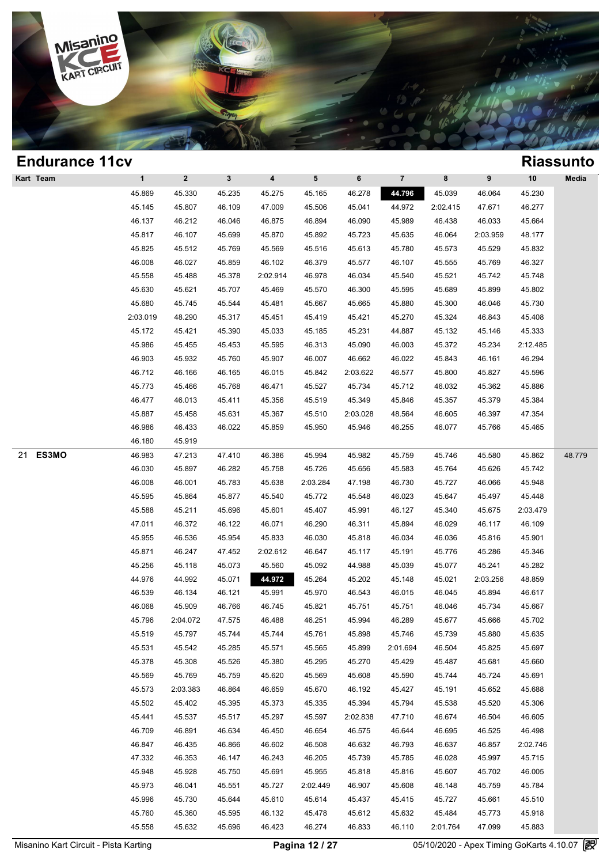

| <b>Endurance 11cv</b> |              |              |              |                         |          |          |          |          |          |          | <b>Riassunto</b> |
|-----------------------|--------------|--------------|--------------|-------------------------|----------|----------|----------|----------|----------|----------|------------------|
| Kart Team             | $\mathbf{1}$ | $\mathbf{2}$ | $\mathbf{3}$ | $\overline{\mathbf{4}}$ | 5        | 6        | $\bf 7$  | 8        | 9        | 10       | Media            |
|                       | 45.869       | 45.330       | 45.235       | 45.275                  | 45.165   | 46.278   | 44.796   | 45.039   | 46.064   | 45.230   |                  |
|                       | 45.145       | 45.807       | 46.109       | 47.009                  | 45.506   | 45.041   | 44.972   | 2:02.415 | 47.671   | 46.277   |                  |
|                       | 46.137       | 46.212       | 46.046       | 46.875                  | 46.894   | 46.090   | 45.989   | 46.438   | 46.033   | 45.664   |                  |
|                       | 45.817       | 46.107       | 45.699       | 45.870                  | 45.892   | 45.723   | 45.635   | 46.064   | 2:03.959 | 48.177   |                  |
|                       | 45.825       | 45.512       | 45.769       | 45.569                  | 45.516   | 45.613   | 45.780   | 45.573   | 45.529   | 45.832   |                  |
|                       | 46.008       | 46.027       | 45.859       | 46.102                  | 46.379   | 45.577   | 46.107   | 45.555   | 45.769   | 46.327   |                  |
|                       | 45.558       | 45.488       | 45.378       | 2:02.914                | 46.978   | 46.034   | 45.540   | 45.521   | 45.742   | 45.748   |                  |
|                       | 45.630       | 45.621       | 45.707       | 45.469                  | 45.570   | 46.300   | 45.595   | 45.689   | 45.899   | 45.802   |                  |
|                       | 45.680       | 45.745       | 45.544       | 45.481                  | 45.667   | 45.665   | 45.880   | 45.300   | 46.046   | 45.730   |                  |
|                       | 2:03.019     | 48.290       | 45.317       | 45.451                  | 45.419   | 45.421   | 45.270   | 45.324   | 46.843   | 45.408   |                  |
|                       | 45.172       | 45.421       | 45.390       | 45.033                  | 45.185   | 45.231   | 44.887   | 45.132   | 45.146   | 45.333   |                  |
|                       | 45.986       | 45.455       | 45.453       | 45.595                  | 46.313   | 45.090   | 46.003   | 45.372   | 45.234   | 2:12.485 |                  |
|                       | 46.903       | 45.932       | 45.760       | 45.907                  | 46.007   | 46.662   | 46.022   | 45.843   | 46.161   | 46.294   |                  |
|                       | 46.712       | 46.166       | 46.165       | 46.015                  | 45.842   | 2:03.622 | 46.577   | 45.800   | 45.827   | 45.596   |                  |
|                       | 45.773       | 45.466       | 45.768       | 46.471                  | 45.527   | 45.734   | 45.712   | 46.032   | 45.362   | 45.886   |                  |
|                       | 46.477       | 46.013       | 45.411       | 45.356                  | 45.519   | 45.349   | 45.846   | 45.357   | 45.379   | 45.384   |                  |
|                       | 45.887       | 45.458       | 45.631       | 45.367                  | 45.510   | 2:03.028 | 48.564   | 46.605   | 46.397   | 47.354   |                  |
|                       | 46.986       | 46.433       | 46.022       | 45.859                  | 45.950   | 45.946   | 46.255   | 46.077   | 45.766   | 45.465   |                  |
|                       | 46.180       | 45.919       |              |                         |          |          |          |          |          |          |                  |
| ES3MO<br>21           | 46.983       | 47.213       | 47.410       | 46.386                  | 45.994   | 45.982   | 45.759   | 45.746   | 45.580   | 45.862   | 48.779           |
|                       | 46.030       | 45.897       | 46.282       | 45.758                  | 45.726   | 45.656   | 45.583   | 45.764   | 45.626   | 45.742   |                  |
|                       | 46.008       | 46.001       | 45.783       | 45.638                  | 2:03.284 | 47.198   | 46.730   | 45.727   | 46.066   | 45.948   |                  |
|                       | 45.595       | 45.864       | 45.877       | 45.540                  | 45.772   | 45.548   | 46.023   | 45.647   | 45.497   | 45.448   |                  |
|                       | 45.588       | 45.211       | 45.696       | 45.601                  | 45.407   | 45.991   | 46.127   | 45.340   | 45.675   | 2:03.479 |                  |
|                       | 47.011       | 46.372       | 46.122       | 46.071                  | 46.290   | 46.311   | 45.894   | 46.029   | 46.117   | 46.109   |                  |
|                       | 45.955       | 46.536       | 45.954       | 45.833                  | 46.030   | 45.818   | 46.034   | 46.036   | 45.816   | 45.901   |                  |
|                       | 45.871       | 46.247       | 47.452       | 2:02.612                | 46.647   | 45.117   | 45.191   | 45.776   | 45.286   | 45.346   |                  |
|                       | 45.256       | 45.118       | 45.073       | 45.560                  | 45.092   | 44.988   | 45.039   | 45.077   | 45.241   | 45.282   |                  |
|                       | 44.976       | 44.992       | 45.071       | 44.972                  | 45.264   | 45.202   | 45.148   | 45.021   | 2:03.256 | 48.859   |                  |
|                       | 46.539       | 46.134       | 46.121       | 45.991                  | 45.970   | 46.543   | 46.015   | 46.045   | 45.894   | 46.617   |                  |
|                       | 46.068       | 45.909       | 46.766       | 46.745                  | 45.821   | 45.751   | 45.751   | 46.046   | 45.734   | 45.667   |                  |
|                       | 45.796       | 2:04.072     | 47.575       | 46.488                  | 46.251   | 45.994   | 46.289   | 45.677   | 45.666   | 45.702   |                  |
|                       | 45.519       | 45.797       | 45.744       | 45.744                  | 45.761   | 45.898   | 45.746   | 45.739   | 45.880   | 45.635   |                  |
|                       | 45.531       | 45.542       | 45.285       | 45.571                  | 45.565   | 45.899   | 2:01.694 | 46.504   | 45.825   | 45.697   |                  |
|                       | 45.378       | 45.308       | 45.526       | 45.380                  | 45.295   | 45.270   | 45.429   | 45.487   | 45.681   | 45.660   |                  |
|                       | 45.569       | 45.769       | 45.759       | 45.620                  | 45.569   | 45.608   | 45.590   | 45.744   | 45.724   | 45.691   |                  |
|                       | 45.573       | 2:03.383     | 46.864       | 46.659                  | 45.670   | 46.192   | 45.427   | 45.191   | 45.652   | 45.688   |                  |
|                       | 45.502       | 45.402       | 45.395       | 45.373                  | 45.335   | 45.394   | 45.794   | 45.538   | 45.520   | 45.306   |                  |
|                       | 45.441       | 45.537       | 45.517       | 45.297                  | 45.597   | 2:02.838 | 47.710   | 46.674   | 46.504   | 46.605   |                  |
|                       | 46.709       | 46.891       | 46.634       | 46.450                  | 46.654   | 46.575   | 46.644   | 46.695   | 46.525   | 46.498   |                  |
|                       | 46.847       | 46.435       | 46.866       | 46.602                  | 46.508   | 46.632   | 46.793   | 46.637   | 46.857   | 2:02.746 |                  |
|                       | 47.332       | 46.353       | 46.147       | 46.243                  | 46.205   | 45.739   | 45.785   | 46.028   | 45.997   | 45.715   |                  |
|                       | 45.948       | 45.928       | 45.750       | 45.691                  | 45.955   | 45.818   | 45.816   | 45.607   | 45.702   | 46.005   |                  |
|                       | 45.973       | 46.041       | 45.551       | 45.727                  | 2:02.449 | 46.907   | 45.608   | 46.148   | 45.759   | 45.784   |                  |
|                       | 45.996       | 45.730       | 45.644       | 45.610                  | 45.614   | 45.437   | 45.415   | 45.727   | 45.661   | 45.510   |                  |
|                       | 45.760       | 45.360       | 45.595       | 46.132                  | 45.478   | 45.612   | 45.632   | 45.484   | 45.773   | 45.918   |                  |
|                       | 45.558       | 45.632       | 45.696       | 46.423                  | 46.274   | 46.833   | 46.110   | 2:01.764 | 47.099   | 45.883   |                  |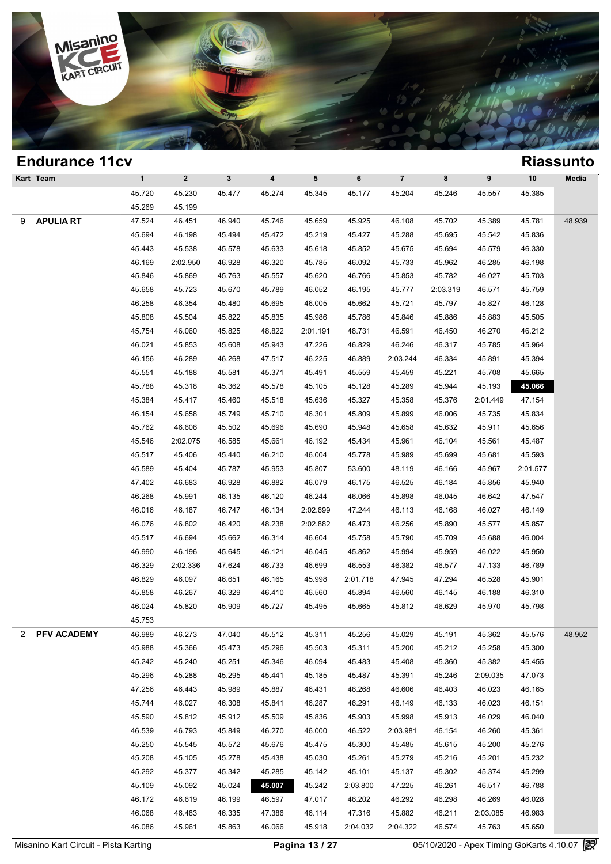

|   | <b>Endurance 11cv</b> |              |              |              |                         |          |          |                |          |          |          | <b>Riassunto</b> |
|---|-----------------------|--------------|--------------|--------------|-------------------------|----------|----------|----------------|----------|----------|----------|------------------|
|   | Kart Team             | $\mathbf{1}$ | $\mathbf{2}$ | $\mathbf{3}$ | $\overline{\mathbf{4}}$ | 5        | 6        | $\overline{7}$ | 8        | 9        | 10       | Media            |
|   |                       | 45.720       | 45.230       | 45.477       | 45.274                  | 45.345   | 45.177   | 45.204         | 45.246   | 45.557   | 45.385   |                  |
|   |                       | 45.269       | 45.199       |              |                         |          |          |                |          |          |          |                  |
| 9 | <b>APULIA RT</b>      | 47.524       | 46.451       | 46.940       | 45.746                  | 45.659   | 45.925   | 46.108         | 45.702   | 45.389   | 45.781   | 48.939           |
|   |                       | 45.694       | 46.198       | 45.494       | 45.472                  | 45.219   | 45.427   | 45.288         | 45.695   | 45.542   | 45.836   |                  |
|   |                       | 45.443       | 45.538       | 45.578       | 45.633                  | 45.618   | 45.852   | 45.675         | 45.694   | 45.579   | 46.330   |                  |
|   |                       | 46.169       | 2:02.950     | 46.928       | 46.320                  | 45.785   | 46.092   | 45.733         | 45.962   | 46.285   | 46.198   |                  |
|   |                       | 45.846       | 45.869       | 45.763       | 45.557                  | 45.620   | 46.766   | 45.853         | 45.782   | 46.027   | 45.703   |                  |
|   |                       | 45.658       | 45.723       | 45.670       | 45.789                  | 46.052   | 46.195   | 45.777         | 2:03.319 | 46.571   | 45.759   |                  |
|   |                       | 46.258       | 46.354       | 45.480       | 45.695                  | 46.005   | 45.662   | 45.721         | 45.797   | 45.827   | 46.128   |                  |
|   |                       | 45.808       | 45.504       | 45.822       | 45.835                  | 45.986   | 45.786   | 45.846         | 45.886   | 45.883   | 45.505   |                  |
|   |                       | 45.754       | 46.060       | 45.825       | 48.822                  | 2:01.191 | 48.731   | 46.591         | 46.450   | 46.270   | 46.212   |                  |
|   |                       | 46.021       | 45.853       | 45.608       | 45.943                  | 47.226   | 46.829   | 46.246         | 46.317   | 45.785   | 45.964   |                  |
|   |                       | 46.156       | 46.289       | 46.268       | 47.517                  | 46.225   | 46.889   | 2:03.244       | 46.334   | 45.891   | 45.394   |                  |
|   |                       | 45.551       | 45.188       | 45.581       | 45.371                  | 45.491   | 45.559   | 45.459         | 45.221   | 45.708   | 45.665   |                  |
|   |                       | 45.788       | 45.318       | 45.362       | 45.578                  | 45.105   | 45.128   | 45.289         | 45.944   | 45.193   | 45.066   |                  |
|   |                       | 45.384       | 45.417       | 45.460       | 45.518                  | 45.636   | 45.327   | 45.358         | 45.376   | 2:01.449 | 47.154   |                  |
|   |                       | 46.154       | 45.658       | 45.749       | 45.710                  | 46.301   | 45.809   | 45.899         | 46.006   | 45.735   | 45.834   |                  |
|   |                       | 45.762       | 46.606       | 45.502       | 45.696                  | 45.690   | 45.948   | 45.658         | 45.632   | 45.911   | 45.656   |                  |
|   |                       | 45.546       | 2:02.075     | 46.585       | 45.661                  | 46.192   | 45.434   | 45.961         | 46.104   | 45.561   | 45.487   |                  |
|   |                       | 45.517       | 45.406       | 45.440       | 46.210                  | 46.004   | 45.778   | 45.989         | 45.699   | 45.681   | 45.593   |                  |
|   |                       | 45.589       | 45.404       | 45.787       | 45.953                  | 45.807   | 53.600   | 48.119         | 46.166   | 45.967   | 2:01.577 |                  |
|   |                       | 47.402       | 46.683       | 46.928       | 46.882                  | 46.079   | 46.175   | 46.525         | 46.184   | 45.856   | 45.940   |                  |
|   |                       | 46.268       | 45.991       | 46.135       | 46.120                  | 46.244   | 46.066   | 45.898         | 46.045   | 46.642   | 47.547   |                  |
|   |                       | 46.016       | 46.187       | 46.747       | 46.134                  | 2:02.699 | 47.244   | 46.113         | 46.168   | 46.027   | 46.149   |                  |
|   |                       | 46.076       | 46.802       | 46.420       | 48.238                  | 2:02.882 | 46.473   | 46.256         | 45.890   | 45.577   | 45.857   |                  |
|   |                       | 45.517       | 46.694       | 45.662       | 46.314                  | 46.604   | 45.758   | 45.790         | 45.709   | 45.688   | 46.004   |                  |
|   |                       | 46.990       | 46.196       | 45.645       | 46.121                  | 46.045   | 45.862   | 45.994         | 45.959   | 46.022   | 45.950   |                  |
|   |                       | 46.329       | 2:02.336     | 47.624       | 46.733                  | 46.699   | 46.553   | 46.382         | 46.577   | 47.133   | 46.789   |                  |
|   |                       | 46.829       | 46.097       | 46.651       | 46.165                  | 45.998   | 2:01.718 | 47.945         | 47.294   | 46.528   | 45.901   |                  |
|   |                       | 45.858       | 46.267       | 46.329       | 46.410                  | 46.560   | 45.894   | 46.560         | 46.145   | 46.188   | 46.310   |                  |
|   |                       | 46.024       | 45.820       | 45.909       | 45.727                  | 45.495   | 45.665   | 45.812         | 46.629   | 45.970   | 45.798   |                  |
|   |                       | 45.753       |              |              |                         |          |          |                |          |          |          |                  |
| 2 | PFV ACADEMY           | 46.989       | 46.273       | 47.040       | 45.512                  | 45.311   | 45.256   | 45.029         | 45.191   | 45.362   | 45.576   | 48.952           |
|   |                       | 45.988       | 45.366       | 45.473       | 45.296                  | 45.503   | 45.311   | 45.200         | 45.212   | 45.258   | 45.300   |                  |
|   |                       | 45.242       | 45.240       | 45.251       | 45.346                  | 46.094   | 45.483   | 45.408         | 45.360   | 45.382   | 45.455   |                  |
|   |                       | 45.296       | 45.288       | 45.295       | 45.441                  | 45.185   | 45.487   | 45.391         | 45.246   | 2:09.035 | 47.073   |                  |
|   |                       | 47.256       | 46.443       | 45.989       | 45.887                  | 46.431   | 46.268   | 46.606         | 46.403   | 46.023   | 46.165   |                  |
|   |                       | 45.744       | 46.027       | 46.308       | 45.841                  | 46.287   | 46.291   | 46.149         | 46.133   | 46.023   | 46.151   |                  |
|   |                       | 45.590       | 45.812       | 45.912       | 45.509                  | 45.836   | 45.903   | 45.998         | 45.913   | 46.029   | 46.040   |                  |
|   |                       | 46.539       | 46.793       | 45.849       | 46.270                  | 46.000   | 46.522   | 2:03.981       | 46.154   | 46.260   | 45.361   |                  |
|   |                       | 45.250       | 45.545       | 45.572       | 45.676                  | 45.475   | 45.300   | 45.485         | 45.615   | 45.200   | 45.276   |                  |
|   |                       | 45.208       | 45.105       | 45.278       | 45.438                  | 45.030   | 45.261   | 45.279         | 45.216   | 45.201   | 45.232   |                  |
|   |                       | 45.292       | 45.377       | 45.342       | 45.285                  | 45.142   | 45.101   | 45.137         | 45.302   | 45.374   | 45.299   |                  |
|   |                       | 45.109       | 45.092       | 45.024       | 45.007                  | 45.242   | 2:03.800 | 47.225         | 46.261   | 46.517   | 46.788   |                  |
|   |                       | 46.172       | 46.619       | 46.199       | 46.597                  | 47.017   | 46.202   | 46.292         | 46.298   | 46.269   | 46.028   |                  |
|   |                       | 46.068       | 46.483       | 46.335       | 47.386                  | 46.114   | 47.316   | 45.882         | 46.211   | 2:03.085 | 46.983   |                  |
|   |                       | 46.086       | 45.961       | 45.863       | 46.066                  | 45.918   | 2:04.032 | 2:04.322       | 46.574   | 45.763   | 45.650   |                  |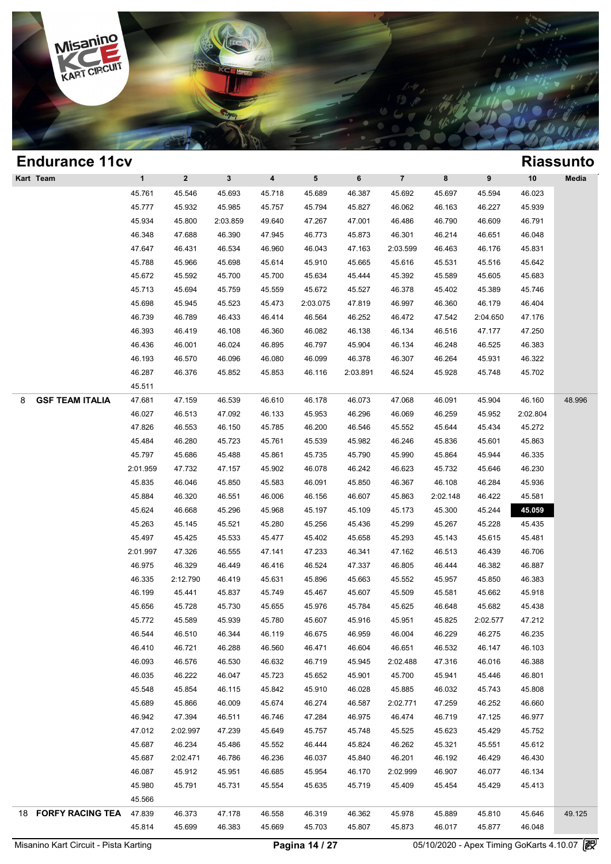

| <b>Endurance 11cv</b>       |              |              |              |        |          |          |                |          |          |          | <b>Riassunto</b> |
|-----------------------------|--------------|--------------|--------------|--------|----------|----------|----------------|----------|----------|----------|------------------|
| Kart Team                   | $\mathbf{1}$ | $\mathbf{2}$ | $\mathbf{3}$ | 4      | 5        | 6        | $\overline{7}$ | 8        | 9        | $10$     | Media            |
|                             | 45.761       | 45.546       | 45.693       | 45.718 | 45.689   | 46.387   | 45.692         | 45.697   | 45.594   | 46.023   |                  |
|                             | 45.777       | 45.932       | 45.985       | 45.757 | 45.794   | 45.827   | 46.062         | 46.163   | 46.227   | 45.939   |                  |
|                             | 45.934       | 45.800       | 2:03.859     | 49.640 | 47.267   | 47.001   | 46.486         | 46.790   | 46.609   | 46.791   |                  |
|                             | 46.348       | 47.688       | 46.390       | 47.945 | 46.773   | 45.873   | 46.301         | 46.214   | 46.651   | 46.048   |                  |
|                             | 47.647       | 46.431       | 46.534       | 46.960 | 46.043   | 47.163   | 2:03.599       | 46.463   | 46.176   | 45.831   |                  |
|                             | 45.788       | 45.966       | 45.698       | 45.614 | 45.910   | 45.665   | 45.616         | 45.531   | 45.516   | 45.642   |                  |
|                             | 45.672       | 45.592       | 45.700       | 45.700 | 45.634   | 45.444   | 45.392         | 45.589   | 45.605   | 45.683   |                  |
|                             | 45.713       | 45.694       | 45.759       | 45.559 | 45.672   | 45.527   | 46.378         | 45.402   | 45.389   | 45.746   |                  |
|                             | 45.698       | 45.945       | 45.523       | 45.473 | 2:03.075 | 47.819   | 46.997         | 46.360   | 46.179   | 46.404   |                  |
|                             | 46.739       | 46.789       | 46.433       | 46.414 | 46.564   | 46.252   | 46.472         | 47.542   | 2:04.650 | 47.176   |                  |
|                             | 46.393       | 46.419       | 46.108       | 46.360 | 46.082   | 46.138   | 46.134         | 46.516   | 47.177   | 47.250   |                  |
|                             | 46.436       | 46.001       | 46.024       | 46.895 | 46.797   | 45.904   | 46.134         | 46.248   | 46.525   | 46.383   |                  |
|                             | 46.193       | 46.570       | 46.096       | 46.080 | 46.099   | 46.378   | 46.307         | 46.264   | 45.931   | 46.322   |                  |
|                             | 46.287       | 46.376       | 45.852       | 45.853 | 46.116   | 2:03.891 | 46.524         | 45.928   | 45.748   | 45.702   |                  |
|                             | 45.511       |              |              |        |          |          |                |          |          |          |                  |
| <b>GSF TEAM ITALIA</b><br>8 | 47.681       | 47.159       | 46.539       | 46.610 | 46.178   | 46.073   | 47.068         | 46.091   | 45.904   | 46.160   | 48.996           |
|                             | 46.027       | 46.513       | 47.092       | 46.133 | 45.953   | 46.296   | 46.069         | 46.259   | 45.952   | 2:02.804 |                  |
|                             | 47.826       | 46.553       | 46.150       | 45.785 | 46.200   | 46.546   | 45.552         | 45.644   | 45.434   | 45.272   |                  |
|                             | 45.484       | 46.280       | 45.723       | 45.761 | 45.539   | 45.982   | 46.246         | 45.836   | 45.601   | 45.863   |                  |
|                             | 45.797       | 45.686       | 45.488       | 45.861 | 45.735   | 45.790   | 45.990         | 45.864   | 45.944   | 46.335   |                  |
|                             | 2:01.959     | 47.732       | 47.157       | 45.902 | 46.078   | 46.242   | 46.623         | 45.732   | 45.646   | 46.230   |                  |
|                             | 45.835       | 46.046       | 45.850       | 45.583 | 46.091   | 45.850   | 46.367         | 46.108   | 46.284   | 45.936   |                  |
|                             | 45.884       | 46.320       | 46.551       | 46.006 | 46.156   | 46.607   | 45.863         | 2:02.148 | 46.422   | 45.581   |                  |
|                             | 45.624       | 46.668       | 45.296       | 45.968 | 45.197   | 45.109   | 45.173         | 45.300   | 45.244   | 45.059   |                  |
|                             | 45.263       | 45.145       | 45.521       | 45.280 | 45.256   | 45.436   | 45.299         | 45.267   | 45.228   | 45.435   |                  |
|                             | 45.497       | 45.425       | 45.533       | 45.477 | 45.402   | 45.658   | 45.293         | 45.143   | 45.615   | 45.481   |                  |
|                             | 2:01.997     | 47.326       | 46.555       | 47.141 | 47.233   | 46.341   | 47.162         | 46.513   | 46.439   | 46.706   |                  |
|                             | 46.975       | 46.329       | 46.449       | 46.416 | 46.524   | 47.337   | 46.805         | 46.444   | 46.382   | 46.887   |                  |
|                             | 46.335       | 2:12.790     | 46.419       | 45.631 | 45.896   | 45.663   | 45.552         | 45.957   | 45.850   | 46.383   |                  |
|                             | 46.199       | 45.441       | 45.837       | 45.749 | 45.467   | 45.607   | 45.509         | 45.581   | 45.662   | 45.918   |                  |
|                             | 45.656       | 45.728       | 45.730       | 45.655 | 45.976   | 45.784   | 45.625         | 46.648   | 45.682   | 45.438   |                  |
|                             | 45.772       | 45.589       | 45.939       | 45.780 | 45.607   | 45.916   | 45.951         | 45.825   | 2:02.577 | 47.212   |                  |
|                             | 46.544       | 46.510       | 46.344       | 46.119 | 46.675   | 46.959   | 46.004         | 46.229   | 46.275   | 46.235   |                  |
|                             | 46.410       | 46.721       | 46.288       | 46.560 | 46.471   | 46.604   | 46.651         | 46.532   | 46.147   | 46.103   |                  |
|                             | 46.093       | 46.576       | 46.530       | 46.632 | 46.719   | 45.945   | 2:02.488       | 47.316   | 46.016   | 46.388   |                  |
|                             | 46.035       | 46.222       | 46.047       | 45.723 | 45.652   | 45.901   | 45.700         | 45.941   | 45.446   | 46.801   |                  |
|                             | 45.548       | 45.854       | 46.115       | 45.842 | 45.910   | 46.028   | 45.885         | 46.032   | 45.743   | 45.808   |                  |
|                             | 45.689       | 45.866       | 46.009       | 45.674 | 46.274   | 46.587   | 2:02.771       | 47.259   | 46.252   | 46.660   |                  |
|                             | 46.942       | 47.394       | 46.511       | 46.746 | 47.284   | 46.975   | 46.474         | 46.719   | 47.125   | 46.977   |                  |
|                             | 47.012       | 2:02.997     | 47.239       | 45.649 | 45.757   | 45.748   | 45.525         | 45.623   | 45.429   | 45.752   |                  |
|                             | 45.687       | 46.234       | 45.486       | 45.552 | 46.444   | 45.824   | 46.262         | 45.321   | 45.551   | 45.612   |                  |
|                             | 45.687       | 2:02.471     | 46.786       | 46.236 | 46.037   | 45.840   | 46.201         | 46.192   | 46.429   | 46.430   |                  |
|                             | 46.087       | 45.912       | 45.951       | 46.685 | 45.954   | 46.170   | 2:02.999       | 46.907   | 46.077   | 46.134   |                  |
|                             | 45.980       | 45.791       | 45.731       | 45.554 | 45.635   | 45.719   | 45.409         | 45.454   | 45.429   | 45.413   |                  |
|                             | 45.566       |              |              |        |          |          |                |          |          |          |                  |
| 18 FORFY RACING TEA         | 47.839       | 46.373       | 47.178       | 46.558 | 46.319   | 46.362   | 45.978         | 45.889   | 45.810   | 45.646   | 49.125           |
|                             | 45.814       | 45.699       | 46.383       | 45.669 | 45.703   | 45.807   | 45.873         | 46.017   | 45.877   | 46.048   |                  |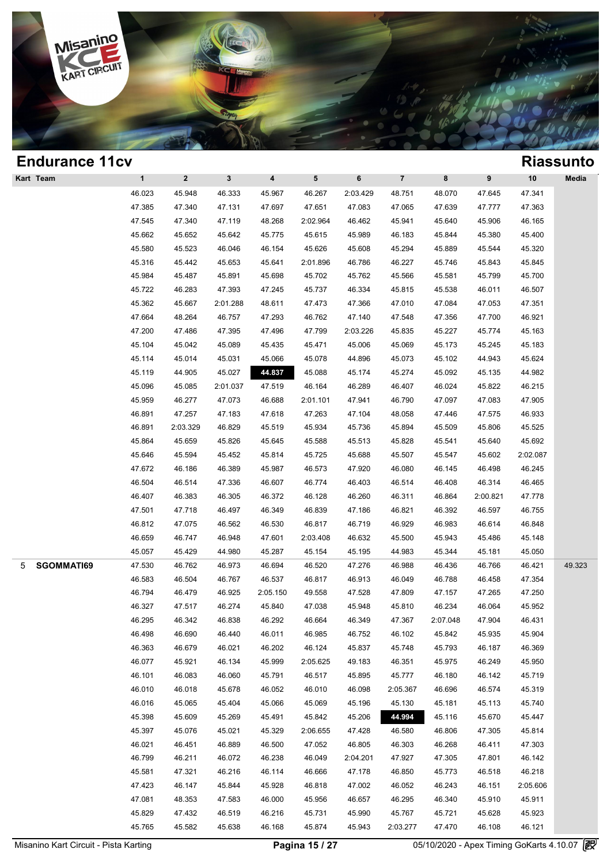

| <b>Endurance 11cv</b> |              |              |              |                         |                 |          |                |          |          |          | <b>Riassunto</b> |
|-----------------------|--------------|--------------|--------------|-------------------------|-----------------|----------|----------------|----------|----------|----------|------------------|
| Kart Team             | $\mathbf{1}$ | $\mathbf{2}$ | $\mathbf{3}$ | $\overline{\mathbf{4}}$ | $5\phantom{.0}$ | 6        | $\overline{7}$ | 8        | 9        | 10       | Media            |
|                       | 46.023       | 45.948       | 46.333       | 45.967                  | 46.267          | 2:03.429 | 48.751         | 48.070   | 47.645   | 47.341   |                  |
|                       | 47.385       | 47.340       | 47.131       | 47.697                  | 47.651          | 47.083   | 47.065         | 47.639   | 47.777   | 47.363   |                  |
|                       | 47.545       | 47.340       | 47.119       | 48.268                  | 2:02.964        | 46.462   | 45.941         | 45.640   | 45.906   | 46.165   |                  |
|                       | 45.662       | 45.652       | 45.642       | 45.775                  | 45.615          | 45.989   | 46.183         | 45.844   | 45.380   | 45.400   |                  |
|                       | 45.580       | 45.523       | 46.046       | 46.154                  | 45.626          | 45.608   | 45.294         | 45.889   | 45.544   | 45.320   |                  |
|                       | 45.316       | 45.442       | 45.653       | 45.641                  | 2:01.896        | 46.786   | 46.227         | 45.746   | 45.843   | 45.845   |                  |
|                       | 45.984       | 45.487       | 45.891       | 45.698                  | 45.702          | 45.762   | 45.566         | 45.581   | 45.799   | 45.700   |                  |
|                       | 45.722       | 46.283       | 47.393       | 47.245                  | 45.737          | 46.334   | 45.815         | 45.538   | 46.011   | 46.507   |                  |
|                       | 45.362       | 45.667       | 2:01.288     | 48.611                  | 47.473          | 47.366   | 47.010         | 47.084   | 47.053   | 47.351   |                  |
|                       | 47.664       | 48.264       | 46.757       | 47.293                  | 46.762          | 47.140   | 47.548         | 47.356   | 47.700   | 46.921   |                  |
|                       | 47.200       | 47.486       | 47.395       | 47.496                  | 47.799          | 2:03.226 | 45.835         | 45.227   | 45.774   | 45.163   |                  |
|                       | 45.104       | 45.042       | 45.089       | 45.435                  | 45.471          | 45.006   | 45.069         | 45.173   | 45.245   | 45.183   |                  |
|                       | 45.114       | 45.014       | 45.031       | 45.066                  | 45.078          | 44.896   | 45.073         | 45.102   | 44.943   | 45.624   |                  |
|                       | 45.119       | 44.905       | 45.027       | 44.837                  | 45.088          | 45.174   | 45.274         | 45.092   | 45.135   | 44.982   |                  |
|                       | 45.096       | 45.085       | 2:01.037     | 47.519                  | 46.164          | 46.289   | 46.407         | 46.024   | 45.822   | 46.215   |                  |
|                       | 45.959       | 46.277       | 47.073       | 46.688                  | 2:01.101        | 47.941   | 46.790         | 47.097   | 47.083   | 47.905   |                  |
|                       | 46.891       | 47.257       | 47.183       | 47.618                  | 47.263          | 47.104   | 48.058         | 47.446   | 47.575   | 46.933   |                  |
|                       | 46.891       | 2:03.329     | 46.829       | 45.519                  | 45.934          | 45.736   | 45.894         | 45.509   | 45.806   | 45.525   |                  |
|                       | 45.864       | 45.659       | 45.826       | 45.645                  | 45.588          | 45.513   | 45.828         | 45.541   | 45.640   | 45.692   |                  |
|                       | 45.646       | 45.594       | 45.452       | 45.814                  | 45.725          | 45.688   | 45.507         | 45.547   | 45.602   | 2:02.087 |                  |
|                       | 47.672       | 46.186       | 46.389       | 45.987                  | 46.573          | 47.920   | 46.080         | 46.145   | 46.498   | 46.245   |                  |
|                       | 46.504       | 46.514       | 47.336       | 46.607                  | 46.774          | 46.403   | 46.514         | 46.408   | 46.314   | 46.465   |                  |
|                       | 46.407       | 46.383       | 46.305       | 46.372                  | 46.128          | 46.260   | 46.311         | 46.864   | 2:00.821 | 47.778   |                  |
|                       | 47.501       | 47.718       | 46.497       | 46.349                  | 46.839          | 47.186   | 46.821         | 46.392   | 46.597   | 46.755   |                  |
|                       | 46.812       | 47.075       | 46.562       | 46.530                  | 46.817          | 46.719   | 46.929         | 46.983   | 46.614   | 46.848   |                  |
|                       | 46.659       | 46.747       | 46.948       | 47.601                  | 2:03.408        | 46.632   | 45.500         | 45.943   | 45.486   | 45.148   |                  |
|                       | 45.057       | 45.429       | 44.980       | 45.287                  | 45.154          | 45.195   | 44.983         | 45.344   | 45.181   | 45.050   |                  |
| SGOMMATI69<br>5       | 47.530       | 46.762       | 46.973       | 46.694                  | 46.520          | 47.276   | 46.988         | 46.436   | 46.766   | 46.421   | 49.323           |
|                       | 46.583       | 46.504       | 46.767       | 46.537                  | 46.817          | 46.913   | 46.049         | 46.788   | 46.458   | 47.354   |                  |
|                       | 46.794       | 46.479       | 46.925       | 2:05.150                | 49.558          | 47.528   | 47.809         | 47.157   | 47.265   | 47.250   |                  |
|                       | 46.327       | 47.517       | 46.274       | 45.840                  | 47.038          | 45.948   | 45.810         | 46.234   | 46.064   | 45.952   |                  |
|                       | 46.295       | 46.342       | 46.838       | 46.292                  | 46.664          | 46.349   | 47.367         | 2:07.048 | 47.904   | 46.431   |                  |
|                       | 46.498       | 46.690       | 46.440       | 46.011                  | 46.985          | 46.752   | 46.102         | 45.842   | 45.935   | 45.904   |                  |
|                       | 46.363       | 46.679       | 46.021       | 46.202                  | 46.124          | 45.837   | 45.748         | 45.793   | 46.187   | 46.369   |                  |
|                       | 46.077       | 45.921       | 46.134       | 45.999                  | 2:05.625        | 49.183   | 46.351         | 45.975   | 46.249   | 45.950   |                  |
|                       | 46.101       | 46.083       | 46.060       | 45.791                  | 46.517          | 45.895   | 45.777         | 46.180   | 46.142   | 45.719   |                  |
|                       | 46.010       | 46.018       | 45.678       | 46.052                  | 46.010          | 46.098   | 2:05.367       | 46.696   | 46.574   | 45.319   |                  |
|                       | 46.016       | 45.065       | 45.404       | 45.066                  | 45.069          | 45.196   | 45.130         | 45.181   | 45.113   | 45.740   |                  |
|                       | 45.398       | 45.609       | 45.269       | 45.491                  | 45.842          | 45.206   | 44.994         | 45.116   | 45.670   | 45.447   |                  |
|                       | 45.397       | 45.076       | 45.021       | 45.329                  | 2:06.655        | 47.428   | 46.580         | 46.806   | 47.305   | 45.814   |                  |
|                       | 46.021       | 46.451       | 46.889       | 46.500                  | 47.052          | 46.805   | 46.303         | 46.268   | 46.411   | 47.303   |                  |
|                       | 46.799       | 46.211       | 46.072       | 46.238                  | 46.049          | 2:04.201 | 47.927         | 47.305   | 47.801   | 46.142   |                  |
|                       | 45.581       | 47.321       | 46.216       | 46.114                  | 46.666          | 47.178   | 46.850         | 45.773   | 46.518   | 46.218   |                  |
|                       | 47.423       | 46.147       | 45.844       | 45.928                  | 46.818          | 47.002   | 46.052         | 46.243   | 46.151   | 2:05.606 |                  |
|                       | 47.081       | 48.353       | 47.583       | 46.000                  | 45.956          | 46.657   | 46.295         | 46.340   | 45.910   | 45.911   |                  |
|                       | 45.829       | 47.432       | 46.519       | 46.216                  | 45.731          | 45.990   | 45.767         | 45.721   | 45.628   | 45.923   |                  |
|                       | 45.765       | 45.582       | 45.638       | 46.168                  | 45.874          | 45.943   | 2:03.277       | 47.470   | 46.108   | 46.121   |                  |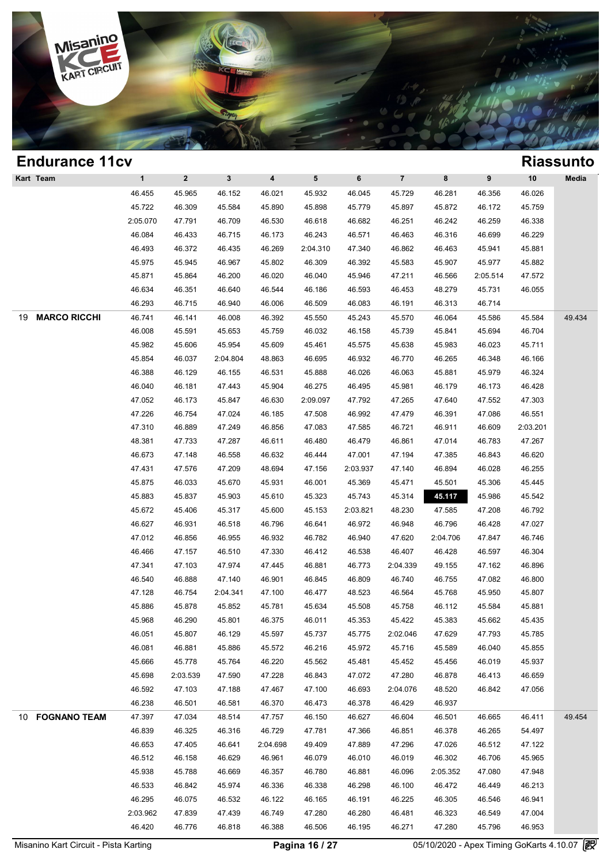

### **Endurance 11cv Riassunto Kart Team 1 2 3 4 5 6 7 8 9 10 Media Riassun**<br>
46.455 45.965 46.152 46.021 45.932 46.045 45.729 46.281 46.356 46.026<br>
46.722 46.300 45.584 46.900 45.809 45.770 45.807 45.872 46.172 45.750 1 2 3 4 5 6 7 8 9 10 Med<br>46.455 45.965 46.152 46.021 45.932 46.045 45.729 46.281 46.356 46.026<br>45.722 46.309 45.584 45.890 45.898 45.779 45.897 45.872 46.172 45.759<br>106.970 47.701 46.700 46.530 46.618 46.682 46.951 46.342 1 2 3 4 5 6 7 8 9 10 Med<br>
46.455 45.965 46.152 46.021 45.932 46.045 45.729 46.281 46.356 46.026<br>
45.722 46.309 45.584 45.890 45.898 45.779 45.897 45.872 46.172 45.759<br>
2:05.070 47.791 46.709 46.530 46.618 46.682 46.251 46. 46.455 46.965 46.152 46.021 45.932 46.045 45.729 46.281 46.356 46.026<br>45.722 46.309 45.584 45.890 45.898 45.779 45.897 45.872 46.172 45.759<br>:05.070 47.791 46.709 46.530 46.618 46.682 46.251 46.242 46.259 46.338<br>46.084 46.4 46.722 46.309 45.584 45.890 45.898 45.779 45.897 45.872 46.172 45.759<br>
2:05.070 47.791 46.709 46.530 46.618 46.682 46.251 46.242 46.259 46.338<br>
46.084 46.433 46.715 46.173 46.243 46.571 46.463 46.316 46.699 46.229<br>
46.493 46.084 46.493 46.709 46.530 46.618 46.682 46.251 46.242 46.259 46.338<br>46.084 46.433 46.715 46.173 46.243 46.571 46.463 46.316 46.699 46.229<br>46.493 46.372 46.435 46.269 2:04.310 47.340 46.862 46.463 45.941 45.881<br>45.975 45 46.084 46.433 46.715 46.173 46.243 46.571 46.463 46.316 46.699 46.229<br>46.493 46.372 46.435 46.269 2:04.310 47.340 46.862 46.463 45.941 45.881<br>45.975 45.945 46.967 45.802 46.309 46.392 45.583 45.907 45.977 45.882<br>45.871 45. 46.493 46.372 46.435 46.269 2:04.310 47.340 46.862 46.463 45.941 45.881<br>45.975 45.945 46.967 45.802 46.309 46.392 45.583 45.907 45.977 45.882<br>45.871 45.864 46.200 46.020 46.040 45.946 47.211 46.566 2:05.514 47.572<br>46.634 4 46.975 46.945 46.967 45.802 46.309 46.392 45.583 45.907 45.977 45.81<br>45.871 45.864 46.200 46.020 46.040 45.946 47.211 46.566 2:05.514 47.5<br>46.634 46.351 46.640 46.544 46.186 46.593 46.453 48.279 45.731 46.01<br>46.293 46.715 19 **MARCO RICCHI** 46.741 46.141 46.008 46.392 45.550 45.243 45.570 46.064 45.586 45.584 49.434 46.634 46.351 46.640 46.544 46.186 46.593 46.453 48.279 45.731 46.055<br>46.293 46.715 46.940 46.006 46.509 46.083 46.191 46.313 46.714<br>46.741 46.141 46.008 46.392 45.550 45.243 45.570 46.064 45.586 45.584 49.4<br>46.008 45.591 46.293 46.715 46.940 46.006 46.509 46.083 46.191 46.313 46.714<br>46.741 46.141 46.008 46.392 45.550 45.243 45.570 46.064 45.586 45.584 49.4<br>46.008 45.591 45.653 45.759 46.032 46.158 45.739 45.841 45.694 46.704<br>45.982 45.606 46.741 46.141 46.008 46.392 45.550 45.243 45.570 46.064 45.586 45.584 49.4<br>46.008 45.591 45.653 45.759 46.032 46.158 45.739 45.841 45.694 46.704<br>45.982 45.606 45.954 45.609 45.461 45.575 45.638 45.983 46.023 45.711<br>45.854 4 46.008 45.591 45.653 45.759 46.032 46.158 45.739 45.841 45.694 46.704<br>45.982 45.606 45.954 45.609 45.461 45.575 45.638 45.983 46.023 45.711<br>45.854 46.037 2:04.804 48.863 46.695 46.932 46.770 46.265 46.348 46.166<br>46.388 46. 46.040 46.181 47.443 46.904 46.275 46.495 46.981 46.179 46.173 46.428 46.782 46.173 46.428 46.782 46.173 46.427 46.428 46.782 46.173 46.428 46.782 46.173 46.428 47.052 46.173 46.473 46.87 46.881 46.173 46.428 47.052 46.173 46.037 2:04.804 48.863 46.695 46.932 46.770 46.265 46.348 46.166<br>46.388 46.129 46.155 46.531 45.888 46.026 46.063 45.881 45.979 46.324<br>46.040 46.181 47.443 45.904 46.275 46.495 45.981 46.179 46.173 46.428<br>47.052 46.173 45. 46.388 46.129 46.155 46.531 45.888 46.026 46.063 45.881 45.979 46.324<br>46.040 46.181 47.443 45.904 46.275 46.495 45.981 46.179 46.173 46.428<br>47.052 46.173 45.847 46.630 2:09.097 47.792 47.265 47.640 47.552 47.303<br>47.226 46. 46.040 46.181 47.443 45.904 46.275 46.495 45.981 46.179 46.173 46.428<br>47.052 46.173 45.847 46.630 2:09.097 47.792 47.265 47.640 47.552 47.303<br>47.226 46.754 47.024 46.185 47.508 46.992 47.479 46.391 47.086 46.551<br>47.310 46. 47.052 46.173 45.847 46.630 2:09.097 47.792 47.265 47.640 47.552 47.303<br>47.226 46.754 47.024 46.185 47.508 46.992 47.479 46.391 47.086 46.551<br>47.310 46.889 47.249 46.856 47.083 47.585 46.721 46.911 46.609 2:03.201<br>48.381 4 47.226 46.754 47.024 46.185 47.508 46.992 47.479 46.391 47.086 46.551<br>47.310 46.889 47.249 46.856 47.083 47.585 46.721 46.911 46.609 2:03.201<br>48.381 47.733 47.287 46.611 46.480 46.479 46.861 47.014 46.783 47.267<br>46.673 47. 47.310 46.889 47.249 46.856 47.083 47.585 46.721 46.911 46.609 2:03.201<br>48.381 47.733 47.287 46.611 46.480 46.479 46.861 47.014 46.783 47.267<br>46.673 47.148 46.558 46.632 46.444 47.001 47.194 47.385 46.843 46.620<br>47.431 47. 46.873 47.733 47.287 46.611 46.480 46.479 46.861 47.014 46.783 47.267<br>46.673 47.148 46.558 46.632 46.444 47.001 47.194 47.385 46.843 46.620<br>47.431 47.576 47.209 48.694 47.156 2:03.937 47.140 46.894 46.028 46.255<br>45.875 46. 46.673 47.148 46.558 46.632 46.444 47.001 47.194 47.385 46.843 46.620<br>47.431 47.576 47.209 48.694 47.156 2:03.937 47.140 46.894 46.028 46.255<br>45.875 46.033 45.670 45.931 46.001 45.369 45.471 45.501 45.306 45.445<br>45.883 45. 47.431 47.576 47.209 48.694 47.156 2:03.937 47.140 46.894 46.028 46.255<br>45.875 46.033 45.670 45.931 46.001 45.369 45.471 45.501 45.306 45.445<br>45.883 45.837 45.903 45.610 45.323 45.743 45.314 45.511 45.986 45.542<br>45.672 45.4 46.627 46.931 46.627 46.931 46.627 46.951 46.796 46.641 46.972 46.986 46.796 46.652 46.965 46.6518 46.796 46.641 46.972 46.986 47.628 47.927 46.956 46.655 46.655 46.655 46.655 46.655 46.655 46.655 46.655 46.655 47.027 46.95 45.883 45.837 45.903 45.610 45.323 45.743 45.314 45.117 45.986 45.542<br>45.672 45.406 45.317 45.600 45.153 2:03.821 48.230 47.585 47.208 46.792<br>46.627 46.931 46.518 46.796 46.641 46.972 46.948 46.796 46.428 47.027<br>47.012 46.8 46.627 46.466 47.157 46.516 46.932 46.782 46.932 46.782 46.931 48.230 47.585 47.208 46.792<br>46.627 46.931 46.518 46.796 46.641 46.972 46.948 46.796 46.428 47.027<br>47.012 46.856 46.955 46.932 46.782 46.940 47.620 2:04.706 47. 46.627 46.931 46.518 46.796 46.641 46.972 46.948 46.796 46.428 47.027<br>47.012 46.856 46.955 46.932 46.782 46.940 47.620 2:04.706 47.847 46.746<br>46.466 47.157 46.510 47.330 46.412 46.538 46.407 46.428 46.597 46.304<br>47.341 47. 46.466 47.157 46.955 46.932 46.782 46.940 47.620 2:04.706 47.847 46.746<br>46.466 47.157 46.510 47.330 46.412 46.538 46.407 46.428 46.597 46.304<br>47.341 47.103 47.974 47.445 46.881 46.773 2:04.339 49.155 47.162 46.896<br>46.540 4 46.466 47.157 46.510 47.330 46.412 46.538 46.407 46.428 46.597 46.304<br>47.341 47.103 47.974 47.445 46.881 46.773 2:04.339 49.155 47.162 46.896<br>46.540 46.888 47.140 46.901 46.845 46.809 46.740 46.755 47.082 46.800<br>47.128 46. 47.341 47.103 47.974 47.445 46.881 46.773 2:04.339 49.155 47.162 46.896<br>46.540 46.888 47.140 46.901 46.845 46.809 46.740 46.755 47.082 46.800<br>47.128 46.754 2:04.341 47.100 46.477 48.523 46.564 45.768 45.950 45.807<br>45.886 4 46.540 46.888 47.140 46.901 46.845 46.809 46.740 46.755 47.082 46.800<br>47.128 46.754 2:04.341 47.100 46.477 48.523 46.564 45.768 45.950 45.807<br>45.886 45.878 45.852 45.781 45.634 45.508 45.758 46.112 45.584 45.881<br>45.968 46. 46.754 2:04.341 47.100 46.477 48.523 46.564 45.768 45.950 45.807<br>45.886 45.878 45.852 45.781 45.634 45.508 45.758 46.112 45.584 45.881<br>45.968 46.290 45.801 46.375 46.011 45.353 45.422 45.383 45.662 45.435<br>46.051 45.807 46. 46.886 45.878 45.852 45.781 45.634 45.508 45.758 46.112 45.584 45.881<br>45.968 46.290 45.801 46.375 46.011 45.353 45.422 45.383 45.662 45.435<br>46.051 45.807 46.129 45.597 45.737 45.775 2:02.046 47.629 47.793 45.785<br>46.081 46. 45.968 46.290 45.801 46.375 46.011 45.353 45.422 45.383 45.662 45.435<br>46.051 45.807 46.129 45.597 45.737 45.775 2:02.046 47.629 47.793 45.785<br>46.081 46.881 45.886 45.572 46.216 45.972 45.716 45.589 46.040 45.855<br>45.666 45. 46.051 45.807 46.129 45.597 45.737 45.775 2:02.046 47.629 47.793 45.785<br>46.081 46.881 45.886 45.572 46.216 45.972 45.716 45.589 46.040 45.855<br>45.666 45.778 45.764 46.220 45.562 45.481 45.452 45.456 46.019 45.937<br>45.698 2:0 46.081 46.881 45.886 45.572 46.216 45.972 45.716 45.589 46.040 45.855<br>45.666 45.778 45.764 46.220 45.562 45.481 45.452 45.456 46.019 45.937<br>45.698 2:03.539 47.590 47.228 46.843 47.072 47.280 46.878 46.413 46.659<br>46.592 47. 45.666 45.778 45.764 46.220 45.562 45.481 45.452 45.456 46.0<br>45.698 2:03.539 47.590 47.228 46.843 47.072 47.280 46.878 46.4<br>46.592 47.103 47.188 47.467 47.100 46.693 2:04.076 48.520 46.8<br>46.238 46.501 46.581 46.370 46.473 10 **FOGNANO TEAM** 47.397 47.034 48.514 47.757 46.150 46.627 46.604 46.501 46.665 46.411 49.454 46.592 47.103 47.188 47.467 47.100 46.693 2:04.076 48.520 46.842 47.056<br>46.238 46.501 46.581 46.370 46.473 46.378 46.429 46.937<br>47.397 47.034 48.514 47.757 46.150 46.627 46.604 46.501 46.665 46.411 49.4<br>46.839 46.325 46.31 46.238 46.501 46.581 46.370 46.473 46.378 46.429 46.937<br>47.397 47.034 48.514 47.757 46.150 46.627 46.604 46.501 46.665 46.411 49.4<br>46.839 46.325 46.316 46.729 47.781 47.366 46.851 46.378 46.265 54.497<br>46.653 47.405 46.641 46.839 47.034 48.514 47.757 46.150 46.627 46.604 46.501 46.665 46.411 49.4<br>46.839 46.325 46.316 46.729 47.781 47.366 46.851 46.378 46.265 54.497<br>46.653 47.405 46.641 2:04.698 49.409 47.889 47.296 47.026 46.512 47.122<br>46.51 46.839 46.325 46.316 46.729 47.781 47.366 46.851 46.378 46.265 54.497<br>46.653 47.405 46.641 2:04.698 49.409 47.889 47.296 47.026 46.512 47.122<br>46.512 46.158 46.629 46.961 46.079 46.010 46.019 46.302 46.706 45.965<br>45.938 45. 46.653 47.405 46.641 2:04.698 49.409 47.889 47.296 47.026 46.512 47.122<br>46.512 46.158 46.629 46.961 46.079 46.010 46.019 46.302 46.706 45.965<br>45.938 45.788 46.669 46.357 46.780 46.881 46.096 2:05.352 47.080 47.948<br>46.533 4 46.512 46.158 46.629 46.961 46.079 46.010 46.019 46.302 46.706 45.965<br>45.938 45.788 46.669 46.357 46.780 46.881 46.096 2:05.352 47.080 47.948<br>46.533 46.842 45.974 46.336 46.338 46.298 46.100 46.472 46.449 46.213<br>46.295 46. 46.938 46.842 46.669 46.357 46.780 46.881 46.096 2:05.352 47.080 47.948<br>46.533 46.842 45.974 46.336 46.338 46.298 46.100 46.472 46.449 46.213<br>46.295 46.075 46.532 46.122 46.165 46.191 46.225 46.305 46.546 46.941<br>2:03.962 4 46.533 46.842 45.974 46.336 46.338 46.298 46.100 46.472 46.449 46.213<br>46.295 46.075 46.532 46.122 46.165 46.191 46.225 46.305 46.546 46.941<br>:03.962 47.839 47.439 46.749 47.280 46.280 46.481 46.323 46.549 47.004<br>46.420 46.7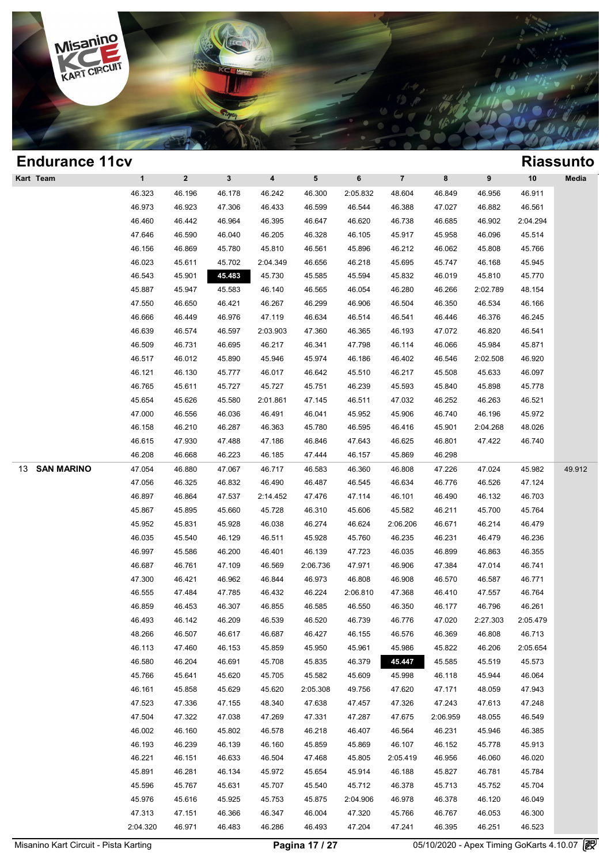

| <b>Endurance 11cv</b>   |             |              |              |                         |          |          |                |          |          |          | <b>Riassunto</b> |
|-------------------------|-------------|--------------|--------------|-------------------------|----------|----------|----------------|----------|----------|----------|------------------|
| Kart Team               | $\mathbf 1$ | $\mathbf{2}$ | $\mathbf{3}$ | $\overline{\mathbf{4}}$ | 5        | 6        | $\overline{7}$ | 8        | 9        | $10$     | Media            |
|                         | 46.323      | 46.196       | 46.178       | 46.242                  | 46.300   | 2:05.832 | 48.604         | 46.849   | 46.956   | 46.911   |                  |
|                         | 46.973      | 46.923       | 47.306       | 46.433                  | 46.599   | 46.544   | 46.388         | 47.027   | 46.882   | 46.561   |                  |
|                         | 46.460      | 46.442       | 46.964       | 46.395                  | 46.647   | 46.620   | 46.738         | 46.685   | 46.902   | 2:04.294 |                  |
|                         | 47.646      | 46.590       | 46.040       | 46.205                  | 46.328   | 46.105   | 45.917         | 45.958   | 46.096   | 45.514   |                  |
|                         | 46.156      | 46.869       | 45.780       | 45.810                  | 46.561   | 45.896   | 46.212         | 46.062   | 45.808   | 45.766   |                  |
|                         | 46.023      | 45.611       | 45.702       | 2:04.349                | 46.656   | 46.218   | 45.695         | 45.747   | 46.168   | 45.945   |                  |
|                         | 46.543      | 45.901       | 45.483       | 45.730                  | 45.585   | 45.594   | 45.832         | 46.019   | 45.810   | 45.770   |                  |
|                         | 45.887      | 45.947       | 45.583       | 46.140                  | 46.565   | 46.054   | 46.280         | 46.266   | 2:02.789 | 48.154   |                  |
|                         | 47.550      | 46.650       | 46.421       | 46.267                  | 46.299   | 46.906   | 46.504         | 46.350   | 46.534   | 46.166   |                  |
|                         | 46.666      | 46.449       | 46.976       | 47.119                  | 46.634   | 46.514   | 46.541         | 46.446   | 46.376   | 46.245   |                  |
|                         | 46.639      | 46.574       | 46.597       | 2:03.903                | 47.360   | 46.365   | 46.193         | 47.072   | 46.820   | 46.541   |                  |
|                         | 46.509      | 46.731       | 46.695       | 46.217                  | 46.341   | 47.798   | 46.114         | 46.066   | 45.984   | 45.871   |                  |
|                         | 46.517      | 46.012       | 45.890       | 45.946                  | 45.974   | 46.186   | 46.402         | 46.546   | 2:02.508 | 46.920   |                  |
|                         | 46.121      | 46.130       | 45.777       | 46.017                  | 46.642   | 45.510   | 46.217         | 45.508   | 45.633   | 46.097   |                  |
|                         | 46.765      | 45.611       | 45.727       | 45.727                  | 45.751   | 46.239   | 45.593         | 45.840   | 45.898   | 45.778   |                  |
|                         | 45.654      | 45.626       | 45.580       | 2:01.861                | 47.145   | 46.511   | 47.032         | 46.252   | 46.263   | 46.521   |                  |
|                         | 47.000      | 46.556       | 46.036       | 46.491                  | 46.041   | 45.952   | 45.906         | 46.740   | 46.196   | 45.972   |                  |
|                         | 46.158      | 46.210       | 46.287       | 46.363                  | 45.780   | 46.595   | 46.416         | 45.901   | 2:04.268 | 48.026   |                  |
|                         | 46.615      | 47.930       | 47.488       | 47.186                  | 46.846   | 47.643   | 46.625         | 46.801   | 47.422   | 46.740   |                  |
|                         | 46.208      | 46.668       | 46.223       | 46.185                  | 47.444   | 46.157   | 45.869         | 46.298   |          |          |                  |
| <b>SAN MARINO</b><br>13 | 47.054      | 46.880       | 47.067       | 46.717                  | 46.583   | 46.360   | 46.808         | 47.226   | 47.024   | 45.982   | 49.912           |
|                         | 47.056      | 46.325       | 46.832       | 46.490                  | 46.487   | 46.545   | 46.634         | 46.776   | 46.526   | 47.124   |                  |
|                         | 46.897      | 46.864       | 47.537       | 2:14.452                | 47.476   | 47.114   | 46.101         | 46.490   | 46.132   | 46.703   |                  |
|                         | 45.867      | 45.895       | 45.660       | 45.728                  | 46.310   | 45.606   | 45.582         | 46.211   | 45.700   | 45.764   |                  |
|                         | 45.952      | 45.831       | 45.928       | 46.038                  | 46.274   | 46.624   | 2:06.206       | 46.671   | 46.214   | 46.479   |                  |
|                         | 46.035      | 45.540       | 46.129       | 46.511                  | 45.928   | 45.760   | 46.235         | 46.231   | 46.479   | 46.236   |                  |
|                         | 46.997      | 45.586       | 46.200       | 46.401                  | 46.139   | 47.723   | 46.035         | 46.899   | 46.863   | 46.355   |                  |
|                         | 46.687      | 46.761       | 47.109       | 46.569                  | 2:06.736 | 47.971   | 46.906         | 47.384   | 47.014   | 46.741   |                  |
|                         | 47.300      | 46.421       | 46.962       | 46.844                  | 46.973   | 46.808   | 46.908         | 46.570   | 46.587   | 46.771   |                  |
|                         | 46.555      | 47.484       | 47.785       | 46.432                  | 46.224   | 2:06.810 | 47.368         | 46.410   | 47.557   | 46.764   |                  |
|                         | 46.859      | 46.453       | 46.307       | 46.855                  | 46.585   | 46.550   | 46.350         | 46.177   | 46.796   | 46.261   |                  |
|                         | 46.493      | 46.142       | 46.209       | 46.539                  | 46.520   | 46.739   | 46.776         | 47.020   | 2:27.303 | 2:05.479 |                  |
|                         | 48.266      | 46.507       | 46.617       | 46.687                  | 46.427   | 46.155   | 46.576         | 46.369   | 46.808   | 46.713   |                  |
|                         | 46.113      | 47.460       | 46.153       | 45.859                  | 45.950   | 45.961   | 45.986         | 45.822   | 46.206   | 2:05.654 |                  |
|                         | 46.580      | 46.204       | 46.691       | 45.708                  | 45.835   | 46.379   | 45.447         | 45.585   | 45.519   | 45.573   |                  |
|                         | 45.766      | 45.641       | 45.620       | 45.705                  | 45.582   | 45.609   | 45.998         | 46.118   | 45.944   | 46.064   |                  |
|                         | 46.161      | 45.858       | 45.629       | 45.620                  | 2:05.308 | 49.756   | 47.620         | 47.171   | 48.059   | 47.943   |                  |
|                         | 47.523      | 47.336       | 47.155       | 48.340                  | 47.638   | 47.457   | 47.326         | 47.243   | 47.613   | 47.248   |                  |
|                         | 47.504      | 47.322       | 47.038       | 47.269                  | 47.331   | 47.287   | 47.675         | 2:06.959 | 48.055   | 46.549   |                  |
|                         | 46.002      | 46.160       | 45.802       | 46.578                  | 46.218   | 46.407   | 46.564         | 46.231   | 45.946   | 46.385   |                  |
|                         | 46.193      | 46.239       | 46.139       | 46.160                  | 45.859   | 45.869   | 46.107         | 46.152   | 45.778   | 45.913   |                  |
|                         | 46.221      | 46.151       | 46.633       | 46.504                  | 47.468   | 45.805   | 2:05.419       | 46.956   | 46.060   | 46.020   |                  |
|                         | 45.891      | 46.281       | 46.134       | 45.972                  | 45.654   | 45.914   | 46.188         | 45.827   | 46.781   | 45.784   |                  |
|                         | 45.596      | 45.767       | 45.631       | 45.707                  | 45.540   | 45.712   | 46.378         | 45.713   | 45.752   | 45.704   |                  |
|                         | 45.976      | 45.616       | 45.925       | 45.753                  | 45.875   | 2:04.906 | 46.978         | 46.378   | 46.120   | 46.049   |                  |
|                         | 47.313      | 47.151       | 46.366       | 46.347                  | 46.004   | 47.320   | 45.766         | 46.767   | 46.053   | 46.300   |                  |
|                         | 2:04.320    | 46.971       | 46.483       | 46.286                  | 46.493   | 47.204   | 47.241         | 46.395   | 46.251   | 46.523   |                  |
|                         |             |              |              |                         |          |          |                |          |          |          |                  |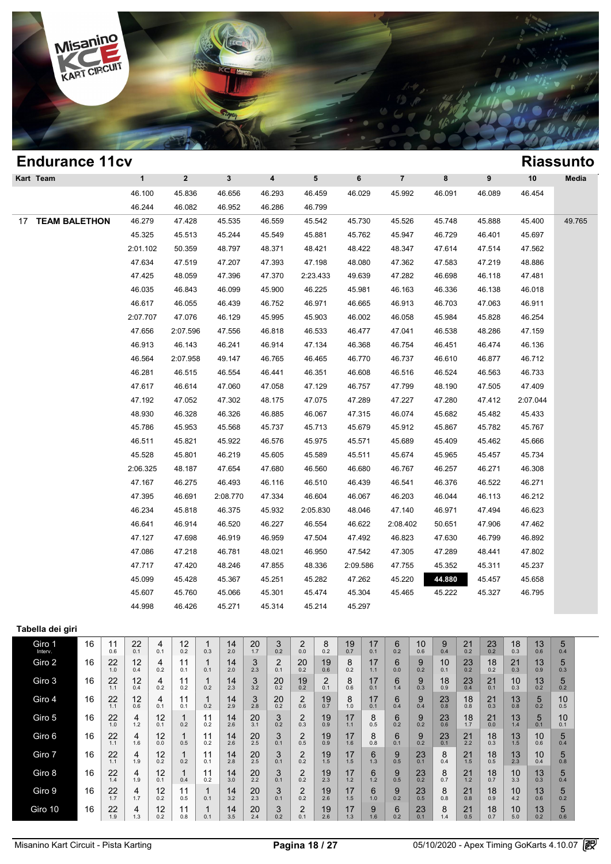

| <b>Endurance 11cv</b>      |              |                         |                         |        |                 |          |                |        |        |          | <b>Riassunto</b> |
|----------------------------|--------------|-------------------------|-------------------------|--------|-----------------|----------|----------------|--------|--------|----------|------------------|
| Kart Team                  | $\mathbf{1}$ | $\overline{\mathbf{2}}$ | $\overline{\mathbf{3}}$ | 4      | $5\phantom{.0}$ | 6        | $\overline{7}$ | 8      | 9      | $10$     | Media            |
|                            | 46.100       | 45.836                  | 46.656                  | 46.293 | 46.459          | 46.029   | 45.992         | 46.091 | 46.089 | 46.454   |                  |
|                            | 46.244       | 46.082                  | 46.952                  | 46.286 | 46.799          |          |                |        |        |          |                  |
| <b>TEAM BALETHON</b><br>17 | 46.279       | 47.428                  | 45.535                  | 46.559 | 45.542          | 45.730   | 45.526         | 45.748 | 45.888 | 45.400   | 49.765           |
|                            | 45.325       | 45.513                  | 45.244                  | 45.549 | 45.881          | 45.762   | 45.947         | 46.729 | 46.401 | 45.697   |                  |
|                            | 2:01.102     | 50.359                  | 48.797                  | 48.371 | 48.421          | 48.422   | 48.347         | 47.614 | 47.514 | 47.562   |                  |
|                            | 47.634       | 47.519                  | 47.207                  | 47.393 | 47.198          | 48.080   | 47.362         | 47.583 | 47.219 | 48.886   |                  |
|                            | 47.425       | 48.059                  | 47.396                  | 47.370 | 2:23.433        | 49.639   | 47.282         | 46.698 | 46.118 | 47.481   |                  |
|                            | 46.035       | 46.843                  | 46.099                  | 45.900 | 46.225          | 45.981   | 46.163         | 46.336 | 46.138 | 46.018   |                  |
|                            | 46.617       | 46.055                  | 46.439                  | 46.752 | 46.971          | 46.665   | 46.913         | 46.703 | 47.063 | 46.911   |                  |
|                            | 2:07.707     | 47.076                  | 46.129                  | 45.995 | 45.903          | 46.002   | 46.058         | 45.984 | 45.828 | 46.254   |                  |
|                            | 47.656       | 2:07.596                | 47.556                  | 46.818 | 46.533          | 46.477   | 47.041         | 46.538 | 48.286 | 47.159   |                  |
|                            | 46.913       | 46.143                  | 46.241                  | 46.914 | 47.134          | 46.368   | 46.754         | 46.451 | 46.474 | 46.136   |                  |
|                            | 46.564       | 2:07.958                | 49.147                  | 46.765 | 46.465          | 46.770   | 46.737         | 46.610 | 46.877 | 46.712   |                  |
|                            | 46.281       | 46.515                  | 46.554                  | 46.441 | 46.351          | 46.608   | 46.516         | 46.524 | 46.563 | 46.733   |                  |
|                            | 47.617       | 46.614                  | 47.060                  | 47.058 | 47.129          | 46.757   | 47.799         | 48.190 | 47.505 | 47.409   |                  |
|                            | 47.192       | 47.052                  | 47.302                  | 48.175 | 47.075          | 47.289   | 47.227         | 47.280 | 47.412 | 2:07.044 |                  |
|                            | 48.930       | 46.328                  | 46.326                  | 46.885 | 46.067          | 47.315   | 46.074         | 45.682 | 45.482 | 45.433   |                  |
|                            | 45.786       | 45.953                  | 45.568                  | 45.737 | 45.713          | 45.679   | 45.912         | 45.867 | 45.782 | 45.767   |                  |
|                            | 46.511       | 45.821                  | 45.922                  | 46.576 | 45.975          | 45.571   | 45.689         | 45.409 | 45.462 | 45.666   |                  |
|                            | 45.528       | 45.801                  | 46.219                  | 45.605 | 45.589          | 45.511   | 45.674         | 45.965 | 45.457 | 45.734   |                  |
|                            | 2:06.325     | 48.187                  | 47.654                  | 47.680 | 46.560          | 46.680   | 46.767         | 46.257 | 46.271 | 46.308   |                  |
|                            | 47.167       | 46.275                  | 46.493                  | 46.116 | 46.510          | 46.439   | 46.541         | 46.376 | 46.522 | 46.271   |                  |
|                            | 47.395       | 46.691                  | 2:08.770                | 47.334 | 46.604          | 46.067   | 46.203         | 46.044 | 46.113 | 46.212   |                  |
|                            | 46.234       | 45.818                  | 46.375                  | 45.932 | 2:05.830        | 48.046   | 47.140         | 46.971 | 47.494 | 46.623   |                  |
|                            | 46.641       | 46.914                  | 46.520                  | 46.227 | 46.554          | 46.622   | 2:08.402       | 50.651 | 47.906 | 47.462   |                  |
|                            | 47.127       | 47.698                  | 46.919                  | 46.959 | 47.504          | 47.492   | 46.823         | 47.630 | 46.799 | 46.892   |                  |
|                            | 47.086       | 47.218                  | 46.781                  | 48.021 | 46.950          | 47.542   | 47.305         | 47.289 | 48.441 | 47.802   |                  |
|                            | 47.717       | 47.420                  | 48.246                  | 47.855 | 48.336          | 2:09.586 | 47.755         | 45.352 | 45.311 | 45.237   |                  |
|                            | 45.099       | 45.428                  | 45.367                  | 45.251 | 45.282          | 47.262   | 45.220         | 44.880 | 45.457 | 45.658   |                  |
|                            | 45.607       | 45.760                  | 45.066                  | 45.301 | 45.474          | 45.304   | 45.465         | 45.222 | 45.327 | 46.795   |                  |
|                            | 44.998       | 46.426                  | 45.271                  | 45.314 | 45.214          | 45.297   |                |        |        |          |                  |
|                            |              |                         |                         |        |                 |          |                |        |        |          |                  |

### **Tabella dei giri**

| Giro 1<br>Interv. | 16 | 11<br>0.6 | 22<br>0.1 | 4<br>0.1  | 12<br>0.2 | 0.3       | 14<br>2.0 | 20<br>1.7 | 3<br>0.2  | 2<br>0.0  | 8<br>0.2  | 19<br>0.7 | 17<br>0.1 | 6<br>0.2 | 10<br>0.6 | 9<br>0.4  | 21<br>0.2 | 23<br>0.2 | 18<br>0.3 | 13<br>0.6 | 5<br>0.4               |  |
|-------------------|----|-----------|-----------|-----------|-----------|-----------|-----------|-----------|-----------|-----------|-----------|-----------|-----------|----------|-----------|-----------|-----------|-----------|-----------|-----------|------------------------|--|
| Giro 2            | 16 | 22<br>1.0 | 12<br>0.4 | 4<br>0.2  | 11<br>0.1 | 0.1       | 14<br>2.0 | 3<br>2.3  | 2<br>0.1  | 20<br>0.2 | 19<br>0.6 | 8<br>0.2  | 17<br>1.1 | 6<br>0.0 | 9<br>0.2  | 10<br>0.1 | 23<br>0.2 | 18<br>0.2 | 21<br>0.3 | 13<br>0.9 | 5<br>0.3               |  |
| Giro 3            | 16 | 22<br>1.1 | 12<br>0.4 | 4<br>0.2  | 11<br>0.2 | 0.2       | 14<br>2.3 | 3<br>3.2  | 20<br>0.2 | 19<br>0.2 | 2<br>0.1  | 8<br>0.6  | 17<br>0.1 | 6<br>1.4 | 9<br>0.3  | 18<br>0.9 | 23<br>0.4 | 21<br>0.1 | 10<br>0.3 | 13<br>0.2 | 5<br>0.2               |  |
| Giro 4            | 16 | 22<br>1.1 | 12<br>0.6 | 4<br>0.1  | 11<br>0.1 | 0.2       | 14<br>2.9 | 3<br>2.8  | 20<br>0.2 | 2<br>0.6  | 19<br>0.7 | 8<br>1.0  | 17<br>0.1 | 6<br>0.4 | 9<br>0.4  | 23<br>0.8 | 18<br>0.8 | 21<br>0.3 | 13<br>0.8 | 5<br>0.2  | 10 <sup>°</sup><br>0.5 |  |
| Giro 5            | 16 | 22<br>1.0 | 4<br>1.2  | 12<br>0.1 | 0.2       | 11<br>0.2 | 14<br>2.6 | 20<br>3.1 | 3<br>0.2  | 2<br>0.3  | 19<br>0.9 | 17<br>1.1 | 8<br>0.5  | 6<br>0.2 | 9<br>0.2  | 23<br>0.6 | 18<br>1.7 | 21<br>0.0 | 13<br>1.4 | 5<br>0.1  | 10<br>0.1              |  |
| Giro 6            | 16 | 22<br>1.1 | 4<br>1.6  | 12<br>0.0 | 0.5       | 11<br>0.2 | 14<br>2.6 | 20<br>2.5 | 3<br>0.1  | 2<br>0.5  | 19<br>0.9 | 17<br>1.6 | 8<br>0.8  | 6<br>0.1 | 9<br>0.2  | 23<br>0.1 | 21<br>2.2 | 18<br>0.3 | 13<br>1.5 | 10<br>0.6 | 5<br>0.4               |  |
| Giro 7            | 16 | 22<br>1.1 | 4<br>1.9  | 12<br>0.2 | 0.2       | 11<br>0.1 | 14<br>2.8 | 20<br>2.5 | 3<br>0.1  | 2<br>0.2  | 19<br>1.5 | 17<br>1.5 | 6<br>1.3  | 9<br>0.5 | 23<br>0.1 | 8<br>0.4  | 21<br>1.5 | 18<br>0.5 | 13<br>2.3 | 10<br>0.4 | 5<br>0.8               |  |
| Giro 8            | 16 | 22<br>1.4 | 4<br>1.9  | 12<br>0.1 | 0.4       | 11<br>0.2 | 14<br>3.0 | 20<br>2.2 | 3<br>0.1  | 2<br>0.2  | 19<br>2.3 | 17<br>1.2 | 6<br>1.2  | 9<br>0.5 | 23<br>0.2 | 8<br>0.7  | 21<br>1.2 | 18<br>0.7 | 10<br>3.3 | 13<br>0.3 | 5<br>0.4               |  |
| Giro 9            | 16 | 22<br>1.7 | 4<br>1.7  | 12<br>0.2 | 11<br>0.5 | 0.1       | 14<br>3.2 | 20<br>2.3 | 3<br>0.1  | 2<br>0.2  | 19<br>2.6 | 17<br>1.5 | 6<br>1.0  | 9<br>0.2 | 23<br>0.5 | 8<br>0.8  | 21<br>0.8 | 18<br>0.9 | 10<br>4.2 | 13<br>0.6 | 5<br>0.2               |  |
| Giro 10           | 16 | 22<br>1.9 | 4<br>1.3  | 12<br>0.2 | 0.8       | 0.1       | 14<br>3.5 | 20<br>2.4 | 3<br>0.2  | 2<br>0.1  | 19<br>2.6 | 17<br>1.3 | 9<br>1.6  | 6<br>0.2 | 23<br>0.1 | 8<br>1.4  | 21<br>0.5 | 18<br>0.7 | 10<br>5.0 | 13<br>0.2 | 5<br>0.6               |  |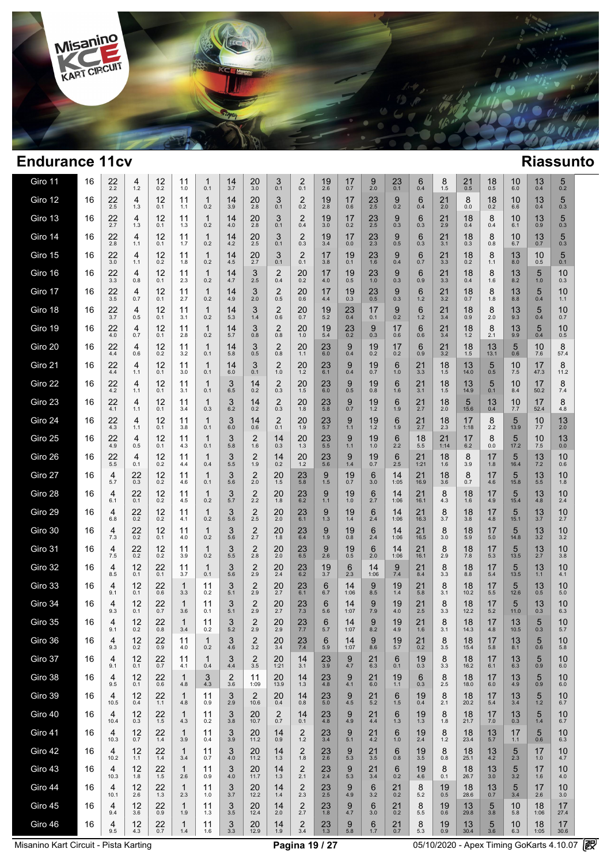

| Giro 11 | 16 | 22<br>2.2 | 4<br>$1.2$     | 12<br>0.2     | 11<br>1.0           | 1<br>0.1            | 14<br>3.7 | 20<br>3.0              | 3<br>0.1              | 2<br>0.1                       | 19<br>2.6              | 17<br>0.7           | 9<br>2.0      | 23<br>0.1   | 6<br>0.4      | 8<br>$1.5$          | 21<br>0.5          | 18<br>0.5        | 10<br>6.0        | 13<br>0.4              | 5<br>0.2   |  |
|---------|----|-----------|----------------|---------------|---------------------|---------------------|-----------|------------------------|-----------------------|--------------------------------|------------------------|---------------------|---------------|-------------|---------------|---------------------|--------------------|------------------|------------------|------------------------|------------|--|
| Giro 12 | 16 | 22<br>2.5 | 4<br>1.3       | 12<br>0.1     | 11<br>1.1           | $\mathbf{1}$<br>0.2 | 14<br>3.9 | 20<br>2.8              | 3<br>0.1              | 2<br>0.2                       | 19<br>2.8              | 17<br>0.6           | $^{23}_{2.5}$ | 9<br>0.2    | 6<br>0.4      | 21<br>2.0           | 8<br>0.0           | 18<br>0.2        | 10<br>6.6        | 13<br>0.4              | 5<br>0.3   |  |
| Giro 13 | 16 | 22<br>2.7 | 4<br>1.3       | 12<br>0.1     | 11<br>1.3           | $\mathbf{1}$<br>0.2 | 14<br>4.0 | 20<br>2.8              | 3<br>0.1              | $\overline{2}$<br>0.4          | 19<br>3.0              | 17<br>0.2           | 23<br>2.5     | 9<br>0.3    | 6<br>0.3      | 21<br>2.9           | 18<br>0.4          | 8<br>0.4         | 10<br>6.1        | 13<br>0.9              | 5<br>0.3   |  |
| Giro 14 | 16 | 22<br>2.8 | 4<br>1.1       | 12<br>0.1     | 11<br>1.7           | $\mathbf{1}$<br>0.2 | 14<br>4.2 | 20<br>2.5              | 3<br>0.1              | $\overline{2}$<br>0.3          | 19<br>3.4              | 17<br>0.0           | 23<br>2.3     | 9<br>0.5    | 6<br>0.3      | 21<br>3.1           | 18<br>0.3          | 8<br>0.8         | 10<br>6.7        | 13<br>0.7              | 5<br>0.3   |  |
| Giro 15 | 16 | 22<br>3.0 | 4<br>1.1       | 12<br>0.2     | 11<br>1.8           | $\mathbf{1}$<br>0.2 | 14<br>4.5 | 20<br>2.7              | 3<br>0.1              | $\overline{2}$<br>0.1          | 17<br>3.8              | 19<br>0.1           | 23<br>1.6     | 9<br>0.4    | 6<br>0.7      | 21<br>3.3           | 18<br>0.2          | 8<br>1.1         | 13<br>8.0        | 10<br>0.5              | 5<br>0.1   |  |
| Giro 16 | 16 | 22<br>3.3 | 4<br>0.8       | 12<br>0.1     | 11<br>2.3           | $\mathbf{1}$<br>0.2 | 14<br>4.7 | 3<br>2.5               | $\overline{2}$<br>0.4 | 20<br>0.2                      | 17<br>4.0              | 19<br>0.5           | 23<br>1.0     | 9<br>0.3    | 6<br>0.9      | 21<br>3.3           | 18<br>0.4          | 8<br>1.6         | 13<br>8.2        | 5<br>1.0               | 10<br>0.3  |  |
| Giro 17 | 16 | 22<br>3.5 | 4<br>0.7       | 12<br>0.1     | 11<br>2.7           | $\mathbf{1}$<br>0.2 | 14<br>4.9 | 3<br>2.0               | 2<br>0.5              | 20<br>0.6                      | 17<br>4.4              | 19<br>0.3           | 23<br>0.5     | 9<br>0.3    | 6<br>1.2      | 21<br>3.2           | 18<br>0.7          | 8<br>1.8         | 13<br>8.8        | 5<br>0.4               | 10<br>1.1  |  |
| Giro 18 | 16 | 22<br>3.7 | 4<br>0.5       | 12<br>0.1     | 11<br>3.1           | $\mathbf{1}$<br>0.2 | 14<br>5.3 | 3<br>1.4               | 2<br>0.6              | 20<br>0.7                      | 19<br>5.2              | 23<br>0.4           | 17<br>0.1     | 9<br>0.2    | 6<br>1.2      | 21<br>3.4           | 18<br>0.9          | 8<br>2.0         | 13<br>9.3        | 5<br>0.4               | 10<br>0.7  |  |
| Giro 19 | 16 | 22<br>4.0 | 4<br>0.7       | 12<br>0.1     | 11<br>2.8           | $\mathbf{1}$<br>0.2 | 14<br>5.7 | 3<br>0.8               | $\overline{2}$<br>0.8 | 20<br>1.0                      | 19<br>5.4              | $^{23}_{0.2}$       | 9<br>0.3      | 17<br>0.6   | 6<br>0.6      | 21<br>3.4           | 18<br>1.2          | 8<br>2.1         | 13<br>9.9        | 5<br>0.4               | 10<br>0.5  |  |
| Giro 20 | 16 | 22<br>4.4 | 4<br>0.6       | 12<br>0.2     | 11<br>3.2           | 1<br>0.1            | 14<br>5.8 | 3<br>0.5               | $\overline{2}$<br>0.8 | 20<br>1.1                      | 23<br>$6.0\,$          | 9<br>0.4            | 19<br>0.2     | 17<br>0.2   | 6<br>0.9      | 21<br>3.2           | 18<br>1.5          | 13<br>13.1       | 5<br>0.6         | 10<br>7.6              | 8<br>57.4  |  |
| Giro 21 | 16 | 22<br>4.4 | 4<br>1.1       | 12<br>0.1     | 11<br>3.0           | 1<br>0.1            | 14<br>6.0 | 3<br>0.1               | 2<br>1.0              | 20<br>1.2                      | 23<br>6.1              | 9<br>0.4            | 19<br>0.7     | 6<br>1.0    | 21<br>3.3     | 18<br>1.5           | 13<br>14.0         | 5<br>0.5         | 10<br>7.5        | 17<br>47.3             | 8<br>11.2  |  |
| Giro 22 | 16 | 22<br>4.2 | 4<br>1.1       | 12<br>0.1     | 11<br>3.1           | 1<br>0.1            | 3<br>6.5  | 14<br>0.2              | 2<br>0.3              | 20<br>1.5                      | 23<br>6.0              | 9<br>0.5            | 19<br>0.8     | 6<br>1.6    | 21<br>3.1     | 18<br>1.5           | 13<br>14.9         | 5<br>0.1         | 10<br>8.4        | 17<br>50.2             | 8<br>7.4   |  |
| Giro 23 | 16 | 22<br>4.1 | 4<br>1.1       | 12<br>0.1     | 11<br>3.4           | 1<br>0.3            | 3<br>6.2  | 14<br>0.2              | 2<br>0.3              | 20<br>1.8                      | 23<br>5.8              | 9<br>0.7            | 19<br>1.2     | 6<br>1.9    | 21<br>2.7     | 18<br>2.0           | $\sqrt{5}$<br>15.6 | 13<br>0.4        | 10<br>7.7        | 17<br>52.4             | 8<br>4.8   |  |
| Giro 24 | 16 | 22<br>4.3 | 4<br>1.1       | 12<br>0.1     | 11<br>3.8           | 1<br>0.1            | 3<br>6.0  | 14<br>0.6              | $\overline{c}$<br>0.1 | 20<br>1.9                      | 23<br>5.7              | 9<br>$1.1$          | 19<br>$1.2$   | 6<br>1.9    | 21<br>2.7     | 18<br>2.3           | 17<br>1:18         | 8<br>2.2         | $\frac{5}{13.9}$ | 10<br>7.7              | 13<br>2.0  |  |
| Giro 25 | 16 | 22<br>4.9 | 4<br>0.5       | 12<br>0.1     | 11<br>4.3           | 1<br>0.1            | 3<br>5.8  | 2<br>1.6               | 14<br>0.3             | 20<br>1.3                      | 23<br>5.5              | 9<br>$1.1$          | 19<br>1.0     | 6<br>2.2    | 18<br>5.5     | 21<br>1:14          | 17<br>6.2          | 8<br>0.0         | 5<br>17.2        | 10<br>7.5              | 13<br>0.0  |  |
| Giro 26 | 16 | 22<br>5.5 | 4<br>0.1       | 12<br>0.2     | 11<br>4.4           | 1<br>0.4            | 3<br>5.5  | $\overline{2}$<br>1.9  | 14<br>0.2             | 20<br>1.2                      | 23<br>5.6              | 9<br>1.4            | 19<br>0.7     | 6<br>2.5    | 21<br>1:21    | 18<br>1.6           | 8<br>3.9           | 17<br>1.8        | 5<br>16.4        | 13<br>7.2              | 10<br>0.6  |  |
| Giro 27 | 16 | 4<br>5.7  | 22<br>0.3      | 12<br>0.2     | 11<br>4.6           | 1<br>0.1            | 3<br>5.6  | $\overline{2}$<br>2.0  | 20<br>1.5             | 23<br>5.8                      | 9<br>1.5               | 19<br>0.7           | 6<br>3.0      | 14<br>1:05  | 21<br>16.9    | 18<br>3.6           | 8<br>0.7           | 17<br>4.6        | 5<br>15.8        | 13<br>5.5              | 10<br>1.8  |  |
| Giro 28 | 16 | 4<br>6.1  | 22<br>0.1      | 12<br>0.2     | 11<br>4.5           | 1<br>0.2            | 3<br>5.7  | $^{2}_{2.2}$           | 20<br>1.8             | $^{23}_{6.2}$                  | 9<br>$1.1$             | 19<br>1.0           | 6<br>2.7      | 14<br>1:06  | 21<br>16.1    | 8<br>4.3            | 18<br>1.6          | 17<br>4.9        | $\frac{5}{15.4}$ | 13<br>4.8              | 10<br>2.4  |  |
| Giro 29 | 16 | 4<br>6.8  | 22<br>0.2      | 12<br>0.2     | 11<br>4.1           | 1<br>0.2            | 3<br>5.6  | $\overline{2}$<br>2.5  | 20<br>2.0             | 23<br>6.1                      | 9<br>1.3               | 19<br>1.4           | 6<br>2.4      | 14<br>1:06  | 21<br>16.3    | 8<br>3.7            | 18<br>3.8          | 17<br>4.8        | 5<br>15.1        | 13<br>3.7              | 10<br>2.7  |  |
| Giro 30 | 16 | 4<br>7.3  | 22<br>0.2      | 12<br>0.1     | 11<br>4.0           | 1<br>0.2            | 3<br>5.6  | $\overline{c}$<br>2.7  | 20<br>1.8             | $^{23}_{6.4}$                  | 9<br>1.9               | 19<br>0.8           | 6<br>2.4      | 14<br>1:06  | 21<br>16.5    | 8<br>3.0            | 18<br>5.9          | 17<br>5.0        | 5<br>14.8        | 13<br>$3.2\,$          | 10<br>3.2  |  |
| Giro 31 | 16 | 4<br>7.5  | 22<br>0.2      | 12<br>0.2     | 11<br>3.9           | 1<br>0.2            | 3<br>5.5  | $\overline{2}$<br>2.8  | 20<br>2.0             | $23 \n6.5$                     | 9<br>2.6               | 19<br>$0.5\,$       | 6<br>2.0      | 14<br>1:06  | 21<br>16.1    | 8<br>2.9            | 18<br>7.8          | 17<br>5.3        | 5<br>13.5        | 13<br>$2.\overline{7}$ | 10<br>3.8  |  |
| Giro 32 | 16 | 4<br>8.5  | 12<br>0.1      | 22<br>0.1     | 11<br>3.7           | 1<br>0.1            | 3<br>5.6  | $\overline{2}$<br>2.9  | 20<br>2.4             | $^{23}_{6.2}$                  | 19<br>$3.\overline{7}$ | 6<br>2.3            | 14<br>1:06    | 9<br>7.4    | $^{21}_{8.4}$ | 8<br>3.3            | 18<br>8.8          | 17<br>5.4        | 5<br>13.5        | 13<br>$1.1$            | 10<br>4.1  |  |
| Giro 33 | 16 | 4<br>9.1  | 12<br>0.1      | 22<br>0.6     | $\mathbf{1}$<br>3.3 | 11<br>0.2           | 3<br>5.1  | $\overline{2}$<br>2.9  | 20<br>2.7             | 23<br>6.1                      | 6<br>6.7               | 14<br>1:06          | 9<br>8.5      | 19<br>1.4   | 21<br>5.8     | 8<br>3.1            | 18<br>10.2         | 17<br>5.5        | 5<br>12.6        | 13<br>0.5              | 10<br>5.0  |  |
| Giro 34 | 16 | 4<br>9.3  | 12<br>0.1      | 22<br>0.7     | 1<br>3.6            | 11<br>0.1           | 3<br>5.1  | $\overline{2}$<br>2.9  | 20<br>2.7             | $\frac{23}{7.3}$               | 6<br>5.6               | 14<br>1:07          | 9<br>7.9      | 19<br>$4.0$ | 21<br>2.5     | 8<br>3.3            | 18<br>12.2         | 17<br>5.2        | 5<br>11.0        | 13<br>0.3              | 10<br>6.3  |  |
| Giro 35 | 16 | 4<br>9.1  | 12<br>0.2      | 22<br>0.8     | 1<br>3.4            | 11<br>0.2           | 3<br>5.2  | $\overline{2}$<br>2.9  | 20<br>2.9             | 23<br>7.7                      | 6<br>5.7               | 14<br>1:07          | 9<br>8.2      | 19<br>4.9   | 21<br>1.6     | 8<br>3.1            | 18<br>14.3         | 17<br>4.8        | 13<br>10.5       | 5<br>0.3               | 10<br>5.7  |  |
| Giro 36 | 16 | 4<br>9.3  | 12<br>0.2      | 22<br>0.9     | 11<br>4.0           | 0.2                 | 3<br>4.6  | 2<br>3.2               | $^{20}_{3.4}$         | $^{23}_{7.4}$                  | 6<br>5.9               | 14<br>1:07          | 9<br>8.6      | 19<br>$5.7$ | $^{21}_{0.2}$ | 8<br>3.5            | 18<br>15.4         | 17<br>5.8        | 13<br>8.1        | 5<br>0.6               | 10<br>5.8  |  |
| Giro 37 | 16 | 4<br>9.1  | 12<br>0.1      | 22<br>0.7     | 11<br>4.1           | 1<br>0.4            | 3<br>4.4  | $\overline{2}$<br>3.5  | 20<br>1:21            | 14<br>3.1                      | 23<br>3.9              | 9<br>4.7            | 21<br>6.3     | 6<br>0.1    | 19<br>0.3     | 8<br>3.3            | 18<br>16.2         | 17<br>6.1        | 13<br>6.3        | 5<br>0.9               | 10<br>6.0  |  |
| Giro 38 | 16 | 4<br>9.5  | 12<br>0.1      | 22<br>0.6     | $\mathbf{1}$<br>4.8 | 3<br>4.3            | 2<br>3.6  | 11<br>1:09             | 20<br>13.9            | 14<br>1.3                      | 23<br>4.8              | 9<br>4.1            | 21<br>6.0     | 19<br>1.1   | 6<br>0.3      | 8<br>2.5            | 18<br>18.0         | 17<br>6.0        | 13<br>4.9        | 5<br>0.9               | 10<br>6.0  |  |
| Giro 39 | 16 | 4<br>10.5 | 12<br>0.4      | 22<br>1.1     | $\mathbf{1}$<br>4.8 | 11<br>0.9           | 3<br>2.9  | $\overline{2}$<br>10.6 | 20<br>0.4             | 14<br>0.8                      | 23<br>5.0              | 9<br>4.5            | 21<br>5.2     | 6<br>1.5    | 19<br>0.4     | 8<br>2.1            | 18<br>20.2         | 17<br>5.4        | 13<br>3.4        | 5<br>1.2               | 10<br>6.7  |  |
| Giro 40 | 16 | 4<br>10.4 | 12<br>0.3      | 22<br>1.5     | $\mathbf{1}$<br>4.3 | 11<br>0.2           | 3<br>3.8  | 20<br>10.7             | 2<br>0.7              | 14<br>0.1                      | 23<br>4.8              | 9<br>4.9            | 21<br>4.4     | 6<br>1.3    | 19<br>1.3     | 8<br>1.8            | 18<br>21.7         | 17<br>7.0        | 13<br>0.3        | 5<br>1.4               | 10<br>6.7  |  |
| Giro 41 | 16 | 4<br>10.3 | 12<br>0.7      | 22<br>1.4     | $\mathbf{1}$<br>3.9 | 11<br>0.4           | 3<br>3.9  | 20<br>11.2             | 14<br>0.9             | $\overline{c}$<br>1.2          | 23<br>3.4              | 9<br>5.1            | 21<br>4.2     | 6<br>1.0    | 19<br>2.4     | 8<br>1.2            | 18<br>23.4         | 13<br>5.7        | 17<br>1.1        | 5<br>0.6               | 10<br>6.3  |  |
| Giro 42 | 16 | 4<br>10.2 | 12<br>1.1      | 22<br>1.4     | $\mathbf{1}$<br>3.4 | 11<br>0.7           | 3<br>4.0  | 20<br>11.2             | 14<br>1.3             | $\overline{\mathbf{c}}$<br>1.8 | 23<br>2.6              | 9,5.3               | 21<br>3.5     | 6<br>0.8    | 19<br>3.5     | 8<br>0.8            | 18<br>25.1         | $13 \atop 4.2$   | $\frac{5}{2.3}$  | 17<br>1.0              | 10<br>4.7  |  |
| Giro 43 | 16 | 4<br>10.3 | 12<br>1.8      | 22<br>1.5     | $\mathbf{1}$<br>2.6 | 11<br>0.9           | 3<br>4.0  | 20<br>11.7             | 14<br>1.3             | $2 \choose 2.1$                | 23<br>2.4              | $\underset{5.3}{9}$ | 21<br>3.4     | 6<br>0.2    | $19\n4.6$     | 8<br>0.1            | 18<br>26.7         | $\frac{13}{3.0}$ | $\frac{5}{3.2}$  | 17<br>1.6              | 10<br>4.0  |  |
| Giro 44 | 16 | 4<br>10.1 | 12<br>2.6      | 22<br>1.3     | $\mathbf{1}$<br>2.3 | 11<br>1.0           | 3<br>3.7  | 20<br>12.2             | 14<br>1.4             | $^{2}_{2.3}$                   | 23<br>2.5              | 9<br>4.9            | 6<br>3.2      | 21<br>0.2   | 8<br>5.2      | $19$ <sub>0.5</sub> | 18<br>28.6         | $13_{0.7}$       | $\frac{5}{3.4}$  | 17<br>2.6              | 10<br>3.0  |  |
| Giro 45 | 16 | 4<br>9.4  | 12<br>3.6      | 22<br>0.9     | $\mathbf{1}$<br>1.9 | 11<br>1.3           | 3<br>3.5  | 20<br>12.4             | 14<br>2.0             | $\overline{c}$<br>2.7          | 23<br>1.8              | 9<br>4.7            | 6<br>3.0      | 21<br>0.2   | 8<br>5.5      | 19<br>0.6           | 13<br>29.8         | 5<br>3.8         | 10<br>5.8        | 18<br>1:06             | 17<br>27.4 |  |
| Giro 46 | 16 | 4<br>9.5  | $12 \atop 4.3$ | $^{22}_{0.7}$ | $\mathbf{1}$<br>1.4 | 11<br>1.6           | 3<br>3.3  | 20<br>12.9             | 14<br>1.9             | $\frac{2}{3.4}$                | $^{23}_{1.3}$          | 9<br>5.8            | 6<br>1.7      | 21<br>0.7   | 8<br>5.3      | $^{19}_{0.9}$       | 13<br>30.4         | 5<br>3.6         | 10<br>6.3        | 18<br>1:05             | 17<br>30.6 |  |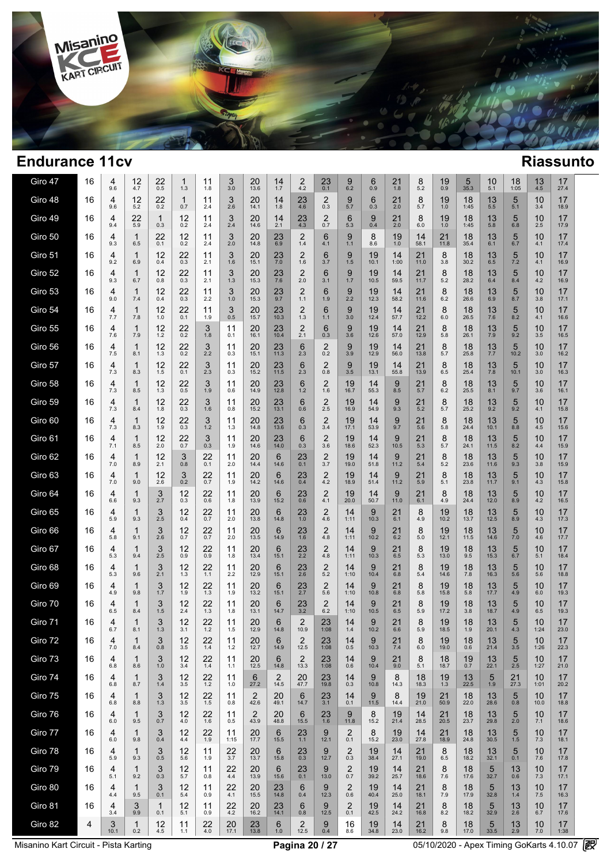

 $\overline{\phantom{a}}$ 

| Giro 47 | 16 | 4<br>9.6  | 12<br>4.7           | 22<br>0.5           | 1<br>1.3            | 11<br>1.8 | 3<br>3.0    | 20<br>13.6 | 14<br>1.7     | 2<br>4.2                  | $^{23}_{0.1}$                  | $\frac{9}{6.2}$         | 6<br>0.9   | 21<br>1.8     | 8<br>5.2   | $19_{0.9}$   | 5<br>35.3     | 10<br>5.1          | 18<br>1:05      | 13<br>4.5  | 17<br>27.4 |  |
|---------|----|-----------|---------------------|---------------------|---------------------|-----------|-------------|------------|---------------|---------------------------|--------------------------------|-------------------------|------------|---------------|------------|--------------|---------------|--------------------|-----------------|------------|------------|--|
| Giro 48 | 16 | 4<br>9.6  | 12<br>5.2           | 22<br>0.2           | $\mathbf{1}$<br>0.7 | 11<br>2.4 | 3<br>2.6    | 20<br>14.1 | 14<br>1.8     | 23<br>4.6                 | 2<br>0.3                       | 9<br>5.7                | 6<br>0.3   | 21<br>2.0     | 8<br>5.7   | 19<br>1.0    | 18<br>1:45    | 13 5.5             | 5<br>5.1        | 10<br>3.4  | 17<br>18.9 |  |
| Giro 49 | 16 | 4<br>9.4  | 22<br>5.9           | $\mathbf{1}$<br>0.3 | 12<br>0.2           | 11<br>2.4 | 3<br>2.4    | 20<br>14.6 | 14<br>2.1     | 23<br>4.3                 | $\overline{2}$<br>0.7          | 6<br>5.3                | 9<br>0.4   | 21<br>2.0     | 8<br>6.0   | 19<br>1.0    | 18<br>1:45    | 13<br>5.8          | 5<br>6.8        | 10<br>2.5  | 17<br>17.9 |  |
| Giro 50 | 16 | 4<br>9.3  | $\mathbf{1}$<br>6.5 | 22<br>0.1           | 12<br>0.2           | 11<br>2.4 | 3<br>2.0    | 20<br>14.8 | 23<br>6.9     | $\overline{2}$<br>1.4     | 6<br>4.1                       | 9<br>1.1                | 8<br>8.6   | 19<br>1.0     | 14<br>58.1 | 21<br>11.8   | 18<br>35.4    | 13<br>6.1          | 5<br>6.7        | 10<br>4.1  | 17<br>17.4 |  |
| Giro 51 | 16 | 4<br>9.2  | $\mathbf{1}$<br>6.9 | 12<br>0.4           | 22<br>0.3           | 11<br>2.1 | 3<br>1.6    | 20<br>15.1 | $^{23}_{7.0}$ | $\overline{c}$<br>1.6     | 6<br>3.7                       | 9<br>1.5                | 19<br>10.1 | 14<br>1:00    | 21<br>11.0 | 8<br>3.8     | 18<br>30.2    | $13 \n6.5$         | 5<br>7.2        | 10<br>4.1  | 17<br>16.9 |  |
| Giro 52 | 16 | 4<br>9.3  | $\mathbf{1}$<br>6.7 | 12<br>0.8           | 22<br>0.3           | 11<br>2.1 | 3<br>1.3    | 20<br>15.3 | $^{23}_{7.6}$ | $\overline{c}$<br>$2.0\,$ | 6<br>3.1                       | 9<br>1.7                | 19<br>10.5 | 14<br>59.5    | 21<br>11.7 | 8<br>5.2     | 18<br>28.2    | $13 \n6.4$         | 5<br>8.4        | 10<br>4.2  | 17<br>16.9 |  |
| Giro 53 | 16 | 4<br>9.0  | $\mathbf{1}$<br>7.4 | 12<br>0.4           | 22<br>0.3           | 11<br>2.2 | 3<br>1.0    | 20<br>15.3 | 23<br>9.7     | $\overline{2}$<br>1.1     | 6<br>1.9                       | 9<br>2.2                | 19<br>12.3 | 14<br>58.2    | 21<br>11.6 | 8<br>6.2     | 18<br>26.6    | 13<br>6.9          | 5<br>8.7        | 10<br>3.8  | 17<br>17.1 |  |
| Giro 54 | 16 | 4<br>7.7  | $\mathbf{1}$<br>7.8 | 12<br>1.0           | 22<br>0.1           | 11<br>1.9 | 3<br>0.5    | 20<br>15.7 | 23<br>10.3    | $\overline{2}$<br>$1.3$   | 6<br>$1.1$                     | 9<br>3.0                | 19<br>12.4 | 14<br>57.7    | 21<br>12.2 | 8<br>$6.0\,$ | 18<br>26.5    | 13<br>7.6          | 5<br>8.2        | 10<br>4.1  | 17<br>16.6 |  |
| Giro 55 | 16 | 4<br>7.6  | $\mathbf{1}$<br>7.9 | 12<br>1.2           | $^{22}_{0.2}$       | 3<br>1.8  | 11<br>0.1   | 20<br>16.1 | 23<br>10.4    | $2 \choose 2.1$           | 6<br>0.3                       | 9<br>3.6                | 19<br>12.6 | 14<br>57.0    | 21<br>12.9 | 8<br>5.8     | 18<br>26.1    | $^{13}_{7.9}$      | 5<br>9.2        | 10<br>3.5  | 17<br>16.5 |  |
| Giro 56 | 16 | 4<br>7.5  | $\mathbf{1}$<br>8.1 | 12<br>1.3           | $^{22}_{0.2}$       | 3<br>2.2  | 11<br>0.3   | 20<br>15.1 | 23<br>11.3    | 6<br>2.3                  | $^{2}_{0.2}$                   | 9<br>3.9                | 19<br>12.9 | 14<br>56.0    | 21<br>13.8 | 8<br>5.7     | 18<br>25.8    | $\frac{13}{7.7}$   | 5<br>10.2       | 10<br>3.0  | 17<br>16.2 |  |
| Giro 57 | 16 | 4<br>7.3  | $\mathbf{1}$<br>8.3 | 12<br>1.5           | 22<br>0.1           | 3<br>2.3  | 11<br>0.3   | 20<br>15.2 | 23<br>11.5    | 6<br>2.3                  | $\overline{2}$<br>0.8          | 9<br>3.5                | 19<br>13.1 | 14<br>55.8    | 21<br>13.9 | 8<br>6.5     | 18<br>25.4    | 13<br>7.8          | 5<br>10.1       | 10<br>3.0  | 17<br>16.3 |  |
| Giro 58 | 16 | 4<br>7.3  | $\mathbf{1}$<br>8.5 | 12<br>1.3           | 22<br>0.5           | 3<br>1.9  | 11<br>0.6   | 20<br>14.9 | 23<br>12.8    | 6<br>1.2                  | $\overline{2}$<br>1.6          | 19<br>16.7              | 14<br>55.3 | 9<br>8.5      | 21<br>5.7  | 8<br>6.2     | 18<br>25.5    | 13<br>8.1          | 5<br>9.7        | 10<br>3.6  | 17<br>16.1 |  |
| Giro 59 | 16 | 4<br>7.3  | 1<br>8.4            | 12<br>1.8           | 22<br>0.3           | 3<br>1.6  | 11<br>0.8   | 20<br>15.2 | 23<br>13.1    | 6<br>0.6                  | $\frac{2}{2.5}$                | 19<br>16.9              | 14<br>54.9 | 9<br>9.3      | 21<br>5.2  | 8<br>5.7     | 18<br>25.2    | $13 \n9.2$         | 5<br>9.2        | 10<br>4.1  | 17<br>15.8 |  |
| Giro 60 | 16 | 4<br>7.3  | 1<br>8.3            | 12<br>1.9           | 22<br>0.3           | 3<br>1.2  | 11<br>1.3   | 20<br>14.8 | 23<br>13.6    | 6<br>0.3                  | $\frac{2}{3.4}$                | 19<br>17.1              | 14<br>53.9 | 9<br>9.7      | 21<br>5.6  | 8<br>5.8     | 18<br>24.4    | 13<br>10.1         | 5<br>8.8        | 10<br>4.5  | 17<br>15.6 |  |
| Giro 61 | 16 | 4<br>7.1  | $\mathbf{1}$<br>8.5 | 12<br>2.0           | 22<br>0.7           | 3<br>0.3  | 11<br>1.9   | 20<br>14.6 | 23<br>14.0    | 6<br>0.3                  | $\overline{2}$<br>3.6          | 19<br>18.6              | 14<br>52.3 | 9<br>10.5     | 21<br>5.3  | 8<br>5.7     | 18<br>24.1    | 13<br>11.5         | 5<br>8.2        | 10<br>4.4  | 17<br>15.9 |  |
| Giro 62 | 16 | 4<br>7.0  | 1<br>8.9            | 12<br>2.1           | 3<br>0.8            | 22<br>0.1 | 11<br>2.0   | 20<br>14.4 | 6<br>14.6     | 23<br>0.1                 | $\overline{\mathbf{c}}$<br>3.7 | 19<br>19.0              | 14<br>51.8 | 9<br>11.2     | 21<br>5.4  | 8<br>5.2     | 18<br>23.6    | 13<br>11.6         | 5<br>9.3        | 10<br>3.8  | 17<br>15.9 |  |
| Giro 63 | 16 | 4<br>7.0  | 1<br>9.0            | 12<br>2.6           | 3<br>0.2            | 22<br>0.7 | 11<br>1.9   | 20<br>14.2 | 6<br>14.6     | 23<br>0.4                 | $^{2}_{4.2}$                   | 19<br>18.9              | 14<br>51.4 | 9<br>11.2     | 21<br>5.9  | 8<br>5.1     | 18<br>23.8    | 13<br>11.7         | $\frac{5}{9.1}$ | 10<br>4.3  | 17<br>15.8 |  |
| Giro 64 | 16 | 4<br>6.6  | 1<br>9.3            | $\frac{3}{2.7}$     | 12<br>0.3           | 22<br>0.6 | 11<br>1.8   | 20<br>13.9 | 6<br>15.2     | 23<br>0.6                 | $^{2}_{4.1}$                   | 19<br>20.0              | 14<br>50.7 | 9<br>11.0     | $21_{6.1}$ | 8<br>4.9     | 18<br>24.4    | 13 <sub>12.0</sub> | $\frac{5}{8.9}$ | 10<br>4.2  | 17<br>16.5 |  |
| Giro 65 | 16 | 4<br>5.9  | 1<br>9.3            | 3<br>2.5            | 12<br>0.4           | 22<br>0.7 | 11<br>2.0   | 20<br>13.8 | 6<br>14.8     | 23<br>1.0                 | $\overline{2}$<br>4.6          | 14<br>1:11              | 9<br>10.3  | 21<br>6.1     | 8<br>4.9   | 19<br>10.2   | 18<br>13.7    | 13<br>12.5         | 5<br>8.9        | 10<br>4.3  | 17<br>17.3 |  |
| Giro 66 | 16 | 4<br>5.8  | 1<br>9.1            | $\frac{3}{2.6}$     | 12<br>0.7           | 22<br>0.7 | 11<br>2.0   | 20<br>13.5 | 6<br>14.9     | $^{23}_{1.6}$             | $\overline{2}$<br>4.8          | 14<br>1:11              | 9<br>10.2  | 21<br>6.2     | 8<br>$5.0$ | 19<br>12.1   | 18<br>11.5    | 13<br>14.6         | $\frac{5}{7.0}$ | 10<br>4.6  | 17<br>17.7 |  |
| Giro 67 | 16 | 4<br>5.3  | 1<br>9.4            | 3<br>2.5            | 12<br>0.9           | 22<br>0.9 | 11<br>1.8   | 20<br>13.4 | 6<br>15.1     | $^{23}_{2.2}$             | $\overline{2}$<br>4.8          | 14<br>1:11              | 9<br>10.3  | 21<br>6.5     | 8<br>5.3   | 19<br>13.0   | 18<br>9.5     | 13<br>15.3         | $\frac{5}{6.7}$ | 10<br>5.1  | 17<br>18.4 |  |
| Giro 68 | 16 | 4<br>5.3  | 1<br>9.6            | $\frac{3}{2.1}$     | 12<br>1.3           | 22<br>1.1 | 11<br>2.2   | 20<br>12.9 | 6<br>15.1     | $^{23}_{2.6}$             | $\overline{2}$<br>5.2          | 14<br>1:10              | 9<br>10.4  | 21<br>6.8     | 8<br>5.4   | 19<br>14.6   | $^{18}_{7.8}$ | 13<br>16.3         | 5<br>5.6        | 10<br>5.6  | 17<br>18.8 |  |
| Giro 69 | 16 | 4<br>4.9  | 1<br>9.8            | 3<br>1.7            | 12<br>1.9           | 22<br>1.3 | 11<br>1.9   | 20<br>13.2 | 6<br>15.1     | 23<br>2.7                 | $\overline{2}$<br>5.6          | 14<br>1:10              | 9<br>10.8  | 21<br>6.8     | 8<br>5.8   | 19<br>15.8   | 18<br>5.8     | 13<br>17.7         | 5<br>4.9        | 10<br>6.0  | 17<br>19.3 |  |
| Giro 70 | 16 | 4<br>6.5  | 1<br>8.4            | 3<br>1.5            | 12<br>2.4           | 22<br>1.3 | 11<br>1.8   | 20<br>13.1 | 6<br>14.7     | $23 \atop 3.2$            | $\overline{2}$<br>6.2          | 14<br>1:10              | 9<br>10.5  | 21<br>6.5     | 8<br>5.9   | 19<br>17.2   | 18<br>3.8     | 13<br>18.7         | $\frac{5}{4.9}$ | 10<br>6.5  | 17<br>19.3 |  |
| Giro 71 | 16 | 4<br>6.7  | 1<br>8.1            | 3<br>1.3            | 12<br>3.1           | 22<br>1.2 | 11<br>1.5   | 20<br>12.9 | 6<br>14.8     | $\overline{2}$<br>10.9    | 23<br>1:08                     | 14<br>1.4               | 9<br>10.2  | 21<br>6.6     | 8<br>5.9   | 19<br>18.5   | 18<br>1.9     | 13<br>20.1         | 5<br>4.3        | 10<br>1:24 | 17<br>23.0 |  |
| Giro 72 | 16 | 4<br>7.0  | 8.4                 | 3<br>0.8            | 12<br>3.5           | 22<br>1.4 | 11<br>$1.2$ | 20<br>12.7 | 6<br>14.9     | $\overline{2}$<br>12.5    | 23<br>1:08                     | 14<br>0.5               | 9<br>10.3  | $^{21}_{7.4}$ | 8<br>6.0   | 19<br>19.0   | 18<br>0.6     | 13<br>21.4         | 5<br>3.5        | 10<br>1:26 | 17<br>22.3 |  |
| Giro 73 | 16 | 4<br>6.8  | 1<br>8.6            | 3<br>1.0            | 12<br>3.4           | 22<br>1.4 | 11<br>1.1   | 20<br>12.5 | 6<br>14.8     | $\overline{2}$<br>13.3    | 23<br>1:08                     | 14<br>0.6               | 9<br>10.4  | 21<br>9.0     | 8<br>5.1   | 18<br>18.7   | 19<br>0.7     | 13<br>22.1         | 5<br>2.5        | 10<br>1:27 | 17<br>21.0 |  |
| Giro 74 | 16 | 4<br>6.8  | 1<br>8.7            | 3<br>1.4            | 12<br>3.5           | 22<br>1.2 | 11<br>1.0   | 6<br>27.2  | 2<br>14.5     | 20<br>47.7                | 23<br>19.8                     | 14<br>0.3               | 9<br>10.8  | 8<br>14.3     | 18<br>18.3 | 19<br>1.3    | 13<br>22.5    | 5<br>1.9           | 21<br>27.3      | 10<br>1:01 | 17<br>20.2 |  |
| Giro 75 | 16 | 4<br>6.8  | 1<br>8.8            | 3<br>1.3            | 12<br>3.5           | 22<br>1.5 | 11<br>0.8   | 2<br>42.6  | 20<br>49.1    | 6<br>14.7                 | 23<br>3.1                      | 14<br>0.1               | 9<br>11.5  | 8<br>14.4     | 19<br>21.0 | 21<br>50.9   | 18<br>22.0    | 13<br>28.6         | 5<br>0.8        | 10<br>10.0 | 17<br>18.8 |  |
| Giro 76 | 16 | 4<br>6.0  | 1<br>9.5            | 3<br>0.7            | 12<br>4.0           | 22<br>1.6 | 11<br>0.5   | 2<br>43.9  | 20<br>48.8    | 6<br>15.5                 | 23<br>1.6                      | 9<br>11.8               | 8<br>15.2  | 19<br>21.4    | 14<br>28.5 | 21<br>20.5   | 18<br>23.7    | 13<br>29.8         | 5<br>2.0        | 10<br>7.1  | 17<br>18.6 |  |
| Giro 77 | 16 | 4<br>6.0  | $\mathbf{1}$<br>9.8 | 3<br>0.4            | 12<br>4.4           | 22<br>1.9 | 11<br>1:15  | 20<br>17.7 | 6<br>15.5     | 23<br>1.1                 | 9<br>12.1                      | $\overline{2}$<br>0.1   | 8<br>15.2  | 19<br>23.0    | 14<br>27.8 | 21<br>18.9   | 18<br>24.8    | 13<br>30.5         | 5<br>1.5        | 10<br>7.3  | 17<br>18.1 |  |
| Giro 78 | 16 | 4<br>5.9  | 1<br>9.3            | 3<br>0.5            | 12<br>5.6           | 11<br>1.9 | 22<br>3.7   | 20<br>13.7 | 6<br>15.8     | 23<br>0.3                 | 9<br>12.7                      | $\overline{c}$<br>0.3   | 19<br>38.4 | 14<br>27.1    | 21<br>19.0 | 8<br>6.5     | 18<br>18.2    | 13<br>32.1         | 5<br>0.1        | 10<br>7.6  | 17<br>17.8 |  |
| Giro 79 | 16 | 4<br>5.1  | 1<br>9.2            | 3<br>0.3            | 12<br>5.7           | 11<br>0.8 | 22<br>4.4   | 20<br>13.9 | 6<br>15.6     | 23<br>0.1                 | 9<br>13.0                      | $\boldsymbol{2}$<br>0.7 | 19<br>39.2 | 14<br>25.7    | 21<br>18.6 | 8<br>7.6     | 18<br>17.6    | 5<br>32.7          | 13<br>0.6       | 10<br>7.3  | 17<br>17.1 |  |
| Giro 80 | 16 | 4<br>4.4  | 1<br>9.5            | 3<br>0.1            | 12<br>5.4           | 11<br>0.9 | 22<br>4.1   | 20<br>15.5 | 23<br>14.8    | 6<br>0.4                  | 9<br>12.3                      | $\overline{c}$<br>0.6   | 19<br>40.4 | 14<br>25.0    | 21<br>18.1 | 8<br>7.9     | 18<br>17.9    | 5<br>32.8          | 13<br>1.4       | 10<br>7.5  | 17<br>16.3 |  |
| Giro 81 | 16 | 4<br>3.4  | 3<br>9.9            | 1<br>0.1            | 12<br>5.1           | 11<br>0.9 | 22<br>4.2   | 20<br>16.2 | 23<br>14.1    | 6<br>0.8                  | 9<br>12.5                      | $\overline{2}$<br>0.1   | 19<br>42.5 | 14<br>24.2    | 21<br>16.8 | 8<br>8.2     | 18<br>18.2    | 5<br>32.9          | 13<br>2.6       | 10<br>6.7  | 17<br>17.6 |  |
| Giro 82 | 4  | 3<br>10.1 | $\mathbf{1}$<br>0.2 | 12<br>4.5           | 11<br>1.1           | 22<br>4.0 | 20<br>17.1  | 23<br>13.8 | 6<br>1.0      | $\overline{2}$<br>12.5    | 9<br>0.4                       | 16<br>8.6               | 19<br>34.8 | 14<br>23.0    | 21<br>16.2 | 8<br>9.8     | 18<br>17.0    | 5<br>33.5          | 13<br>2.9       | 10<br>7.0  | 17<br>1:38 |  |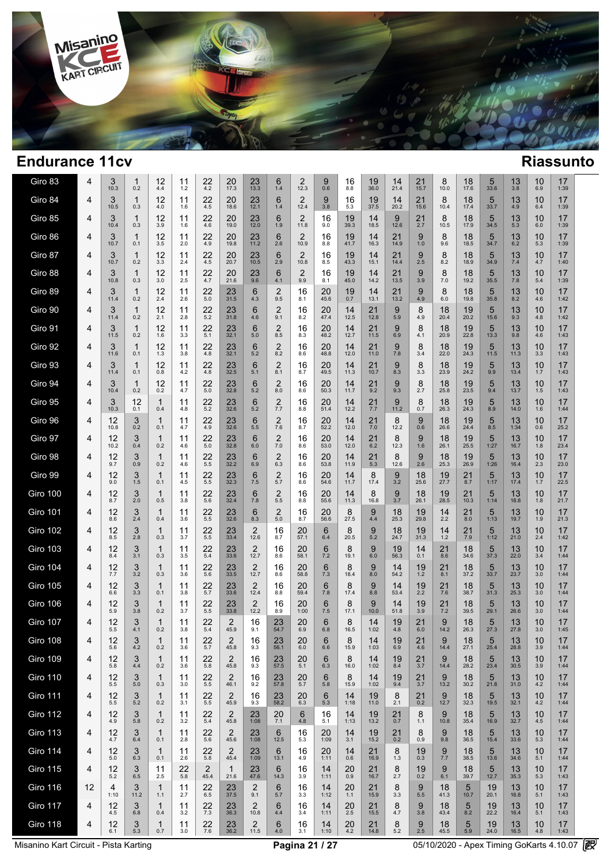

 $\overline{\phantom{a}}$ 

| Giro 83         | 4  | 3<br>10.3  | 1<br>0.2            | 12<br>4.4           | 11<br>1.2 | 22<br>4.2              | 20<br>17.3             | 23<br>13.3             | 6<br>1.4              | 2<br>12.3              | 9<br>0.6   | 16<br>8.8                   | 19<br>36.0 | 14<br>21.4      | 21<br>15.7 | 8<br>10.0  | 18<br>17.6            | 5<br>33.6               | 13<br>3.8  | 10<br>6.9 | 17<br>1:39 |  |
|-----------------|----|------------|---------------------|---------------------|-----------|------------------------|------------------------|------------------------|-----------------------|------------------------|------------|-----------------------------|------------|-----------------|------------|------------|-----------------------|-------------------------|------------|-----------|------------|--|
| Giro 84         | 4  | 3<br>10.5  | $\mathbf{1}$<br>0.3 | 12<br>4.0           | 11<br>1.6 | 22<br>4.5              | 20<br>18.6             | 23<br>12.1             | 6<br>1.4              | 2<br>12.4              | 9<br>3.8   | 16<br>5.3                   | 19<br>37.5 | 14<br>20.2      | 21<br>15.6 | 8<br>10.4  | 18<br>17.4            | 5<br>33.7               | 13<br>4.9  | 10<br>6.4 | 17<br>1:39 |  |
| Giro 85         | 4  | 3<br>10.4  | 1<br>0.3            | 12<br>3.9           | 11<br>1.6 | 22<br>4.6              | 20<br>19.0             | 23<br>12.0             | 6<br>1.9              | 2<br>11.8              | 16<br>9.0  | 19<br>39.3                  | 14<br>18.5 | 9<br>12.6       | 21<br>2.7  | 8<br>10.5  | 18<br>17.9            | 5<br>34.5               | 13<br>5.3  | 10<br>6.0 | 17<br>1:39 |  |
| Giro 86         | 4  | 3<br>10.7  | $\mathbf{1}$<br>0.1 | 12<br>3.5           | 11<br>2.0 | 22<br>4.9              | 20<br>19.8             | 23<br>11.2             | 6<br>2.6              | 2<br>10.9              | 16<br>8.8  | 19<br>41.7                  | 14<br>16.3 | 21<br>14.9      | 9<br>1.0   | 8<br>9.6   | 18<br>18.5            | 5<br>34.7               | 13<br>6.2  | 10<br>5.3 | 17<br>1:39 |  |
| Giro 87         | 4  | 3<br>10.7  | 1<br>0.2            | 12<br>3.3           | 11<br>2.4 | 22<br>4.5              | 20<br>20.7             | 23<br>10.5             | 6<br>2.9              | $\overline{2}$<br>10.8 | 16<br>8.5  | 19<br>43.3                  | 14<br>15.1 | 21<br>14.4      | 9<br>2.5   | 8<br>8.2   | 18<br>18.9            | 5<br>34.9               | 13<br>7.4  | 10<br>4.7 | 17<br>1:40 |  |
| Giro 88         | 4  | 3<br>10.8  | $\mathbf{1}$<br>0.3 | 12<br>3.0           | 11<br>2.5 | 22<br>4.7              | 20<br>21.6             | 23<br>9.6              | 6<br>4.1              | 2<br>9.9               | 16<br>8.1  | 19<br>45.0                  | 14<br>14.2 | 21<br>13.5      | 9<br>3.9   | 8<br>7.0   | 18<br>19.2            | 5<br>35.5               | 13<br>7.8  | 10<br>5.4 | 17<br>1:39 |  |
| Giro 89         | 4  | 3<br>11.4  | 1<br>0.2            | 12<br>2.4           | 11<br>2.6 | 22<br>5.0              | 23<br>31.5             | 6<br>4.3               | 2<br>9.5              | 16<br>8.1              | 20<br>45.6 | 19<br>0.7                   | 14<br>13.1 | 21<br>13.2      | 9<br>4.9   | 8<br>6.0   | 18<br>19.8            | $5\overline{)}$<br>35.8 | 13<br>8.2  | 10<br>4.6 | 17<br>1:42 |  |
| Giro 90         | 4  | 3<br>11.4  | 1<br>0.2            | 12<br>2.1           | 11<br>2.8 | 22<br>5.2              | 23<br>31.8             | 6<br>4.6               | $\overline{2}$<br>9.1 | 16<br>8.2              | 20<br>47.4 | 14<br>12.5                  | 21<br>12.8 | 9<br>5.9        | 8<br>4.9   | 18<br>20.4 | 19<br>20.2            | 5<br>15.6               | 13<br>9.3  | 10<br>4.8 | 17<br>1:42 |  |
| Giro 91         | 4  | 3<br>11.5  | 1<br>0.2            | 12<br>1.6           | 11<br>3.3 | 22<br>5.1              | 23<br>32.1             | 6<br>5.0               | $\overline{2}$<br>8.5 | 16<br>8.3              | 20<br>48.2 | 14<br>12.7                  | 21<br>11.5 | 9<br>6.9        | 8<br>4.1   | 18<br>20.9 | 19<br>22.8            | $5\overline{)}$<br>13.3 | 13<br>9.8  | 10<br>4.6 | 17<br>1:43 |  |
| Giro 92         | 4  | 3<br>11.6  | 1<br>0.1            | 12<br>1.3           | 11<br>3.8 | 22<br>4.8              | 23<br>32.1             | 6<br>5.2               | $\overline{2}$<br>8.2 | 16<br>8.6              | 20<br>48.8 | 14<br>12.0                  | 21<br>11.0 | 9<br>7.8        | 8<br>3.4   | 18<br>22.0 | 19<br>24.3            | 5<br>11.5               | 13<br>11.3 | 10<br>3.3 | 17<br>1:43 |  |
| Giro 93         | 4  | 3<br>11.4  | 1<br>0.1            | 12<br>0.8           | 11<br>4.2 | 22<br>4.8              | 23<br>32.5             | 6<br>5.1               | 2<br>8.1              | 16<br>8.7              | 20<br>49.5 | 14<br>11.3                  | 21<br>10.7 | 9<br>8.3        | 8<br>3.3   | 18<br>23.9 | 19<br>24.2            | 5<br>9.9                | 13<br>13.4 | 10<br>1.7 | 17<br>1:43 |  |
| Giro 94         | 4  | 3<br>10.4  | 1<br>0.2            | 12<br>0.2           | 11<br>4.7 | 22<br>5.0              | 23<br>32.8             | 6<br>5.2               | 2<br>8.0              | 16<br>8.6              | 20<br>50.3 | 14<br>11.7                  | 21<br>9.2  | 9<br>9.3        | 8<br>2.7   | 18<br>25.8 | 19<br>23.5            | 5<br>9.4                | 13<br>13.7 | 10<br>1.5 | 17<br>1:43 |  |
| Giro 95         | 4  | 3<br>10.3  | 12<br>0.1           | $\mathbf{1}$<br>0.4 | 11<br>4.8 | 22<br>5.2              | 23<br>32.6             | 6<br>5.2               | 2<br>7.7              | 16<br>8.8              | 20<br>51.4 | 14<br>12.2                  | 21<br>7.7  | 9<br>11.2       | 8<br>0.7   | 18<br>26.3 | 19<br>24.3            | 5<br>8.9                | 13<br>14.0 | 10<br>1.6 | 17<br>1:44 |  |
| Giro 96         | 4  | 12<br>10.8 | 3<br>0.2            | 1<br>0.1            | 11<br>4.7 | 22<br>4.9              | 23<br>32.6             | 6<br>5.5               | 2<br>7.6              | 16<br>8.7              | 20<br>52.2 | 14<br>12.0                  | 21<br>7.0  | 8<br>12.2       | 9<br>0.6   | 18<br>26.6 | 19<br>24.4            | 5<br>8.5                | 13<br>1:34 | 10<br>0.6 | 17<br>25.2 |  |
| Giro 97         | 4  | 12<br>10.2 | 3<br>0.4            | $\mathbf{1}$<br>0.2 | 11<br>4.6 | 22<br>5.0              | 23<br>32.8             | 6<br>6.0               | 2<br>7.0              | 16<br>8.6              | 20<br>53.0 | 14<br>12.0                  | 21<br>6.2  | 8<br>12.3       | 9<br>1.6   | 18<br>26.1 | 19<br>25.5            | 5<br>1:27               | 13<br>16.7 | 10<br>1.8 | 17<br>23.4 |  |
| Giro 98         | 4  | 12<br>9.7  | 3<br>0.9            | 1<br>0.2            | 11<br>4.6 | 22<br>5.5              | 23<br>32.2             | 6<br>6.9               | 2<br>6.3              | 16<br>8.6              | 20<br>53.8 | 14<br>11.9                  | 21<br>5.3  | 8<br>12.6       | 9<br>2.6   | 18<br>25.3 | 19<br>26.9            | 5<br>1:26               | 13<br>16.4 | 10<br>2.3 | 17<br>23.0 |  |
| Giro 99         | 4  | 12<br>9.0  | 3<br>1.5            | 1<br>0.1            | 11<br>4.5 | 22<br>5.5              | $23$ <sub>32.3</sub>   | 6<br>7.5               | 2<br>5.7              | 16<br>8.6              | 20<br>54.6 | 14<br>11.7                  | 8<br>17.4  | 9<br>3.2        | 18<br>25.6 | 19<br>27.7 | 21<br>8.7             | 5<br>1:17               | 13<br>17.4 | 10<br>1.7 | 17<br>22.5 |  |
| <b>Giro 100</b> | 4  | 12<br>8.7  | 3<br>2.0            | 1<br>0.5            | 11<br>3.8 | 22<br>5.6              | $23$ <sub>32.4</sub>   | 6<br>7.8               | 2<br>5.5              | 16<br>8.8              | 20<br>55.6 | 14<br>11.3                  | 8<br>16.8  | $\frac{9}{3.7}$ | 18<br>26.1 | 19<br>28.5 | 21<br>10.3            | 5<br>1:14               | 13<br>18.8 | 10<br>1.8 | 17<br>21.7 |  |
| <b>Giro 101</b> | 4  | 12<br>8.6  | 3<br>2.4            | 1<br>0.4            | 11<br>3.6 | 22<br>5.5              | 23<br>32.6             | 6<br>8.3               | $\overline{2}$<br>5.0 | 16<br>8.7              | 20<br>56.6 | 8<br>27.5                   | 9<br>4.4   | 18<br>25.3      | 19<br>29.8 | 14<br>2.2  | 21<br>8.0             | 5<br>1:13               | 13<br>19.7 | 10<br>1.9 | 17<br>21.3 |  |
| <b>Giro 102</b> | 4  | 12<br>8.5  | 3<br>2.8            | 1<br>0.3            | 11<br>3.7 | 22<br>5.5              | 23<br>33.4             | 2<br>12.6              | 16<br>8.7             | 20<br>57.1             | 6<br>6.4   | 8<br>20.5                   | 9<br>5.2   | 18<br>24.7      | 19<br>31.3 | 14<br>1.2  | $^{21}_{7.9}$         | 5<br>1:12               | 13<br>21.0 | 10<br>2.4 | 17<br>1:42 |  |
| <b>Giro 103</b> | 4  | 12<br>8.4  | 3<br>3.1            | 1<br>0.3            | 11<br>3.5 | 22<br>5.4              | 23<br>33.6             | $\overline{2}$<br>12.7 | 16<br>8.6             | 20<br>58.1             | 6<br>7.2   | 8<br>19.1                   | 9<br>6.0   | 19<br>56.3      | 14<br>0.1  | 21<br>8.6  | 18<br>34.6            | 5<br>37.3               | 13<br>22.0 | 10<br>3.4 | 17<br>1:44 |  |
| <b>Giro 104</b> | 4  | 12<br>7.7  | 3<br>3.2            | 1<br>0.3            | 11<br>3.6 | 22<br>5.6              | 23<br>33.5             | $\overline{2}$<br>12.7 | 16<br>8.6             | 20<br>58.8             | 6<br>7.3   | 8<br>18.4                   | 9<br>8.0   | 14<br>54.2      | 19<br>1.2  | 21<br>8.1  | 18<br>37.2            | 5<br>33.7               | 13<br>23.7 | 10<br>3.0 | 17<br>1:44 |  |
| <b>Giro 105</b> | 4  | 12<br>6.6  | 3<br>3.3            | $\mathbf{1}$<br>0.1 | 11<br>3.8 | 22<br>5.7              | 23<br>33.6             | $\overline{2}$<br>12.4 | 16<br>8.8             | 20<br>59.4             | 6<br>7.8   | 8<br>17.4                   | 9<br>8.8   | 14<br>53.4      | 19<br>2.2  | 21<br>7.6  | 18<br>38.7            | 5<br>31.3               | 13<br>25.3 | 10<br>3.0 | 17<br>1:44 |  |
| <b>Giro 106</b> | 4  | 12<br>5.9  | 3<br>3.8            | 1<br>0.2            | 11<br>3.7 | 22<br>5.5              | $23$ <sub>33.8</sub>   | 2<br>12.2              | 16<br>8.9             | 20<br>1:00             | 6<br>7.5   | 8<br>17.1                   | 9<br>10.0  | 14<br>51.8      | 19<br>3.9  | 21<br>7.2  | 18<br>39.5            | 5<br>29.1               | 13<br>26.6 | 10<br>3.0 | 17<br>1:44 |  |
| <b>Giro 107</b> | 4  | 12<br>5.5  | 3<br>4.1            | $\mathbf{1}$<br>0.2 | 11<br>3.8 | 22<br>5.4              | 2<br>45.9              | 16<br>9.1              | 23<br>54.7            | 20<br>6.9              | 6<br>6.8   | 8<br>16.5                   | 14<br>1:02 | 19<br>4.8       | 21<br>6.0  | 9<br>14.2  | 18<br>26.3            | 5<br>27.3               | 13<br>27.8 | 10<br>3.0 | 17<br>1:45 |  |
| Giro 108        | 4  | 12<br>5.6  | 3<br>4.2            | 0.2                 | 11<br>3.6 | 22<br>5.7              | 2<br>45.8              | 16<br>9.3              | 23<br>56.1            | 20<br>6.0              | 6<br>6.6   | 8<br>15.9                   | 14<br>1:03 | 19<br>6.9       | 21<br>4.6  | 9<br>14.4  | 18<br>27.1            | 5<br>25.4               | 13<br>28.8 | 10<br>3.9 | 17<br>1:44 |  |
| <b>Giro 109</b> | 4  | 12<br>5.8  | 3<br>4.4            | 1<br>0.2            | 11<br>3.6 | 22<br>5.8              | $\overline{2}$<br>45.8 | 16<br>9.3              | 23<br>57.5            | 20<br>5.1              | 6<br>6.3   | 8<br>16.0                   | 14<br>1:02 | 19<br>8.4       | 21<br>3.7  | 9<br>14.4  | 18<br>28.2            | 5<br>23.4               | 13<br>30.5 | 10<br>3.9 | 17<br>1:44 |  |
| <b>Giro 110</b> | 4  | 12<br>5.5  | 3<br>5.0            | 1<br>0.3            | 11<br>3.0 | 22<br>5.5              | 2<br>46.1              | 16<br>9.2              | 23<br>57.8            | 20<br>5.7              | 6<br>5.8   | 8<br>15.9                   | 14<br>1:02 | 19<br>9.4       | 21<br>3.7  | 9<br>13.2  | 18<br>30.2            | 5<br>21.8               | 13<br>31.0 | 10<br>4.2 | 17<br>1:44 |  |
| <b>Giro 111</b> | 4  | 12<br>5.5  | 3<br>5.2            | 1<br>0.2            | 11<br>3.1 | 22<br>5.5              | 2<br>45.9              | 16<br>9.3              | 23<br>58.2            | 20<br>6.3              | 6<br>5.3   | 14<br>1:18                  | 19<br>11.0 | 8<br>2.1        | 21<br>0.2  | 9<br>12.7  | 18<br>32.3            | 5<br>19.5               | 13<br>32.1 | 10<br>4.2 | 17<br>1:44 |  |
| <b>Giro 112</b> | 4  | 12<br>4.9  | 3<br>5.8            | 1<br>0.2            | 11<br>3.2 | 22<br>5.4              | 2<br>45.8              | 23<br>1:08             | 20<br>7.1             | 6<br>4.8               | 16<br>5.1  | 14<br>1:13                  | 19<br>13.2 | 21<br>0.7       | 8<br>1.1   | 9<br>10.8  | 18<br>35.4            | 5<br>16.9               | 13<br>32.7 | 10<br>4.5 | 17<br>1:44 |  |
| <b>Giro 113</b> | 4  | 12<br>4.7  | 3<br>6.4            | $\mathbf{1}$<br>0.1 | 11<br>2.8 | 22<br>5.6              | $\overline{2}$<br>45.6 | 23<br>1:08             | 6<br>12.5             | 16<br>5.3              | 20<br>1:09 | 14<br>3.1                   | 19<br>15.2 | 21<br>0.2       | 8<br>0.9   | 9<br>9.8   | 18<br>36.5            | 5<br>15.4               | 13<br>33.6 | 10<br>5.3 | 17<br>1:44 |  |
| <b>Giro 114</b> | 4  | 12<br>5.0  | 3<br>6.3            | $\mathbf{1}$<br>0.1 | 11<br>2.6 | 22<br>5.8              | 2<br>45.4              | 23<br>1:09             | 6<br>13.1             | 16<br>4.9              | 20<br>1:11 | 14<br>0.6                   | 21<br>16.9 | 8<br>1.3        | 19<br>0.3  | 9<br>7.7   | 18<br>38.5            | 5<br>13.6               | 13<br>34.6 | 10<br>5.1 | 17<br>1:44 |  |
| <b>Giro 115</b> | 4  | 12<br>5.2  | 3<br>6.5            | 11<br>2.5           | 22<br>5.8 | $\overline{2}$<br>45.4 | $\mathbf{1}$<br>21.6   | 23<br>47.6             | 6<br>14.3             | 16<br>3.9              | 14<br>1:11 | 20<br>0.9                   | 21<br>16.7 | 8<br>2.7        | 19<br>0.2  | 9<br>6.1   | 18<br>39.7            | 5<br>12.7               | 13<br>35.3 | 10<br>5.3 | 17<br>1:43 |  |
| <b>Giro 116</b> | 12 | 4<br>1:10  | 3<br>11.2           | $\mathbf{1}$<br>1.1 | 11<br>2.7 | 22<br>6.5              | 23<br>37.5             | 2<br>9.1               | 6<br>5.7              | 16<br>3.3              | 14<br>1:12 | 20<br>1.1                   | 21<br>15.9 | 8<br>3.3        | 9<br>5.5   | 18<br>41.3 | 5<br>10.7             | 19<br>20.1              | 13<br>16.8 | 10<br>5.1 | 17<br>1:43 |  |
| <b>Giro 117</b> | 4  | 12<br>4.5  | 3<br>6.8            | $\mathbf{1}$<br>0.4 | 11<br>3.2 | 22<br>7.3              | 23<br>36.3             | $\overline{2}$<br>10.8 | 6<br>4.4              | 16<br>3.4              | 14<br>1:11 | 20<br>2.5                   | 21<br>15.5 | 8<br>4.7        | 9<br>3.8   | 18<br>43.4 | $5\phantom{1}$<br>8.2 | 19<br>22.2              | 13<br>16.4 | 10<br>5.1 | 17<br>1:43 |  |
| Giro 118        | 4  | 12<br>6.1  | 3<br>5.3            | 1<br>0.7            | 11<br>3.0 | $\frac{22}{7.6}$       | 23<br>36.2             | $\overline{2}$<br>11.5 | 6<br>4.0              | 16<br>3.1              | 14<br>1:10 | $\underset{4.2}{\text{20}}$ | 21<br>14.8 | 8<br>5.2        | 9<br>2.5   | 18<br>45.5 | 5<br>5.9              | 19<br>24.0              | 13<br>16.5 | 10<br>4.8 | 17<br>1:43 |  |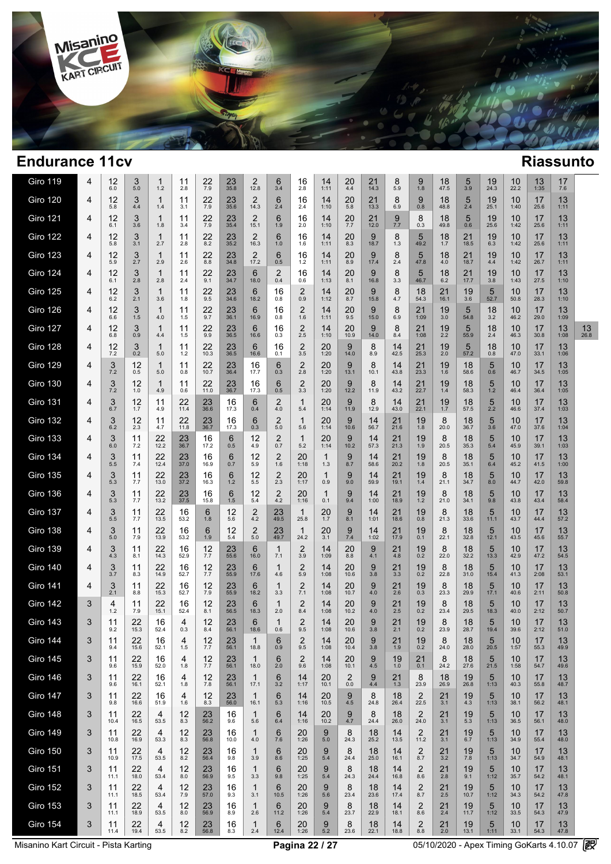

| <b>Giro 119</b> | 4 | 12<br>6.0     | 3<br>5.0   | 1<br>1.2           | 11<br>2.8         | 22<br>7.9      | $23 \atop 35.8$      | 2<br>12.8              | 6<br>3.4              | 16<br>2.8             | 14<br>1:11      | 20<br>4.4       | 21<br>14.3   | 8<br>5.9            | 9<br>1.8               | 18<br>47.5    | $\frac{5}{3.9}$ | 19<br>24.3 | $10_{22.2}$ | 13<br>1:35 | 17<br>7.6  |            |
|-----------------|---|---------------|------------|--------------------|-------------------|----------------|----------------------|------------------------|-----------------------|-----------------------|-----------------|-----------------|--------------|---------------------|------------------------|---------------|-----------------|------------|-------------|------------|------------|------------|
| <b>Giro 120</b> | 4 | 12<br>5.8     | 3<br>4.4   | $\mathbf 1$<br>1.4 | 11<br>3.1         | 22<br>7.9      | $23 \atop 35.6$      | $\overline{2}$<br>14.3 | 6<br>2.4              | 16<br>2.4             | 14<br>1:10      | 20<br>5.8       | 21<br>13.3   | 8<br>6.9            | 9<br>0.8               | 18<br>48.8    | $\frac{5}{2.4}$ | 19<br>25.1 | 10<br>1:40  | 17<br>25.6 | 13<br>1:11 |            |
| <b>Giro 121</b> | 4 | 12<br>6.1     | 3<br>3.6   | $\mathbf 1$<br>1.8 | 11<br>3.4         | 22<br>7.9      | 23<br>35.4           | $\overline{2}$<br>15.1 | 6<br>1.9              | 16<br>2.0             | 14<br>1:10      | 20<br>7.7       | 21<br>12.0   | 9<br>7.7            | 8<br>0.3               | 18<br>49.8    | 5<br>0.6        | 19<br>25.6 | 10<br>1:42  | 17<br>25.6 | 13<br>1:11 |            |
| <b>Giro 122</b> | 4 | 12<br>5.8     | 3<br>3.1   | $\mathbf 1$<br>2.7 | 11<br>2.8         | 22<br>8.2      | 23<br>35.2           | $\overline{2}$<br>16.3 | 6<br>1.0              | 16<br>1.6             | 14<br>1:11      | 20<br>8.3       | 9<br>18.7    | 8<br>1.3            | 5<br>49.2              | 18<br>1.7     | 21<br>18.5      | 19<br>6.3  | 10<br>1:42  | 17<br>25.6 | 13<br>1:11 |            |
| <b>Giro 123</b> | 4 | 12<br>5.9     | 3<br>2.7   | $\mathbf 1$<br>2.9 | 11<br>2.6         | 22<br>8.8      | $23 \atop 34.8$      | $\overline{2}$<br>17.2 | 6<br>0.5              | 16<br>1.2             | 14<br>1:11      | 20<br>8.9       | 9<br>17.4    | 8<br>2.4            | 5<br>47.8              | 18<br>4.0     | 21<br>18.7      | 19<br>4.4  | 10<br>1:42  | 17<br>26.7 | 13<br>1:11 |            |
| <b>Giro 124</b> | 4 | 12<br>6.1     | 3<br>2.8   | 1<br>2.8           | 11<br>2.4         | 22<br>9.1      | $23 \atop 34.7$      | 6<br>18.0              | $\overline{2}$<br>0.4 | 16<br>0.6             | 14<br>1:13      | $^{20}_{8.1}$   | 9<br>16.8    | 8<br>3.3            | 5<br>46.7              | 18<br>6.2     | 21<br>17.7      | 19<br>3.8  | 10<br>1:43  | 17<br>27.5 | 13<br>1:10 |            |
| <b>Giro 125</b> | 4 | 12<br>6.2     | 3<br>2.1   | 1<br>3.6           | 11<br>1.8         | 22<br>9.5      | 23<br>34.6           | 6<br>18.2              | 16<br>0.8             | 2<br>0.9              | 14<br>1:12      | 20<br>8.7       | 9<br>15.8    | 8<br>4.7            | 18<br>54.3             | 21<br>16.1    | 19<br>3.6       | 5<br>52.7  | 10<br>50.8  | 17<br>28.3 | 13<br>1:10 |            |
| Giro 126        | 4 | 12<br>6.6     | 3<br>1.5   | 1<br>4.0           | 11<br>1.5         | 22<br>9.7      | 23<br>36.1           | 6<br>16.9              | 16<br>0.8             | $\overline{c}$<br>1.6 | 14<br>1:11      | 20<br>9.5       | 9<br>15.0    | 8<br>6.9            | 21<br>1:09             | 19<br>3.0     | 5<br>54.8       | 18<br>3.2  | 10<br>46.2  | 17<br>29.0 | 13<br>1:09 |            |
| <b>Giro 127</b> | 4 | 12<br>6.8     | 3<br>0.9   | 1<br>4.4           | 11<br>1.5         | 22<br>9.9      | $23 \over 36.5$      | 6<br>16.6              | 16<br>0.3             | $^{2}_{2.5}$          | 14<br>1:10      | 20<br>10.9      | 9<br>14.0    | 8<br>8.4            | 21<br>1:08             | 19<br>2.2     | 5<br>55.9       | 18<br>2.4  | 10<br>46.3  | 17<br>30.8 | 13<br>1:08 | 13<br>26.8 |
| <b>Giro 128</b> | 4 | $^{12}_{7.2}$ | 3<br>0.2   | 1<br>5.0           | 11<br>1.2         | 22<br>10.3     | $23 \over 36.5$      | 6<br>16.6              | 16<br>0.1             | $\frac{2}{3.5}$       | 20<br>1:20      | 9<br>14.0       | 8<br>8.9     | 14<br>42.5          | 21<br>25.3             | 19<br>$2.0\,$ | 5<br>57.2       | 18<br>0.8  | 10<br>47.0  | 17<br>33.1 | 13<br>1:06 |            |
| <b>Giro 129</b> | 4 | 3<br>7.2      | 12<br>0.5  | 1<br>5.0           | 11<br>0.8         | 22<br>10.7     | 23<br>36.4           | 16<br>17.7             | 6<br>0.3              | $\overline{c}$<br>2.8 | 20<br>1:20      | 9<br>13.1       | 8<br>10.1    | 14<br>43.8          | 21<br>23.3             | 19<br>1.6     | 18<br>58.6      | 5<br>0.6   | 10<br>46.7  | 17<br>34.5 | 13<br>1:05 |            |
| <b>Giro 130</b> | 4 | 3<br>7.2      | 12<br>1.0  | 1<br>4.9           | 11<br>0.6         | 22<br>11.0     | 23<br>36.7           | 16<br>17.3             | 6<br>0.5              | 2<br>3.3              | 20<br>1:20      | 9<br>12.2       | 8<br>11.9    | 14<br>43.2          | 21<br>22.7             | 19<br>1.4     | 18<br>58.3      | 5<br>1.2   | 10<br>46.4  | 17<br>36.4 | 13<br>1:05 |            |
| <b>Giro 131</b> | 4 | 3<br>6.7      | 12<br>1.7  | 11<br>4.9          | 22<br>11.4        | 23<br>36.6     | 16<br>17.3           | 6<br>0.4               | $\overline{2}$<br>4.0 | 1<br>5.4              | 20<br>1:14      | 9<br>11.9       | 8<br>12.9    | 14<br>43.0          | 21<br>22.1             | 19<br>1.7     | 18<br>57.5      | 5<br>2.2   | 10<br>46.6  | 17<br>37.4 | 13<br>1:03 |            |
| <b>Giro 132</b> | 4 | 3<br>6.2      | 12<br>2.3  | 11<br>4.7          | 22<br>11.8        | 23<br>36.7     | 16<br>17.3           | 6<br>0.3               | $\overline{c}$<br>5.0 | 1<br>5.6              | 20<br>1:14      | 9<br>10.6       | 14<br>56.7   | 21<br>21.6          | 19<br>1.8              | 8<br>20.0     | 18<br>36.7      | 5<br>3.6   | 10<br>47.0  | 17<br>37.6 | 13<br>1:04 |            |
| <b>Giro 133</b> | 4 | 3<br>6.0      | 11<br>7.2  | 22<br>12.2         | 23<br>36.7        | 16<br>17.2     | 6<br>0.5             | 12<br>4.9              | $\overline{2}$<br>0.7 | 1<br>5.2              | 20<br>1:14      | 9<br>10.2       | 14<br>57.3   | 21<br>21.3          | 19<br>1.9              | 8<br>20.5     | 18<br>35.3      | 5<br>5.4   | 10<br>45.9  | 17<br>39.1 | 13<br>1:03 |            |
| <b>Giro 134</b> | 4 | 3<br>5.5      | 11<br>7.4  | 22<br>12.4         | 23<br>37.0        | 16<br>16.9     | 6<br>0.7             | 12<br>5.9              | $\overline{2}$<br>1.6 | 20<br>1:18            | 1<br>1.3        | 9<br>8.7        | 14<br>58.6   | 21<br>20.2          | 19<br>1.8              | 8<br>20.5     | 18<br>35.1      | 5<br>6.4   | 10<br>45.2  | 17<br>41.5 | 13<br>1:00 |            |
| <b>Giro 135</b> | 4 | 3<br>5.3      | 11<br>7.7  | $22$<br>13.0       | $\frac{23}{37.2}$ | 16<br>16.3     | 6<br>1.2             | 12<br>5.5              | $^{2}_{2.3}$          | 20<br>1:17            | 1<br>0.9        | 9<br>9.0        | 14<br>59.9   | 21<br>19.1          | 19<br>1.4              | 8<br>21.1     | 18<br>34.7      | 5<br>8.0   | 10<br>44.7  | 17<br>42.0 | 13<br>59.8 |            |
| <b>Giro 136</b> | 4 | 3<br>5.3      | 11<br>7.7  | $22$<br>13.2       | $\frac{23}{37.5}$ | 16<br>15.8     | 6<br>1.5             | 12<br>5.4              | $^{2}_{4.2}$          | 20<br>1:16            | 1<br>0.1        | 9<br>9.4        | $14 \n1:00$  | $21$<br>18.9        | $19\n1.2$              | 8<br>21.0     | 18<br>34.1      | 5<br>9.8   | 10<br>43.8  | 17<br>43.4 | 13<br>58.4 |            |
| <b>Giro 137</b> | 4 | 3<br>5.5      | 11<br>7.7  | 22<br>13.5         | 16<br>53.2        | 6<br>1.8       | 12<br>5.6            | 2<br>4.2               | 23<br>49.5            | 1<br>25.8             | 20<br>1.7       | 9<br>8.1        | 14<br>1:01   | 21<br>18.6          | 19<br>0.8              | 8<br>21.3     | 18<br>33.6      | 5<br>11.1  | 10<br>43.7  | 17<br>44.4 | 13<br>57.2 |            |
| <b>Giro 138</b> | 4 | 3<br>5.0      | 11<br>7.9  | $22$<br>13.9       | 16<br>53.2        | 6<br>1.9       | $12 \n5.4$           | $\overline{2}$<br>5.0  | $23$<br>49.7          | 1<br>24.2             | $^{20}_{3.1}$   | $\frac{9}{7.4}$ | $14$<br>1:02 | $21$<br>17.9        | 19<br>0.1              | 8<br>22.1     | 18<br>32.8      | 5<br>12.1  | 10<br>43.5  | 17<br>45.6 | 13<br>55.7 |            |
| <b>Giro 139</b> | 4 | 3<br>4.3      | 11<br>8.1  | $22$<br>14.3       | 16<br>52.9        | $12 \atop 7.7$ | $23$ <sub>55.6</sub> | 6<br>16.0              | $\mathbf{1}$<br>7.1   | $\overline{2}$<br>3.9 | 14<br>1:09      | 20<br>8.8       | 9<br>4.1     | $^{21}_{4.8}$       | $19_{0.2}$             | 8<br>22.0     | 18<br>32.2      | 5<br>13.3  | 10<br>42.9  | 17<br>47.2 | 13<br>54.5 |            |
| <b>Giro 140</b> | 4 | 3<br>3.7      | 11<br>8.3  | $22$<br>14.9       | 16<br>52.7        | $12 \atop 7.7$ | $23$ <sub>55.9</sub> | 6<br>17.6              | $\mathbf{1}$<br>4.6   | $\overline{2}$<br>5.9 | 14<br>1:08      | 20<br>10.6      | 9<br>3.8     | $21$ <sub>3.3</sub> | $19_{0.2}$             | 8<br>22.8     | 18<br>31.0      | 5<br>15.4  | 10<br>41.3  | 17<br>2:08 | 13<br>53.1 |            |
| <b>Giro 141</b> | 4 | 3<br>2.1      | 11<br>8.8  | 22<br>15.3         | 16<br>52.7        | 12<br>7.9      | 23<br>55.9           | 6<br>18.2              | $\mathbf{1}$<br>3.3   | $\overline{2}$<br>7.1 | 14<br>1:08      | 20<br>10.7      | 9<br>4.0     | 21<br>2.6           | 19<br>0.3              | 8<br>23.3     | 18<br>29.9      | 5<br>17.1  | 10<br>40.6  | 17<br>2:11 | 13<br>50.8 |            |
| <b>Giro 142</b> | 3 | 4<br>$1.2$    | 11<br>7.9  | 22<br>15.1         | 16<br>52.4        | 12<br>8.1      | $23$ <sub>56.5</sub> | 6<br>18.3              | 1<br>2.0              | 2<br>8.4              | 14<br>1:08      | 20<br>10.2      | 9<br>4.0     | 21<br>2.5           | 19<br>0.2              | 8<br>23.4     | 18<br>29.5      | 5<br>18.3  | 10<br>40.0  | 17<br>2:12 | 13<br>50.7 |            |
| <b>Giro 143</b> | 3 | 11<br>9.2     | 22<br>15.3 | 16<br>52.4         | 4<br>0.3          | 12<br>8.4      | 23<br>56.1           | 6<br>18.6              | 1<br>0.6              | $\overline{2}$<br>9.5 | 14<br>1:08      | 20<br>10.6      | 9<br>3.8     | 21<br>2.1           | 19<br>0.2              | 8<br>23.9     | 18<br>28.7      | 5<br>19.4  | 10<br>39.6  | 17<br>2:12 | 13<br>51.0 |            |
| Giro 144        | 3 | 11<br>9.4     | 22<br>15.6 | 16<br>52.1         | 4<br>$1.5$        | 12<br>$7.7\,$  | 23<br>56.1           | $\mathbf{1}$<br>18.8   | 6<br>0.9              | $\overline{2}$<br>9.5 | 14<br>1:08      | 20<br>10.4      | 9<br>3.8     | $^{21}_{1.9}$       | 19<br>0.2              | 8<br>24.0     | 18<br>28.0      | 5<br>20.5  | 10<br>1:57  | 17<br>55.3 | 13<br>49.9 |            |
| <b>Giro 145</b> | 3 | 11<br>9.6     | 22<br>15.9 | 16<br>52.0         | 4<br>1.8          | 12<br>7.7      | 23<br>56.1           | $\mathbf{1}$<br>18.0   | 6<br>2.0              | 2<br>9.6              | 14<br>1:08      | 20<br>10.1      | 9<br>4.5     | 19<br>1.0           | 21<br>0.1              | 8<br>24.2     | 18<br>27.6      | 5<br>21.5  | 10<br>1:58  | 17<br>54.7 | 13<br>49.6 |            |
| <b>Giro 146</b> | 3 | 11<br>9.6     | 22<br>16.1 | 16<br>52.1         | 4<br>1.8          | 12<br>7.8      | 23<br>56.1           | 1<br>17.1              | 6<br>3.2              | 14<br>1:17            | 20<br>10.1      | 2<br>0.0        | 9<br>$4.4\,$ | 21<br>1.3           | 8<br>23.9              | 18<br>26.9    | 19<br>26.8      | 5<br>1:13  | 10<br>40.3  | 17<br>55.8 | 13<br>48.7 |            |
| <b>Giro 147</b> | 3 | 11<br>9.8     | 22<br>16.6 | 16<br>51.9         | 4<br>1.6          | 12<br>8.3      | 23<br>56.0           | $\mathbf{1}$<br>16.1   | 6<br>5.3              | 14<br>1:16            | 20<br>10.5      | 9<br>4.5        | 8<br>24.8    | 18<br>26.4          | $\overline{2}$<br>22.5 | 21<br>3.1     | 19<br>4.3       | 5<br>1:13  | 10<br>38.1  | 17<br>56.2 | 13<br>48.1 |            |
| Giro 148        | 3 | 11<br>10.4    | 22<br>16.5 | 4<br>53.5          | 12<br>8.3         | 23<br>56.2     | 16<br>9.6            | 1<br>5.6               | 6<br>6.4              | 14<br>1:16            | 20<br>10.2      | 9<br>4.7        | 8<br>24.4    | 18<br>26.0          | $\overline{2}$<br>24.0 | 21<br>3.1     | 19<br>5.3       | 5<br>1:13  | 10<br>36.5  | 17<br>56.1 | 13<br>48.0 |            |
| <b>Giro 149</b> | 3 | 11<br>10.8    | 22<br>16.9 | 4<br>53.3          | 12<br>8.3         | 23<br>56.8     | 16<br>10.0           | 1<br>4.0               | 6<br>7.6              | 20<br>1:26            | 9<br>5.0        | 8<br>24.3       | 18<br>25.2   | 14<br>13.5          | $\overline{2}$<br>11.2 | 21<br>3.1     | 19<br>6.7       | 5<br>1:13  | 10<br>34.9  | 17<br>55.4 | 13<br>48.0 |            |
| <b>Giro 150</b> | 3 | 11<br>10.9    | 22<br>17.5 | 4<br>53.5          | 12<br>8.2         | 23<br>56.4     | 16<br>9.8            | $\mathbf{1}$<br>3.9    | 6<br>8.6              | 20<br>1:25            | 9<br>$5.4$      | 8<br>24.4       | 18<br>25.0   | 14<br>16.1          | $\overline{2}$<br>8.7  | 21<br>3.2     | 19<br>7.8       | 5<br>1:13  | 10<br>34.7  | 17<br>54.9 | 13<br>48.1 |            |
| <b>Giro 151</b> | 3 | 11<br>11.1    | 22<br>18.0 | 4<br>53.4          | 12<br>8.0         | 23<br>56.9     | 16<br>9.5            | $\mathbf{1}$<br>3.3    | 6<br>9.8              | 20<br>1:25            | 9<br>5.4        | 8<br>24.3       | 18<br>24.4   | 14<br>16.8          | 2<br>8.6               | 21<br>2.8     | 19<br>9.1       | 5<br>1:12  | 10<br>35.7  | 17<br>54.2 | 13<br>48.1 |            |
| <b>Giro 152</b> | 3 | 11<br>11.1    | 22<br>18.5 | 4<br>53.4          | 12<br>7.9         | 23<br>57.0     | 16<br>9.3            | $\mathbf{1}$<br>3.1    | 6<br>10.5             | 20<br>1:26            | 9<br>5.6        | 8<br>23.4       | 18<br>23.6   | 14<br>17.4          | 2<br>8.7               | 21<br>2.5     | 19<br>10.7      | 5<br>1:12  | 10<br>34.3  | 17<br>54.2 | 13<br>47.8 |            |
| <b>Giro 153</b> | 3 | 11<br>11.1    | 22<br>18.9 | 4<br>53.5          | 12<br>8.0         | 23<br>56.9     | 16<br>8.9            | $\mathbf{1}$<br>2.6    | 6<br>11.2             | 20<br>1:26            | 9<br>$5.4$      | 8<br>23.7       | 18<br>22.9   | 14<br>18.1          | $\overline{2}$<br>8.6  | 21<br>2.4     | 19<br>11.7      | 5<br>1:12  | 10<br>33.5  | 17<br>54.3 | 13<br>47.9 |            |
| <b>Giro 154</b> | 3 | 11<br>11.4    | 22<br>19.4 | 4<br>53.5          | $^{12}_{8.2}$     | 23<br>56.8     | 16<br>8.3            | 1<br>2.4               | 6<br>12.4             | 20<br>1:26            | $\frac{9}{5.2}$ | 8<br>23.6       | 18<br>22.1   | 14<br>18.8          | 2<br>8.8               | 21<br>$2.0\,$ | 19<br>13.1      | 5<br>1:11  | 10<br>33.1  | 17<br>54.3 | 13<br>47.8 |            |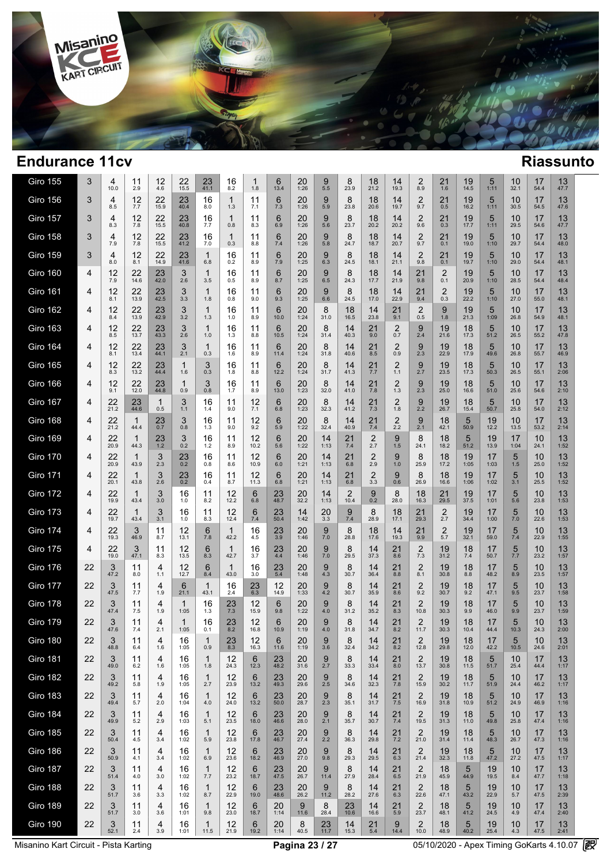

| <b>Giro 155</b> | 3  | 4<br>10.0  | 11<br>2.9  | 12<br>4.6   | 22<br>15.5 | 23<br>41.1           | 16<br>8.2           | 1<br>1.8   | 6<br>13.4       | 20<br>1:26 | 9<br>5.5   | 8<br>23.9  | 18<br>21.2                     | 14<br>19.3            | $\overline{2}$<br>8.9  | 21<br>1.6             | 19<br>14.5 | 5<br>1:11  | 10<br>32.1      | 17<br>54.4 | 13<br>47.7 |  |
|-----------------|----|------------|------------|-------------|------------|----------------------|---------------------|------------|-----------------|------------|------------|------------|--------------------------------|-----------------------|------------------------|-----------------------|------------|------------|-----------------|------------|------------|--|
| <b>Giro 156</b> | 3  | 4<br>8.5   | 12<br>7.7  | 22<br>15.9  | 23<br>40.4 | 16<br>8.0            | $\mathbf{1}$<br>1.3 | 11<br>7.1  | 6<br>7.3        | 20<br>1:26 | 9<br>5.9   | 8<br>23.8  | 18<br>20.6                     | 14<br>19.7            | $\overline{2}$<br>9.7  | 21<br>0.5             | 19<br>16.2 | 5<br>1:11  | 10<br>30.5      | 17<br>54.5 | 13<br>47.6 |  |
| <b>Giro 157</b> | 3  | 4<br>8.3   | 12<br>7.8  | 22<br>15.5  | 23<br>40.8 | 16<br>7.7            | $\mathbf{1}$<br>0.8 | 11<br>8.3  | 6<br>6.9        | 20<br>1:26 | 9<br>5.6   | 8<br>23.7  | 18<br>20.2                     | 14<br>20.2            | $\overline{2}$<br>9.6  | 21<br>0.3             | 19<br>17.7 | 5<br>1:11  | 10<br>29.5      | 17<br>54.6 | 13<br>47.7 |  |
| <b>Giro 158</b> | 3  | 4<br>7.9   | 12<br>7.8  | 22<br>15.5  | 23<br>41.2 | 16<br>7.0            | 1<br>0.3            | 11<br>8.8  | 6<br>7.4        | 20<br>1:26 | 9<br>5.8   | 8<br>24.7  | 18<br>18.7                     | 14<br>20.7            | $\overline{2}$<br>9.7  | 21<br>0.1             | 19<br>19.0 | 5<br>1:10  | 10<br>29.7      | 17<br>54.4 | 13<br>48.0 |  |
| Giro 159        | 3  | 4<br>8.0   | 12<br>8.1  | 22<br>14.9  | 23<br>41.6 | $\mathbf 1$<br>6.8   | 16<br>0.2           | 11<br>8.9  | 6<br>7.9        | 20<br>1:25 | 9<br>6.3   | 8<br>24.5  | 18<br>18.1                     | 14<br>21.1            | $\overline{2}$<br>9.8  | 21<br>0.1             | 19<br>19.7 | 5<br>1:10  | 10<br>29.0      | 17<br>54.4 | 13<br>48.1 |  |
| Giro 160        | 4  | 12<br>7.9  | 22<br>14.6 | 23<br>42.0  | 3<br>2.6   | $\mathbf 1$<br>3.5   | 16<br>0.5           | 11<br>8.9  | 6<br>8.7        | 20<br>1:25 | 9<br>6.5   | 8<br>24.3  | 18<br>17.7                     | 14<br>21.9            | 21<br>9.8              | 2<br>0.1              | 19<br>20.9 | 5<br>1:10  | 10<br>28.5      | 17<br>54.4 | 13<br>48.4 |  |
| <b>Giro 161</b> | 4  | 12<br>8.1  | 22<br>13.9 | 23<br>42.5  | 3<br>3.3   | $\mathbf 1$<br>1.8   | 16<br>0.8           | 11<br>9.0  | 6<br>9.3        | 20<br>1:25 | 9<br>6.6   | 8<br>24.5  | 18<br>17.0                     | 14<br>22.9            | 21<br>9.4              | $\overline{2}$<br>0.3 | 19<br>22.2 | 5<br>1:10  | 10<br>27.0      | 17<br>55.0 | 13<br>48.1 |  |
| <b>Giro 162</b> | 4  | 12<br>8.4  | 22<br>13.9 | 23<br>42.9  | 3<br>3.2   | $\mathbf 1$<br>1.3   | 16<br>1.0           | 11<br>8.9  | 6<br>10.0       | 20<br>1:24 | 8<br>31.0  | 18<br>16.5 | 14<br>23.8                     | 21<br>9.1             | 2<br>0.5               | 9<br>1.8              | 19<br>21.3 | 5<br>1:09  | 10<br>26.8      | 17<br>54.9 | 13<br>48.1 |  |
| <b>Giro 163</b> | 4  | 12<br>8.5  | 22<br>13.7 | 23<br>43.3  | 3<br>2.6   | $\mathbf 1$<br>1.0   | 16<br>1.3           | 11<br>8.8  | 6<br>10.5       | 20<br>1:24 | 8<br>31.4  | 14<br>40.3 | 21<br>9.0                      | 2<br>0.7              | 9<br>2.4               | 19<br>21.6            | 18<br>17.3 | 5<br>51.2  | 10<br>26.5      | 17<br>55.2 | 13<br>47.8 |  |
| <b>Giro 164</b> | 4  | 12<br>8.1  | 22<br>13.4 | 23<br>44.1  | 3<br>2.1   | $\mathbf 1$<br>0.3   | 16<br>1.6           | 11<br>8.9  | 6<br>11.4       | 20<br>1:24 | 8<br>31.8  | 14<br>40.6 | 21<br>8.5                      | $\overline{2}$<br>0.9 | 9<br>2.3               | 19<br>22.9            | 18<br>17.9 | 5<br>49.6  | 10<br>26.8      | 17<br>55.7 | 13<br>46.9 |  |
| <b>Giro 165</b> | 4  | 12<br>8.3  | 22<br>13.2 | 23<br>44.4  | 1<br>1.6   | 3<br>0.3             | 16<br>1.8           | 11<br>8.8  | 6<br>12.2       | 20<br>1:24 | 8<br>31.7  | 14<br>41.3 | 21<br>7.7                      | $\overline{2}$<br>1.1 | 9<br>2.7               | 19<br>23.5            | 18<br>17.3 | 5<br>50.3  | 10<br>26.5      | 17<br>55.1 | 13<br>2:06 |  |
| <b>Giro 166</b> | 4  | 12<br>9.1  | 22<br>12.0 | 23<br>44.8  | 1<br>0.9   | 3<br>0.8             | 16<br>1.7           | 11<br>8.9  | 6<br>13.0       | 20<br>1:23 | 8<br>32.0  | 14<br>41.0 | 21<br>7.8                      | $\overline{2}$<br>1.3 | 9<br>2.3               | 19<br>25.0            | 18<br>16.6 | 5<br>51.0  | 10<br>25.6      | 17<br>54.6 | 13<br>2:10 |  |
| <b>Giro 167</b> | 4  | 22<br>21.2 | 23<br>44.6 | 1<br>0.5    | 3<br>1.1   | 16<br>1.4            | 11<br>9.0           | 12<br>7.1  | 6<br>6.8        | 20<br>1:23 | 8<br>32.3  | 14<br>41.2 | $\frac{21}{7.3}$               | $\overline{2}$<br>1.8 | 9<br>2.2               | 19<br>26.7            | 18<br>15.4 | 5<br>50.7  | 10<br>25.8      | 17<br>54.0 | 13<br>2:12 |  |
| <b>Giro 168</b> | 4  | 22<br>21.2 | 1<br>44.4  | 23<br>0.7   | 3<br>0.8   | 16<br>1.3            | 11<br>9.0           | 12<br>9.2  | 6<br>5.9        | 20<br>1:22 | 8<br>32.4  | 14<br>40.9 | $\frac{21}{7.4}$               | $^{2}_{2.2}$          | 9<br>2.1               | 18<br>42.1            | 5<br>50.9  | 19<br>12.2 | 10<br>13.5      | 17<br>53.2 | 13<br>2:14 |  |
| <b>Giro 169</b> | 4  | 22<br>20.9 | 1<br>44.3  | 23<br>$1.2$ | 3<br>0.2   | 16<br>1.2            | 11<br>8.9           | 12<br>10.2 | 6<br>5.6        | 20<br>1:22 | 14<br>1:13 | 21<br>7.4  | $\overline{2}$<br>2.7          | 9<br>1.5              | 8<br>24.1              | 18<br>18.2            | 5<br>51.2  | 19<br>13.9 | 17<br>1:04      | 10<br>24.1 | 13<br>1:52 |  |
| <b>Giro 170</b> | 4  | 22<br>20.9 | 1<br>43.9  | 3<br>2.3    | 23<br>0.2  | 16<br>0.8            | 11<br>8.6           | 12<br>10.9 | 6<br>6.0        | 20<br>1:21 | 14<br>1:13 | 21<br>6.8  | $\overline{2}$<br>2.9          | 9<br>1.0              | 8<br>25.9              | 18<br>17.2            | 19<br>1:05 | 17<br>1:03 | 5<br>$1.5$      | 10<br>25.0 | 13<br>1:52 |  |
| <b>Giro 171</b> | 4  | 22<br>20.1 | 1<br>43.8  | 3<br>2.6    | 23<br>0.2  | 16<br>0.4            | 11<br>8.7           | 12<br>11.3 | 6<br>6.8        | 20<br>1:21 | 14<br>1:13 | 21<br>6.8  | $\overline{\mathbf{c}}$<br>3.3 | 9<br>0.6              | 8<br>26.9              | 18<br>16.6            | 19<br>1:06 | 17<br>1:02 | 5<br>3.1        | 10<br>25.5 | 13<br>1:52 |  |
| <b>Giro 172</b> | 4  | 22<br>19.9 | 1<br>43.4  | 3<br>3.0    | 16<br>1.0  | 11<br>8.2            | 12<br>12.2          | 6<br>6.8   | 23<br>48.7      | 20<br>32.2 | 14<br>1:13 | 2<br>10.4  | 9<br>0.2                       | 8<br>28.0             | 18<br>16.3             | 21<br>29.5            | 19<br>37.5 | 17<br>1:01 | 5<br>5.6        | 10<br>23.8 | 13<br>1:53 |  |
| <b>Giro 173</b> | 4  | 22<br>19.7 | 1<br>43.4  | 3<br>3.1    | 16<br>1.0  | 11<br>8.3            | 12<br>12.4          | 6<br>7.4   | 23<br>50.4      | 14<br>1:42 | 20<br>3.3  | 9<br>7.4   | 8<br>28.9                      | 18<br>17.1            | 21<br>29.3             | $\overline{2}$<br>2.7 | 19<br>34.4 | 17<br>1:00 | 5<br>$7.0$      | 10<br>22.6 | 13<br>1:53 |  |
| <b>Giro 174</b> | 4  | 22<br>19.3 | 3<br>46.9  | 11<br>8.7   | 12<br>13.1 | 6<br>7.8             | 1<br>42.2           | 16<br>4.5  | 23<br>3.9       | 20<br>1:46 | 9<br>7.0   | 8<br>28.8  | 18<br>17.6                     | 14<br>19.3            | $^{21}_{9.9}$          | $\frac{2}{5.7}$       | 19<br>32.1 | 17<br>59.0 | $\frac{5}{7.4}$ | 10<br>22.9 | 13<br>1:55 |  |
| <b>Giro 175</b> | 4  | 22<br>19.0 | 3<br>47.1  | 11<br>8.3   | 12<br>13.5 | 6<br>8.3             | 1<br>42.7           | 16<br>3.7  | 23<br>4.4       | 20<br>1:46 | 9<br>7.0   | 8<br>29.5  | 14<br>37.3                     | 21<br>8.6             | $\overline{c}$<br>7.3  | 19<br>31.2            | 18<br>7.4  | 17<br>50.7 | $\frac{5}{7.7}$ | 10<br>23.2 | 13<br>1:57 |  |
| <b>Giro 176</b> | 22 | 3<br>47.2  | 11<br>8.0  | 4<br>1.1    | 12<br>12.7 | 6<br>8.4             | 1<br>43.0           | 16<br>3.0  | $^{23}_{\,5.4}$ | 20<br>1:48 | 9<br>4.3   | 8<br>30.7  | 14<br>36.4                     | 21<br>8.8             | $\overline{c}$<br>8.1  | 19<br>30.8            | 18<br>8.8  | 17<br>48.2 | $\frac{5}{8.9}$ | 10<br>23.5 | 13<br>1:57 |  |
| <b>Giro 177</b> | 22 | 3<br>47.5  | 11<br>7.7  | 4<br>1.9    | 6<br>21.1  | $\mathbf{1}$<br>43.1 | 16<br>2.4           | 23<br>6.3  | 12<br>14.9      | 20<br>1:33 | 9<br>4.2   | 8<br>30.7  | 14<br>35.9                     | 21<br>8.6             | $\overline{2}$<br>9.2  | 19<br>30.7            | 18<br>9.2  | 17<br>47.1 | 5<br>9.5        | 10<br>23.7 | 13<br>1:58 |  |
| <b>Giro 178</b> | 22 | 3<br>47.4  | 11<br>7.5  | 4<br>1.9    | 1<br>1:05  | 16<br>1.3            | $\frac{23}{7.3}$    | 12<br>15.9 | 6<br>9.8        | 20<br>1:22 | 9<br>4.0   | 8<br>31.2  | 14<br>35.2                     | 21<br>8.3             | 2<br>10.8              | 19<br>30.3            | 18<br>9.9  | 17<br>46.0 | 5<br>9.9        | 10<br>23.7 | 13<br>1:59 |  |
| <b>Giro 179</b> | 22 | 3<br>47.6  | 11<br>7.4  | 4<br>2.1    | 1<br>1:05  | 16<br>0.1            | 23<br>8.2           | 12<br>16.8 | 6<br>10.9       | 20<br>1:19 | 9<br>4.0   | 8<br>31.8  | 14<br>34.7                     | 21<br>8.2             | $\overline{2}$<br>11.7 | 19<br>30.3            | 18<br>10.4 | 17<br>44.4 | 5<br>10.3       | 10<br>24.3 | 13<br>2:00 |  |
| Giro 180        | 22 | 3<br>48.8  | 11<br>6.4  | 4<br>1.6    | 16<br>1:05 | 0.9                  | $^{23}_{8.3}$       | 12<br>16.3 | 6<br>11.6       | 20<br>1:19 | 9<br>3.6   | 8<br>32.4  | 14<br>34.2                     | $^{21}_{8.2}$         | 2<br>12.8              | $\frac{19}{29.8}$     | 18<br>12.0 | 17<br>42.2 | 5<br>10.5       | 10<br>24.6 | 13<br>2:01 |  |
| <b>Giro 181</b> | 22 | 3<br>49.0  | 11<br>6.2  | 4<br>1.6    | 16<br>1:05 | $\mathbf{1}$<br>1.8  | 12<br>24.3          | 6<br>12.3  | 23<br>48.2      | 20<br>31.6 | 9<br>2.7   | 8<br>33.3  | 14<br>33.4                     | 21<br>8.0             | $\overline{2}$<br>13.7 | 19<br>30.8            | 18<br>11.5 | 5<br>51.7  | 10<br>25.4      | 17<br>44.4 | 13<br>1:17 |  |
| <b>Giro 182</b> | 22 | 3<br>49.2  | 11<br>5.8  | 4<br>1.9    | 16<br>1:05 | $\mathbf{1}$<br>2.7  | 12<br>23.9          | 6<br>13.2  | 23<br>49.3      | 20<br>29.6 | 9<br>2.5   | 8<br>34.6  | 14<br>32.3                     | 21<br>7.8             | 2<br>15.9              | 19<br>30.2            | 18<br>11.7 | 5<br>51.9  | 10<br>24.4      | 17<br>46.2 | 13<br>1:17 |  |
| <b>Giro 183</b> | 22 | 3<br>49.4  | 11<br>5.7  | 4<br>2.0    | 16<br>1:04 | $\mathbf{1}$<br>4.0  | 12<br>24.0          | 6<br>13.2  | 23<br>50.0      | 20<br>28.7 | 9<br>2.3   | 8<br>35.1  | 14<br>31.7                     | 21<br>7.5             | $\overline{2}$<br>16.9 | 19<br>31.8            | 18<br>10.9 | 5<br>51.2  | 10<br>24.9      | 17<br>46.9 | 13<br>1:16 |  |
| <b>Giro 184</b> | 22 | 3<br>49.9  | 11<br>5.2  | 4<br>2.9    | 16<br>1:03 | $\mathbf{1}$<br>5.1  | 12<br>23.5          | 6<br>18.0  | 23<br>46.6      | 20<br>28.0 | 9<br>2.1   | 8<br>35.7  | 14<br>30.7                     | 21<br>7.4             | $\overline{2}$<br>19.5 | 19<br>31.3            | 18<br>11.0 | 5<br>49.8  | 10<br>25.8      | 17<br>47.4 | 13<br>1:16 |  |
| <b>Giro 185</b> | 22 | 3<br>50.4  | 11<br>4.5  | 4<br>3.4    | 16<br>1:02 | $\mathbf{1}$<br>5.9  | 12<br>23.8          | 6<br>17.8  | 23<br>46.7      | 20<br>27.4 | 9<br>2.2   | 8<br>36.3  | 14<br>29.8                     | 21<br>7.2             | $\overline{2}$<br>21.0 | 19<br>31.4            | 18<br>11.4 | 5<br>48.3  | 10<br>26.7      | 17<br>47.3 | 13<br>1:16 |  |
| Giro 186        | 22 | 3<br>50.9  | 11<br>4.1  | 4<br>3.4    | 16<br>1:02 | $\mathbf{1}$<br>6.9  | 12<br>23.6          | 6<br>18.2  | 23<br>46.9      | 20<br>27.0 | 9<br>9.8   | 8<br>29.3  | 14<br>29.5                     | 21<br>6.3             | $\overline{2}$<br>21.4 | 19<br>32.3            | 18<br>11.8 | 5<br>47.2  | 10<br>27.2      | 17<br>47.5 | 13<br>1:17 |  |
| <b>Giro 187</b> | 22 | 3<br>51.4  | 11<br>4.0  | 4<br>3.0    | 16<br>1:02 | $\mathbf{1}$<br>7.7  | 12<br>23.2          | 6<br>18.7  | 23<br>47.5      | 20<br>26.7 | 9<br>11.4  | 8<br>27.9  | 14<br>28.4                     | 21<br>6.5             | $\overline{2}$<br>21.9 | 18<br>45.9            | 5<br>44.9  | 19<br>19.5 | 10<br>8.4       | 17<br>47.7 | 13<br>1:18 |  |
| Giro 188        | 22 | 3<br>51.7  | 11<br>3.6  | 4<br>3.3    | 16<br>1:02 | $\mathbf{1}$<br>8.7  | 12<br>22.9          | 6<br>19.0  | 23<br>48.6      | 20<br>26.2 | 9<br>11.2  | 8<br>28.2  | 14<br>27.6                     | 21<br>6.3             | $\overline{2}$<br>22.6 | 18<br>47.1            | 5<br>43.2  | 19<br>22.9 | 10<br>$5.7\,$   | 17<br>47.5 | 13<br>2:39 |  |
| Giro 189        | 22 | 3<br>51.7  | 11<br>3.0  | 4<br>3.6    | 16<br>1:01 | $\mathbf{1}$<br>9.8  | 12<br>23.0          | 6<br>18.7  | 20<br>1:14      | 9<br>11.6  | 8<br>28.4  | 23<br>10.6 | 14<br>16.6                     | 21<br>5.9             | $\overline{2}$<br>23.7 | 18<br>48.1            | 5<br>41.2  | 19<br>24.5 | 10<br>4.9       | 17<br>47.4 | 13<br>2:40 |  |
| Giro 190        | 22 | 3<br>52.1  | 11<br>2.4  | 4<br>3.9    | 16<br>1:01 | $\mathbf{1}$<br>11.5 | 12<br>21.9          | 6<br>19.2  | 20<br>1:14      | 8<br>40.5  | 23<br>11.7 | 14<br>15.3 | 21<br>5.4                      | 9<br>14.4             | 2<br>10.0              | 18<br>48.9            | 5<br>40.2  | 19<br>25.4 | 10<br>4.3       | 17<br>47.5 | 13<br>2:41 |  |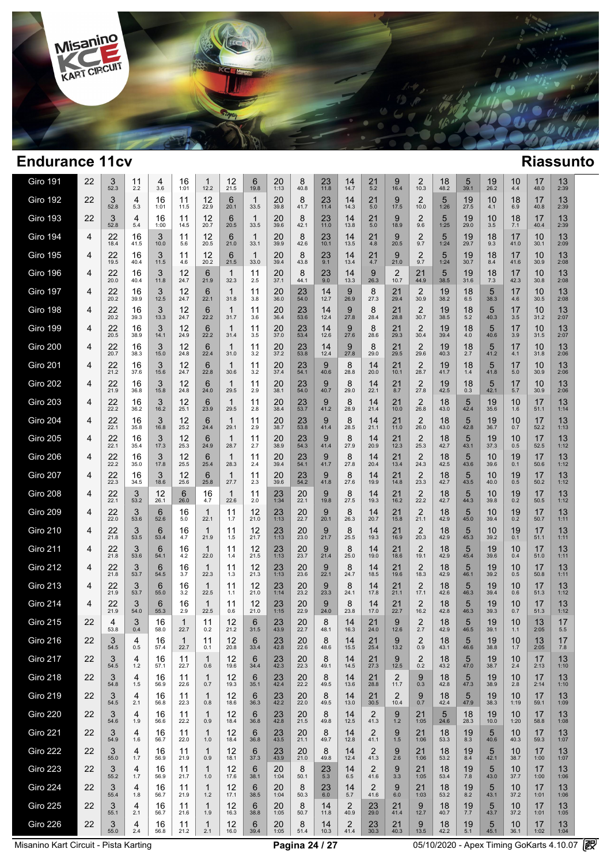

| <b>Giro 191</b> | 22 | 3<br>52.3  | 11<br>2.2  | 4<br>3.6   | 16<br>1:01 | 1<br>12.2             | 12<br>21.5 | 6<br>19.8            | 20<br>1:13 | 8<br>40.8  | 23<br>11.8 | 14<br>14.7             | 21<br>5.2              | 9<br>16.4              | 2<br>10.3              | 18<br>48.2 | 5<br>39.1       | 19<br>26.2 | 10<br>4.4     | 17<br>48.0 | 13<br>2:39 |  |
|-----------------|----|------------|------------|------------|------------|-----------------------|------------|----------------------|------------|------------|------------|------------------------|------------------------|------------------------|------------------------|------------|-----------------|------------|---------------|------------|------------|--|
| <b>Giro 192</b> | 22 | 3<br>52.8  | 4<br>5.3   | 16<br>1:01 | 11<br>11.5 | 12<br>22.9            | 6<br>20.1  | $\mathbf 1$<br>33.5  | 20<br>39.8 | 8<br>41.7  | 23<br>11.4 | 14<br>14.3             | 21<br>5.0              | 9<br>17.5              | 2<br>10.0              | 5<br>1:26  | 19<br>27.5      | 10<br>4.1  | 18<br>6.9     | 17<br>40.8 | 13<br>2:39 |  |
| <b>Giro 193</b> | 22 | 3<br>52.8  | 4<br>5.4   | 16<br>1:00 | 11<br>14.5 | 12<br>20.7            | 6<br>20.5  | $\mathbf{1}$<br>33.5 | 20<br>39.6 | 8<br>42.1  | 23<br>11.0 | 14<br>13.8             | 21<br>5.0              | 9<br>18.9              | $\overline{2}$<br>9.6  | 5<br>1:25  | 19<br>29.0      | 10<br>3.5  | 18<br>7.1     | 17<br>40.4 | 13<br>2:39 |  |
| <b>Giro 194</b> | 4  | 22<br>18.4 | 16<br>41.5 | 3<br>10.0  | 11<br>5.6  | 12<br>20.5            | 6<br>21.0  | $\mathbf{1}$<br>33.1 | 20<br>39.9 | 8<br>42.6  | 23<br>10.1 | 14<br>13.5             | 21<br>4.8              | 9<br>20.5              | $\overline{2}$<br>9.7  | 5<br>1:24  | 19<br>29.7      | 18<br>9.3  | 17<br>41.0    | 10<br>30.1 | 13<br>2:09 |  |
| <b>Giro 195</b> | 4  | 22<br>19.5 | 16<br>40.4 | 3<br>11.5  | 11<br>4.6  | 12<br>20.2            | 6<br>21.5  | 1<br>33.0            | 20<br>39.4 | 8<br>43.8  | 23<br>9.1  | 14<br>13.4             | 21<br>4.7              | 9<br>21.0              | $\overline{2}$<br>9.7  | 5<br>1:24  | 19<br>30.7      | 18<br>8.4  | 17<br>41.6    | 10<br>30.9 | 13<br>2:08 |  |
| <b>Giro 196</b> | 4  | 22<br>20.0 | 16<br>40.4 | 3<br>11.8  | 12<br>24.7 | 6<br>21.9             | 1<br>32.3  | 11<br>2.5            | 20<br>37.1 | 8<br>44.1  | 23<br>9.0  | 14<br>13.3             | 9<br>26.3              | 2<br>10.7              | 21<br>44.9             | 5<br>38.5  | 19<br>31.6      | 18<br>7.3  | 17<br>42.3    | 10<br>30.8 | 13<br>2:08 |  |
| <b>Giro 197</b> | 4  | 22<br>20.2 | 16<br>39.9 | 3<br>12.5  | 12<br>24.7 | 6<br>22.1             | 1<br>31.8  | 11<br>3.8            | 20<br>36.0 | 23<br>54.0 | 14<br>12.7 | 9<br>26.9              | 8<br>27.3              | 21<br>29.4             | $\overline{2}$<br>30.9 | 19<br>38.2 | 18<br>6.5       | 5<br>38.3  | 17<br>4.6     | 10<br>30.5 | 13<br>2:08 |  |
| Giro 198        | 4  | 22<br>20.2 | 16<br>39.3 | 3<br>13.3  | 12<br>24.7 | 6<br>22.2             | 1<br>31.7  | 11<br>3.6            | 20<br>36.4 | 23<br>53.6 | 14<br>12.4 | 9<br>27.8              | 8<br>28.4              | 21<br>28.8             | 2<br>30.7              | 19<br>38.5 | 18<br>5.2       | 5<br>40.3  | 17<br>3.5     | 10<br>31.2 | 13<br>2:07 |  |
| Giro 199        | 4  | 22<br>20.5 | 16<br>38.9 | 3<br>14.1  | 12<br>24.9 | 6<br>22.2             | 1<br>31.4  | 11<br>3.5            | 20<br>37.0 | 23<br>53.4 | 14<br>12.6 | 9<br>27.6              | 8<br>28.6              | 21<br>29.3             | $\overline{2}$<br>30.4 | 19<br>39.4 | 18<br>4.0       | 5<br>40.6  | 17<br>3.9     | 10<br>31.5 | 13<br>2:07 |  |
| <b>Giro 200</b> | 4  | 22<br>20.7 | 16<br>38.3 | 3<br>15.0  | 12<br>24.8 | 6<br>22.4             | 1<br>31.0  | 11<br>3.2            | 20<br>37.2 | 23<br>53.8 | 14<br>12.4 | 9<br>27.8              | 8<br>29.0              | 21<br>29.5             | $\overline{2}$<br>29.6 | 19<br>40.3 | 18<br>2.7       | 5<br>41.2  | 17<br>4.1     | 10<br>31.8 | 13<br>2:06 |  |
| <b>Giro 201</b> | 4  | 22<br>21.2 | 16<br>37.6 | 3<br>15.6  | 12<br>24.7 | 6<br>22.8             | 1<br>30.6  | 11<br>3.2            | 20<br>37.4 | 23<br>54.1 | 9<br>40.6  | 8<br>28.8              | 14<br>20.0             | 21<br>10.1             | $\overline{2}$<br>28.7 | 19<br>41.7 | 18<br>1.4       | 5<br>41.8  | 17<br>$5.0\,$ | 10<br>30.9 | 13<br>2:06 |  |
| <b>Giro 202</b> | 4  | 22<br>21.9 | 16<br>36.8 | 3<br>15.8  | 12<br>24.8 | 6<br>24.0             | 1<br>29.5  | 11<br>2.9            | 20<br>38.1 | 23<br>54.0 | 9<br>40.7  | 8<br>29.0              | 14<br>22.1             | 21<br>8.7              | 2<br>27.8              | 19<br>42.5 | 18<br>0.3       | 5<br>42.1  | 17<br>5.7     | 10<br>30.9 | 13<br>2:06 |  |
| <b>Giro 203</b> | 4  | 22<br>22.2 | 16<br>36.2 | 3<br>16.2  | 12<br>25.1 | 6<br>23.9             | 1<br>29.5  | 11<br>2.8            | 20<br>38.4 | 23<br>53.7 | 9<br>41.2  | 8<br>28.9              | 14<br>21.4             | 21<br>10.0             | 2<br>26.8              | 18<br>43.0 | 5<br>42.4       | 19<br>35.6 | 10<br>1.6     | 17<br>51.1 | 13<br>1:14 |  |
| <b>Giro 204</b> | 4  | 22<br>22.1 | 16<br>35.8 | 3<br>16.8  | 12<br>25.2 | 6<br>24.4             | 1<br>29.1  | 11<br>2.9            | 20<br>38.7 | 23<br>53.8 | 9<br>41.4  | 8<br>28.5              | 14<br>21.1             | 21<br>11.0             | 2<br>26.0              | 18<br>43.0 | 5<br>42.8       | 19<br>36.7 | 10<br>0.7     | 17<br>52.2 | 13<br>1:13 |  |
| <b>Giro 205</b> | 4  | 22<br>22.1 | 16<br>35.4 | 3<br>17.3  | 12<br>25.3 | 6<br>24.9             | 1<br>28.7  | 11<br>2.7            | 20<br>38.9 | 23<br>54.3 | 9<br>41.4  | 8<br>27.9              | 14<br>20.9             | 21<br>12.3             | 2<br>25.3              | 18<br>42.7 | 5<br>43.1       | 19<br>37.3 | 10<br>0.5     | 17<br>52.5 | 13<br>1:12 |  |
| <b>Giro 206</b> | 4  | 22<br>22.2 | 16<br>35.0 | 3<br>17.8  | 12<br>25.5 | 6<br>25.4             | 1<br>28.3  | 11<br>2.4            | 20<br>39.4 | 23<br>54.1 | 9<br>41.7  | 8<br>27.8              | 14<br>20.4             | 21<br>13.4             | 2<br>24.3              | 18<br>42.5 | 5<br>43.6       | 10<br>39.6 | 19<br>0.1     | 17<br>50.6 | 13<br>1:12 |  |
| <b>Giro 207</b> | 4  | 22<br>22.3 | 16<br>34.5 | 3<br>18.6  | 12<br>25.6 | 6<br>25.8             | 1<br>27.7  | 11<br>2.3            | 20<br>39.6 | 23<br>54.2 | 9<br>41.8  | 8<br>27.6              | 14<br>19.9             | 21<br>14.8             | 2<br>23.3              | 18<br>42.7 | 5<br>43.5       | 10<br>40.0 | 19<br>0.5     | 17<br>50.2 | 13<br>1:12 |  |
| <b>Giro 208</b> | 4  | 22<br>22.1 | 3<br>53.2  | 12<br>26.1 | 6<br>26.0  | 16<br>4.7             | 1<br>22.6  | 11<br>2.0            | 23<br>1:34 | 20<br>22.1 | 9<br>19.8  | 8<br>27.5              | 14<br>19.3             | 21<br>16.2             | $2$ <sub>22.2</sub>    | 18<br>42.7 | 5<br>44.3       | 10<br>39.8 | $19_{0.2}$    | 17<br>50.5 | 13<br>1:12 |  |
| <b>Giro 209</b> | 4  | 22<br>22.0 | 3<br>53.6  | 6<br>52.6  | 16<br>5.0  | $\mathbf{1}$<br>22.1  | 11<br>1.7  | 12<br>21.0           | 23<br>1:13 | 20<br>22.7 | 9<br>20.1  | 8<br>26.3              | 14<br>20.7             | 21<br>15.8             | $\overline{2}$<br>21.1 | 18<br>42.9 | 5<br>45.0       | 10<br>39.4 | 19<br>0.2     | 17<br>50.7 | 13<br>1:11 |  |
| <b>Giro 210</b> | 4  | 22<br>21.8 | 3<br>53.5  | 6<br>53.4  | 16<br>4.7  | 1<br>21.9             | 11<br>1.5  | 12<br>21.7           | 23<br>1:13 | 20<br>23.0 | 9<br>21.7  | 8<br>25.5              | 14<br>19.3             | 21<br>16.9             | $\overline{2}$<br>20.3 | 18<br>42.9 | 5<br>45.3       | 10<br>39.2 | 19<br>0.1     | 17<br>51.1 | 13<br>1:11 |  |
| <b>Giro 211</b> | 4  | 22<br>21.8 | 3<br>53.6  | 6<br>54.1  | 16<br>4.2  | 1<br>22.0             | 11<br>1.4  | 12<br>21.5           | 23<br>1:13 | 20<br>23.7 | 9<br>21.4  | 8<br>25.0              | 14<br>19.0             | 21<br>18.6             | $\overline{2}$<br>19.1 | 18<br>42.9 | 5<br>45.4       | 19<br>39.6 | 10<br>0.4     | 17<br>51.0 | 13<br>1:11 |  |
| <b>Giro 212</b> | 4  | 22<br>21.8 | 3<br>53.7  | 6<br>54.5  | 16<br>3.7  | 1<br>22.3             | 11<br>1.3  | 12<br>21.3           | 23<br>1:13 | 20<br>23.6 | 9<br>22.1  | 8<br>24.7              | 14<br>18.5             | 21<br>19.6             | $\overline{2}$<br>18.3 | 18<br>42.9 | 5<br>46.1       | 19<br>39.2 | 10<br>0.5     | 17<br>50.8 | 13<br>1:11 |  |
| <b>Giro 213</b> | 4  | 22<br>21.9 | 3<br>53.7  | 6<br>55.0  | 16<br>3.2  | 1<br>22.5             | 11<br>1.1  | 12<br>21.0           | 23<br>1:14 | 20<br>23.2 | 9<br>23.3  | 8<br>24.1              | 14<br>17.8             | 21<br>21.1             | $\overline{2}$<br>17.1 | 18<br>42.6 | 5<br>46.3       | 19<br>39.4 | 10<br>0.6     | 17<br>51.3 | 13<br>1:12 |  |
| <b>Giro 214</b> | 4  | 22<br>21.9 | 3<br>54.0  | 6<br>55.3  | 16<br>2.9  | 1<br>22.5             | 11<br>0.6  | 12<br>21.0           | 23<br>1:15 | 20<br>22.9 | 9<br>24.0  | 8<br>23.8              | 14<br>17.0             | 21<br>22.7             | 2<br>16.2              | 18<br>42.8 | 5<br>46.3       | 19<br>39.3 | 10<br>0.7     | 17<br>51.3 | 13<br>1:12 |  |
| <b>Giro 215</b> | 22 | 4<br>53.8  | 3<br>0.4   | 16<br>58.0 | 1<br>22.7  | 11<br>0.2             | 12<br>21.2 | 6<br>31.5            | 23<br>43.9 | 20<br>22.7 | 8<br>48.1  | 14<br>16.3             | 21<br>24.0             | 9<br>12.6              | $\overline{2}$<br>2.7  | 18<br>42.9 | 5<br>46.5       | 19<br>39.1 | 10<br>1.1     | 13<br>2:05 | 17<br>5.5  |  |
| Giro 216        | 22 | 3<br>54.5  | 4<br>0.5   | 16<br>57.4 | 22.7       | 11<br>0.1             | 12<br>20.8 | 6<br>33.4            | 23<br>42.8 | 20<br>22.6 | 8<br>48.6  | 14<br>15.5             | 21<br>25.4             | 9<br>13.2              | 2<br>0.9               | 18<br>43.1 | $\circ$<br>46.6 | 19<br>38.8 | 10<br>1.7     | 13<br>2:05 | 17<br>7.8  |  |
| <b>Giro 217</b> | 22 | 3<br>54.5  | 4<br>$1.2$ | 16<br>57.1 | 11<br>22.7 | $\mathbf{1}$<br>0.6   | 12<br>19.6 | 6<br>34.4            | 23<br>42.3 | 20<br>22.3 | 8<br>49.1  | 14<br>14.5             | 21<br>27.3             | 9<br>12.5              | $\overline{2}$<br>0.2  | 18<br>43.2 | 5<br>47.0       | 19<br>38.7 | 10<br>2.4     | 17<br>2:13 | 13<br>1:10 |  |
| <b>Giro 218</b> | 22 | 3<br>54.8  | 4<br>1.5   | 16<br>56.9 | 11<br>22.6 | $\mathbf{1}$<br>0.7   | 12<br>19.3 | 6<br>35.1            | 23<br>42.4 | 20<br>22.2 | 8<br>49.5  | 14<br>13.6             | 21<br>28.8             | $\overline{2}$<br>11.7 | 9<br>0.3               | 18<br>42.8 | 5<br>47.3       | 19<br>38.9 | 10<br>2.8     | 17<br>2:14 | 13<br>1:10 |  |
| <b>Giro 219</b> | 22 | 3<br>54.5  | 4<br>2.1   | 16<br>56.8 | 11<br>22.3 | $\mathbf{1}$<br>0.8   | 12<br>18.6 | 6<br>36.3            | 23<br>42.2 | 20<br>22.0 | 8<br>49.5  | 14<br>13.0             | 21<br>30.5             | $\overline{2}$<br>10.4 | 9<br>0.7               | 18<br>42.4 | 5<br>47.9       | 19<br>38.3 | 10<br>1:19    | 17<br>59.1 | 13<br>1:09 |  |
| <b>Giro 220</b> | 22 | 3<br>54.6  | 4<br>1.9   | 16<br>56.6 | 11<br>22.2 | $\mathbf{1}$<br>0.9   | 12<br>18.4 | 6<br>36.8            | 23<br>42.8 | 20<br>21.5 | 8<br>49.8  | 14<br>12.5             | $\overline{2}$<br>41.3 | 9<br>$1.2$             | 21<br>1:05             | 5<br>24.6  | 18<br>28.3      | 19<br>10.0 | 10<br>1:20    | 17<br>58.8 | 13<br>1:08 |  |
| <b>Giro 221</b> | 22 | 3<br>54.9  | 4<br>1.6   | 16<br>56.7 | 11<br>22.0 | $\mathbf{1}$<br>1.0   | 12<br>18.4 | 6<br>36.8            | 23<br>43.5 | 20<br>21.1 | 8<br>49.7  | 14<br>12.8             | $\overline{2}$<br>41.1 | 9<br>1.5               | 21<br>1:06             | 18<br>53.3 | 19<br>8.3       | 5<br>40.6  | 10<br>40.3    | 17<br>59.3 | 13<br>1:07 |  |
| <b>Giro 222</b> | 22 | 3<br>55.0  | 4<br>1.7   | 16<br>56.9 | 11<br>21.9 | $\mathbf{1}$<br>0.9   | 12<br>18.1 | 6<br>37.3            | 23<br>43.9 | 20<br>21.0 | 8<br>49.8  | 14<br>12.4             | 2<br>41.3              | 9<br>2.6               | 21<br>1:06             | 18<br>53.2 | 19<br>8.4       | 5<br>42.1  | 10<br>38.7    | 17<br>1:00 | 13<br>1:07 |  |
| <b>Giro 223</b> | 22 | 3<br>55.2  | 4<br>1.7   | 16<br>56.9 | 11<br>21.7 | $\mathbf{1}$<br>1.0   | 12<br>17.6 | 6<br>38.1            | 20<br>1:04 | 8<br>50.1  | 23<br>5.3  | 14<br>6.5              | $\overline{2}$<br>41.6 | 9<br>3.3               | 21<br>1:05             | 18<br>53.4 | 19<br>$7.8$     | 5<br>43.0  | 10<br>37.7    | 17<br>1:00 | 13<br>1:06 |  |
| <b>Giro 224</b> | 22 | 3<br>55.4  | 4<br>1.8   | 16<br>56.7 | 11<br>21.9 | $\mathbf{1}$<br>$1.2$ | 12<br>17.1 | 6<br>38.5            | 20<br>1:04 | 8<br>50.3  | 23<br>6.0  | 14<br>5.7              | 2<br>41.6              | 9<br>6.0               | 21<br>1:03             | 18<br>53.2 | 19<br>8.2       | 5<br>43.1  | 10<br>37.2    | 17<br>1:01 | 13<br>1:06 |  |
| <b>Giro 225</b> | 22 | 3<br>55.1  | 4<br>2.1   | 16<br>56.7 | 11<br>21.6 | $\mathbf{1}$<br>1.9   | 12<br>16.3 | 6<br>38.8            | 20<br>1:05 | 8<br>50.7  | 14<br>11.8 | $\overline{2}$<br>40.9 | 23<br>29.0             | 21<br>41.4             | 9<br>12.7              | 18<br>40.7 | 19<br>7.7       | 5<br>43.7  | 10<br>37.2    | 17<br>1:01 | 13<br>1:05 |  |
| <b>Giro 226</b> | 22 | 3<br>55.0  | 4<br>2.4   | 16<br>56.8 | 11<br>21.2 | $\mathbf{1}$<br>2.1   | 12<br>16.0 | 6<br>39.4            | 20<br>1:05 | 8<br>51.4  | 14<br>10.3 | $\overline{2}$<br>41.4 | 23<br>30.3             | 21<br>40.3             | 9<br>13.5              | 18<br>42.2 | 19<br>5.1       | 5<br>45.1  | 10<br>36.1    | 17<br>1:02 | 13<br>1:04 |  |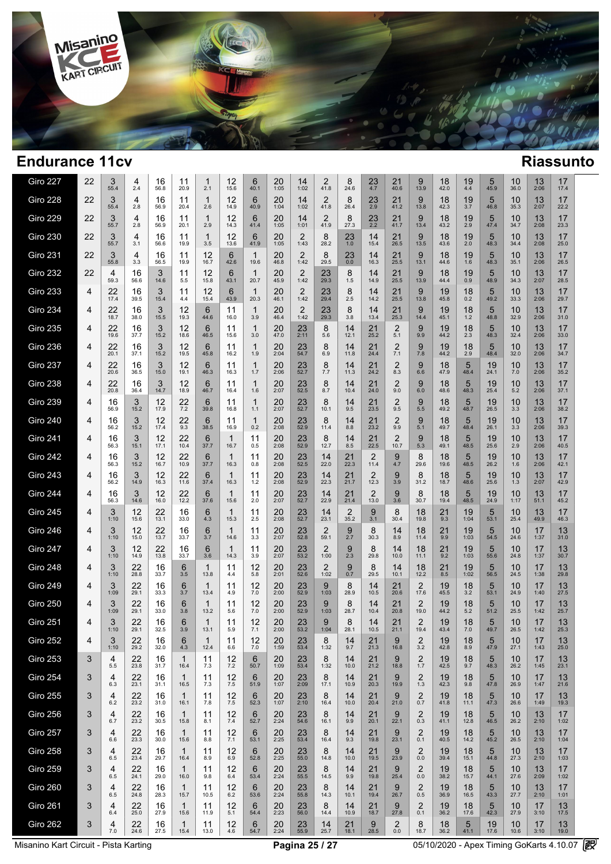

| <b>Giro 227</b> | 22 | 3<br>55.4    | 4<br>2.4       | 16<br>56.8 | 11<br>20.9           | 1<br>2.1            | 12<br>15.6 | 6<br>40.1            | 20<br>1:05     | 14<br>1:02             | 2<br>41.8              | 8<br>24.6  | 23<br>4.7     | 21<br>40.6                | 9<br>13.9              | 18<br>42.0 | 19<br>4.4   | 5<br>45.9       | 10<br>36.0 | 13<br>2:06 | 17<br>17.4 |  |
|-----------------|----|--------------|----------------|------------|----------------------|---------------------|------------|----------------------|----------------|------------------------|------------------------|------------|---------------|---------------------------|------------------------|------------|-------------|-----------------|------------|------------|------------|--|
| <b>Giro 228</b> | 22 | 3<br>55.4    | 4<br>2.8       | 16<br>56.9 | 11<br>20.4           | $\mathbf 1$<br>2.6  | 12<br>14.9 | 6<br>40.9            | 20<br>1:04     | 14<br>1:02             | 2<br>41.8              | 8<br>26.4  | $^{23}_{2.9}$ | 21<br>41.2                | 9<br>13.8              | 18<br>42.3 | 19<br>3.7   | 5<br>46.8       | 10<br>35.3 | 13<br>2:07 | 17<br>22.2 |  |
| <b>Giro 229</b> | 22 | 3<br>55.7    | 4<br>2.8       | 16<br>56.9 | 11<br>20.1           | $\mathbf 1$<br>2.9  | 12<br>14.3 | 6<br>41.4            | 20<br>1:05     | 14<br>1:01             | 2<br>41.9              | 8<br>27.3  | 23<br>2.2     | 21<br>41.7                | 9<br>13.4              | 18<br>43.2 | 19<br>2.9   | 5<br>47.4       | 10<br>34.7 | 13<br>2:08 | 17<br>23.3 |  |
| <b>Giro 230</b> | 22 | 3<br>55.7    | 4<br>3.1       | 16<br>56.6 | 11<br>19.9           | $\mathbf{1}$<br>3.5 | 12<br>13.6 | 6<br>41.9            | 20<br>1:05     | 2<br>1:43              | 8<br>28.2              | 23<br>1.0  | 14<br>15.4    | 21<br>26.5                | 9<br>13.5              | 18<br>43.6 | 19<br>2.0   | 5<br>48.3       | 10<br>34.4 | 13<br>2:08 | 17<br>25.0 |  |
| <b>Giro 231</b> | 22 | 3<br>55.8    | 4<br>3.3       | 16<br>56.5 | 11<br>19.9           | 12<br>16.7          | 6<br>42.6  | $\mathbf{1}$<br>19.6 | 20<br>46.8     | $\overline{2}$<br>1:42 | 8<br>29.5              | 23<br>0.0  | 14<br>16.3    | 21<br>25.5                | 9<br>13.1              | 18<br>44.6 | 19<br>1.6   | 5<br>48.3       | 10<br>35.1 | 13<br>2:06 | 17<br>26.5 |  |
| <b>Giro 232</b> | 22 | 4<br>59.3    | 16<br>56.6     | 3<br>14.6  | 11<br>5.5            | 12<br>15.8          | 6<br>43.1  | 1<br>20.7            | 20<br>45.9     | 2<br>1:42              | 23<br>29.3             | 8<br>1.5   | 14<br>14.9    | 21<br>25.5                | 9<br>13.9              | 18<br>44.4 | 19<br>0.9   | 5<br>48.9       | 10<br>34.3 | 13<br>2:07 | 17<br>28.5 |  |
| <b>Giro 233</b> | 4  | 22<br>17.4   | 16<br>39.5     | 3<br>15.4  | 11<br>4.4            | 12<br>15.4          | 6<br>43.9  | $\mathbf{1}$<br>20.3 | 20<br>46.1     | 2<br>1:42              | 23<br>29.4             | 8<br>2.5   | 14<br>14.2    | 21<br>25.5                | 9<br>13.8              | 19<br>45.8 | 18<br>0.2   | 5<br>49.2       | 10<br>33.3 | 13<br>2:06 | 17<br>29.7 |  |
| <b>Giro 234</b> | 4  | 22<br>18.7   | 16<br>38.0     | 3<br>15.5  | 12<br>19.3           | 6<br>44.6           | 11<br>16.0 | 1<br>3.9             | 20<br>46.4     | 2<br>1:42              | 23<br>29.3             | 8<br>3.8   | 14<br>13.4    | 21<br>25.3                | 9<br>14.4              | 19<br>45.1 | 18<br>$1.2$ | 5<br>48.8       | 10<br>32.9 | 13<br>2:06 | 17<br>31.0 |  |
| <b>Giro 235</b> | 4  | 22<br>19.6   | 16<br>37.7     | 3<br>15.2  | 12<br>18.6           | 6<br>46.5           | 11<br>15.6 | 1<br>3.0             | 20<br>47.0     | 23<br>2:11             | 8<br>5.6               | 14<br>12.1 | 21<br>25.2    | 2<br>5.1                  | 9<br>9.9               | 19<br>44.2 | 18<br>2.3   | 5<br>48.3       | 10<br>32.4 | 13<br>2:06 | 17<br>33.0 |  |
| <b>Giro 236</b> | 4  | 22<br>20.1   | 16<br>37.1     | 3<br>15.2  | 12<br>19.5           | 6<br>45.8           | 11<br>16.2 | 1<br>1.9             | 20<br>2:04     | 23<br>54.7             | 8<br>6.9               | 14<br>11.8 | 21<br>24.4    | $\overline{2}$<br>7.1     | 9<br>7.8               | 19<br>44.2 | 18<br>2.9   | 5<br>48.4       | 10<br>32.0 | 13<br>2:06 | 17<br>34.7 |  |
| <b>Giro 237</b> | 4  | 22<br>20.6   | 16<br>36.5     | 3<br>15.0  | 12<br>19.1           | 6<br>46.3           | 11<br>16.3 | 1<br>1.7             | 20<br>2:06     | 23<br>52.7             | 8<br>7.7               | 14<br>11.3 | 21<br>24.2    | 2<br>8.3                  | 9<br>6.6               | 18<br>47.9 | 5<br>48.4   | 19<br>24.1      | 10<br>7.0  | 13<br>2:06 | 17<br>35.2 |  |
| <b>Giro 238</b> | 4  | 22<br>20.8   | 16<br>36.4     | 3<br>14.7  | 12<br>18.9           | 6<br>46.7           | 11<br>16.4 | 1<br>1.6             | 20<br>2:07     | 23<br>52.5             | 8<br>8.7               | 14<br>10.4 | 21<br>24.0    | 2<br>9.0                  | 9<br>6.0               | 18<br>48.6 | 5<br>48.3   | 19<br>25.4      | 10<br>5.2  | 13<br>2:06 | 17<br>37.1 |  |
| <b>Giro 239</b> | 4  | 16<br>56.9   | 3<br>15.2      | 12<br>17.9 | 22<br>7.2            | 6<br>39.8           | 11<br>16.8 | 1<br>1.1             | 20<br>2:07     | 23<br>52.7             | 8<br>10.1              | 14<br>9.5  | 21<br>23.5    | 2<br>9.5                  | 9<br>5.5               | 18<br>49.2 | 5<br>48.7   | 19<br>26.5      | 10<br>3.3  | 13<br>2:06 | 17<br>38.2 |  |
| <b>Giro 240</b> | 4  | 16<br>56.2   | 3<br>15.2      | 12<br>17.4 | 22<br>9.3            | 6<br>38.5           | 11<br>16.9 | $\mathbf{1}$<br>0.2  | 20<br>2:08     | 23<br>52.9             | 8<br>11.4              | 14<br>8.8  | 21<br>23.2    | 2<br>9.9                  | 9<br>5.1               | 18<br>49.7 | 5<br>48.4   | 19<br>26.1      | 10<br>3.3  | 13<br>2:06 | 17<br>39.3 |  |
| <b>Giro 241</b> | 4  | 16<br>56.3   | 3<br>15.1      | 12<br>17.1 | 22<br>10.4           | 6<br>37.7           | 1<br>16.7  | 11<br>0.5            | 20<br>2:08     | 23<br>52.9             | 8<br>12.7              | 14<br>8.5  | 21<br>22.5    | 2<br>10.7                 | 9<br>5.3               | 18<br>49.1 | 5<br>48.5   | 19<br>25.6      | 10<br>2.9  | 13<br>2:06 | 17<br>40.5 |  |
| <b>Giro 242</b> | 4  | 16<br>56.3   | 3<br>15.2      | 12<br>16.7 | 22<br>10.9           | 6<br>37.7           | 1<br>16.3  | 11<br>0.8            | 20<br>2:08     | 23<br>52.5             | 14<br>22.0             | 21<br>22.3 | 2<br>11.4     | 9<br>4.7                  | 8<br>29.6              | 18<br>19.6 | 5<br>48.5   | 19<br>26.2      | 10<br>1.6  | 13<br>2:06 | 17<br>42.1 |  |
| <b>Giro 243</b> | 4  | 16<br>56.2   | 3<br>14.9      | 12<br>16.3 | 22<br>11.6           | 6<br>37.4           | 1<br>16.3  | 11<br>1.2            | 20<br>2:08     | 23<br>52.9             | 14<br>22.3             | 21<br>21.7 | 2<br>12.3     | 9<br>3.9                  | 8<br>31.2              | 18<br>18.7 | 5<br>48.6   | 19<br>25.6      | 10<br>1.3  | 13<br>2:07 | 17<br>42.9 |  |
| <b>Giro 244</b> | 4  | 16<br>56.3   | 3<br>14.6      | 12<br>16.0 | 22<br>12.2           | 6<br>37.6           | 1<br>15.6  | 11<br>2.0            | 20<br>2:07     | 23<br>52.7             | 14<br>22.9             | 21<br>21.4 | 2<br>13.0     | 9<br>3.6                  | 8<br>30.7              | 18<br>19.4 | 5<br>48.5   | 19<br>24.9      | 10<br>1:17 | 13<br>51.1 | 17<br>45.2 |  |
| <b>Giro 245</b> | 4  | 3<br>1:10    | 12<br>15.6     | 22<br>13.1 | 16<br>33.0           | 6<br>4.3            | 1<br>15.3  | 11<br>2.5            | 20<br>2:08     | 23<br>52.7             | 14<br>23.1             | 2<br>35.2  | 9<br>3.1      | 8<br>30.4                 | 18<br>19.8             | 21<br>9.3  | 19<br>1:04  | 5<br>53.1       | 10<br>25.4 | 13<br>49.9 | 17<br>46.3 |  |
| <b>Giro 246</b> | 4  | 3<br>1:10    | 12<br>15.0     | 22<br>13.7 | 16<br>33.7           | 6<br>3.7            | 1<br>14.6  | 11<br>3.3            | 20<br>2:07     | 23<br>52.8             | $\overline{2}$<br>59.1 | 9<br>2.7   | 8<br>30.3     | 14<br>8.9                 | 18<br>11.4             | 21<br>9.9  | 19<br>1:03  | 5<br>54.5       | 10<br>24.6 | 17<br>1:37 | 13<br>31.0 |  |
| <b>Giro 247</b> | 4  | 3<br>1:10    | 12<br>14.9     | 22<br>13.8 | 16<br>33.7           | 6<br>3.6            | 1<br>14.3  | 11<br>3.9            | 20<br>2:07     | 23<br>53.2             | $\overline{2}$<br>1:00 | 9<br>2.3   | 8<br>29.8     | 14<br>10.0                | 18<br>11.1             | 21<br>9.2  | 19<br>1:03  | 5<br>55.6       | 10<br>24.8 | 17<br>1:37 | 13<br>30.7 |  |
| <b>Giro 248</b> | 4  | 3<br>1:10    | 22<br>28.8     | 16<br>33.7 | 6<br>3.5             | $\mathbf 1$<br>13.8 | 11<br>4.4  | 12<br>5.8            | 20<br>2:01     | 23<br>52.6             | $\overline{2}$<br>1:02 | 9<br>0.7   | 8<br>29.5     | 14<br>10.1                | 18<br>12.2             | 21<br>8.5  | 19<br>1:02  | 5<br>56.5       | 10<br>24.5 | 17<br>1:38 | 13<br>29.8 |  |
| <b>Giro 249</b> | 4  | 3<br>1:09    | 22<br>29.1     | 16<br>33.3 | 6<br>3.7             | 1<br>13.4           | 11<br>4.9  | 12<br>7.0            | 20<br>2:00     | 23<br>52.9             | 9<br>1:03              | 8<br>28.9  | 14<br>10.5    | 21<br>20.6                | 2<br>17.6              | 19<br>45.5 | 18<br>3.2   | 5<br>53.1       | 10<br>24.9 | 17<br>1:40 | 13<br>27.5 |  |
| <b>Giro 250</b> | 4  | 3<br>1:09    | 22<br>29.1     | 16<br>33.0 | 6<br>3.8             | 1<br>13.2           | 11<br>5.6  | 12<br>7.0            | 20<br>2:00     | 23<br>52.9             | 9<br>1:03              | 8<br>28.7  | 14<br>10.4    | 21<br>20.8                | 2<br>19.0              | 19<br>44.2 | 18<br>5.2   | 5<br>51.2       | 10<br>25.5 | 17<br>1:42 | 13<br>25.7 |  |
| <b>Giro 251</b> | 4  | 3<br>1:10    | 22<br>29.1     | 16<br>32.5 | 6<br>3.9             | 1<br>13.1           | 11<br>5.9  | 12<br>7.1            | 20<br>2:00     | 23<br>53.2             | 9<br>1:04              | 8<br>28.1  | 14<br>10.5    | 21<br>21.1                | $\overline{2}$<br>19.4 | 19<br>43.4 | 18<br>7.0   | 5<br>49.7       | 10<br>26.5 | 17<br>1:42 | 13<br>25.3 |  |
| Giro 252        | 4  | 3<br>1:10    | $22$<br>$29.2$ | 16<br>32.0 | 6<br>4.3             | 1<br>12.4           | 11<br>6.6  | 12<br>7.0            | 20<br>1:59     | $23$ <sub>53.4</sub>   | 8<br>1:32              | 14<br>9.7  | 21<br>21.3    | 9<br>16.8                 | 2<br>$3.2\,$           | 19<br>42.8 | 18<br>8.9   | $\circ$<br>47.9 | 10<br>27.1 | 17<br>1:43 | 13<br>25.0 |  |
| <b>Giro 253</b> | 3  | 4<br>$5.5\,$ | 22<br>23.8     | 16<br>31.7 | $\mathbf{1}$<br>16.4 | 11<br>7.3           | 12<br>7.2  | 6<br>50.7            | 20<br>1:09     | 23<br>53.4             | 8<br>1:32              | 14<br>10.0 | 21<br>21.2    | 9<br>18.8                 | $\overline{2}$<br>1.7  | 19<br>42.5 | 18<br>9.7   | 5<br>48.3       | 10<br>26.2 | 17<br>1:45 | 13<br>23.1 |  |
| <b>Giro 254</b> | 3  | 4<br>6.3     | 22<br>23.1     | 16<br>31.1 | 1<br>16.5            | 11<br>7.3           | 12<br>7.5  | 6<br>51.9            | 20<br>1:07     | 23<br>2:09             | 8<br>17.1              | 14<br>10.9 | 21<br>20.3    | 9<br>19.9                 | $\overline{2}$<br>1.3  | 19<br>42.3 | 18<br>9.8   | 5<br>47.8       | 10<br>26.9 | 17<br>1:47 | 13<br>21.6 |  |
| <b>Giro 255</b> | 3  | 4<br>6.2     | 22<br>23.2     | 16<br>31.0 | $\mathbf{1}$<br>16.1 | 11<br>7.8           | 12<br>7.5  | 6<br>52.3            | 20<br>1:07     | 23<br>2:10             | 8<br>16.4              | 14<br>10.0 | 21<br>20.4    | 9<br>21.0                 | $\overline{c}$<br>0.7  | 19<br>41.8 | 18<br>11.1  | 5<br>47.3       | 10<br>26.6 | 17<br>1:49 | 13<br>19.3 |  |
| <b>Giro 256</b> | 3  | 4<br>6.7     | 22<br>23.2     | 16<br>30.5 | 1<br>15.8            | 11<br>8.1           | 12<br>7.4  | 6<br>52.7            | 20<br>2:24     | 23<br>54.6             | 8<br>16.1              | 14<br>9.9  | 21<br>20.1    | 9<br>22.1                 | $\overline{2}$<br>0.3  | 19<br>41.1 | 18<br>12.8  | 5<br>46.5       | 10<br>26.2 | 13<br>2:10 | 17<br>1:02 |  |
| <b>Giro 257</b> | 3  | 4<br>6.6     | 22<br>23.3     | 16<br>30.0 | $\mathbf{1}$<br>15.6 | 11<br>8.8           | 12<br>7.1  | 6<br>53.1            | 20<br>2:25     | 23<br>53.4             | 8<br>16.4              | 14<br>9.3  | 21<br>19.8    | 9<br>23.1                 | $\overline{2}$<br>0.1  | 19<br>40.5 | 18<br>14.2  | 5<br>45.2       | 10<br>26.5 | 13<br>2:10 | 17<br>1:04 |  |
| <b>Giro 258</b> | 3  | 4<br>6.5     | 22<br>23.4     | 16<br>29.7 | $\mathbf{1}$<br>16.4 | 11<br>8.9           | 12<br>6.9  | 6<br>52.8            | 20<br>2:25     | 23<br>55.0             | 8<br>14.8              | 14<br>10.0 | 21<br>19.5    | 9<br>23.9                 | $\overline{2}$<br>0.0  | 19<br>39.4 | 18<br>15.1  | 5<br>44.8       | 10<br>27.3 | 13<br>2:10 | 17<br>1:03 |  |
| <b>Giro 259</b> | 3  | 4<br>6.5     | 22<br>24.1     | 16<br>29.0 | $\mathbf{1}$<br>16.0 | 11<br>9.8           | 12<br>6.4  | 6<br>53.4            | 20<br>2:24     | 23<br>55.5             | 8<br>14.5              | 14<br>9.9  | 21<br>19.8    | 9<br>25.4                 | $\overline{c}$<br>0.0  | 19<br>38.2 | 18<br>15.7  | 5<br>44.1       | 10<br>27.6 | 13<br>2:09 | 17<br>1:02 |  |
| <b>Giro 260</b> | 3  | 4<br>6.5     | 22<br>24.8     | 16<br>28.3 | $\mathbf{1}$<br>15.7 | 11<br>10.5          | 12<br>6.2  | 6<br>53.6            | 20<br>2:24     | 23<br>55.8             | 8<br>14.3              | 14<br>10.1 | 21<br>19.4    | 9<br>26.7                 | $\overline{2}$<br>0.5  | 19<br>36.9 | 18<br>16.5  | 5<br>43.3       | 10<br>27.7 | 13<br>2:10 | 17<br>1:01 |  |
| <b>Giro 261</b> | 3  | 4<br>6.4     | 22<br>25.0     | 16<br>27.9 | $\mathbf{1}$<br>15.6 | 11<br>11.9          | 12<br>5.1  | 6<br>54.4            | 20<br>2:23     | 23<br>56.0             | 8<br>14.4              | 14<br>10.9 | 21<br>18.7    | 9<br>27.8                 | $\overline{2}$<br>0.1  | 19<br>36.2 | 18<br>17.6  | 5<br>42.3       | 10<br>27.9 | 17<br>3:10 | 13<br>17.5 |  |
| Giro 262        | 3  | 4<br>$7.0$   | 22<br>24.6     | 16<br>27.5 | $\mathbf{1}$<br>15.4 | 11<br>13.0          | 12<br>4.6  | 6<br>54.7            | $20$<br>$2:24$ | 23<br>55.9             | 14<br>25.7             | 21<br>18.1 | 9<br>28.5     | $\overline{2}$<br>$0.0\,$ | 8<br>18.7              | 18<br>36.2 | 5<br>41.1   | 19<br>17.6      | 10<br>10.6 | 17<br>3:10 | 13<br>19.0 |  |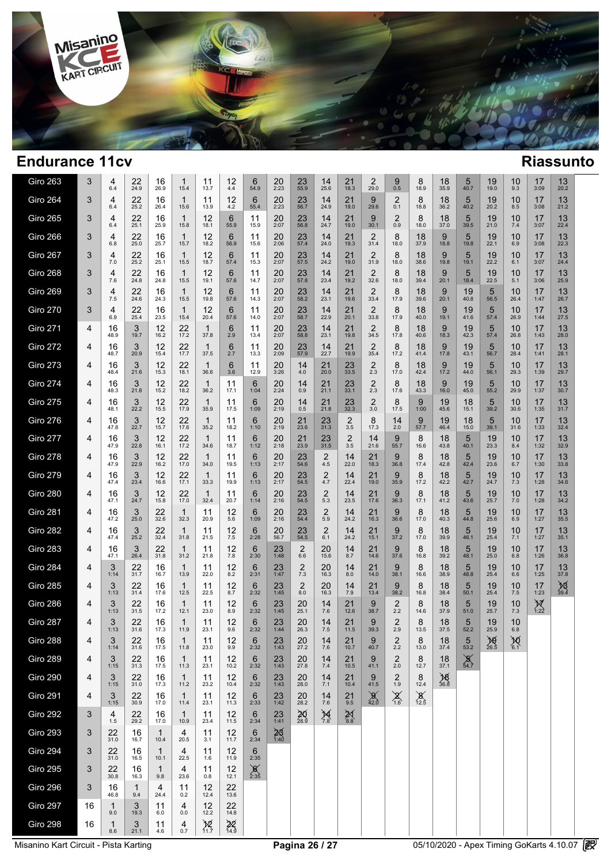

| Giro 263                              | 3  | 4<br>6.4            | 22<br>24.9          | 16<br>26.9           | $\mathbf 1$<br>15.4    | 11<br>13.7           | 12<br>4.4              | 6<br>54.9                     | 20<br>2:23           | 23<br>55.9                  | 14<br>25.6                   | 21<br>18.3                         | 2<br>29.0              | 9<br>0.5              | 8<br>18.9              | 18<br>35.9        | 5<br>40.7        | 19<br>19.0                               | 10<br>9.3     | 17<br>3:09          | 13<br>20.2        |  |
|---------------------------------------|----|---------------------|---------------------|----------------------|------------------------|----------------------|------------------------|-------------------------------|----------------------|-----------------------------|------------------------------|------------------------------------|------------------------|-----------------------|------------------------|-------------------|------------------|------------------------------------------|---------------|---------------------|-------------------|--|
| <b>Giro 264</b>                       | 3  | 4<br>6.4            | 22<br>25.2          | 16<br>26.4           | 1<br>15.6              | 11<br>13.9           | 12<br>4.2              | 6<br>55.4                     | 20<br>2:23           | 23<br>56.7                  | 14<br>24.9                   | 21<br>19.0                         | 9<br>29.6              | 2<br>0.1              | 8<br>18.8              | 18<br>36.2        | 5<br>40.2        | 19<br>20.2                               | 10<br>8.5     | 17<br>3:08          | 13<br>21.2        |  |
| <b>Giro 265</b>                       | 3  | 4<br>6.4            | 22<br>25.1          | 16<br>25.9           | $\mathbf 1$<br>15.8    | 12<br>18.1           | 6<br>55.9              | 11<br>15.9                    | 20<br>2:07           | 23<br>56.8                  | 14<br>24.7                   | 21<br>19.0                         | 9<br>30.1              | 2<br>0.9              | 8<br>18.0              | 18<br>37.0        | 5<br>39.5        | 19<br>21.0                               | 10<br>7.4     | 17<br>3:07          | 13<br>22.4        |  |
| <b>Giro 266</b>                       | 3  | 4<br>6.8            | 22<br>25.0          | 16<br>25.7           | $\mathbf 1$<br>15.7    | 12<br>18.2           | 6<br>56.9              | 11<br>15.6                    | 20<br>2:06           | 23<br>57.4                  | 14<br>24.0                   | 21<br>19.3                         | 2<br>31.4              | 8<br>18.0             | 18<br>37.9             | 9<br>18.8         | 5<br>19.8        | 19<br>22.1                               | 10<br>6.9     | 17<br>3:08          | 13<br>22.3        |  |
| <b>Giro 267</b>                       | 3  | 4<br>7.0            | 22<br>25.2          | 16<br>25.1           | $\mathbf 1$<br>15.5    | 12<br>18.7           | 6<br>57.4              | 11<br>15.3                    | 20<br>2:07           | $23$ <sub>57.5</sub>        | 14<br>24.2                   | 21<br>19.0                         | 2<br>31.9              | 8<br>18.0             | 18<br>38.6             | 9<br>19.8         | 5<br>19.1        | 19<br>22.2                               | 10<br>6.1     | 17<br>3:07          | 13<br>24.4        |  |
| <b>Giro 268</b>                       | 3  | 4<br>7.6            | 22<br>24.8          | 16<br>24.8           | -1<br>15.5             | 12<br>19.1           | 6<br>57.6              | 11<br>14.7                    | 20<br>2:07           | 23<br>57.8                  | 14<br>23.4                   | 21<br>19.2                         | 2<br>32.6              | 8<br>18.0             | 18<br>39.4             | 9<br>20.1         | 5<br>18.4        | 19<br>22.5                               | 10<br>5.1     | 17<br>3:06          | 13<br>25.9        |  |
| <b>Giro 269</b>                       | 3  | 4<br>7.5            | 22<br>24.6          | 16<br>24.3           | -1<br>15.5             | 12<br>19.8           | 6<br>57.6              | 11<br>14.3                    | 20<br>2:07           | 23<br>58.2                  | 14<br>23.1                   | 21<br>19.6                         | $\overline{2}$<br>33.4 | 8<br>17.9             | 18<br>39.6             | 9<br>20.1         | 19<br>40.8       | 5<br>56.5                                | 10<br>26.4    | 17<br>1:47          | 13<br>26.7        |  |
| <b>Giro 270</b>                       | 3  | 4<br>6.9            | 22<br>25.4          | 16<br>23.5           | -1<br>15.4             | 12<br>20.4           | 6<br>57.6              | 11<br>14.0                    | 20<br>2:07           | 23<br>58.7                  | 14<br>22.9                   | 21<br>20.1                         | 2<br>33.8              | 8<br>17.9             | 18<br>40.0             | 9<br>19.1         | 19<br>41.6       | 5<br>57.4                                | 10<br>26.9    | 17<br>1:44          | 13<br>27.5        |  |
| <b>Giro 271</b>                       | 4  | 16<br>48.9          | 3<br>19.7           | 12<br>16.2           | 22<br>17.2             | $\mathbf 1$<br>37.8  | 6<br>2.9               | 11<br>13.4                    | 20<br>2:07           | 23<br>58.8                  | 14<br>23.1                   | 21<br>19.8                         | $\overline{2}$<br>34.5 | 8<br>17.8             | 18<br>40.6             | 9<br>18.3         | 19<br>42.3       | 5<br>57.4                                | 10<br>26.8    | 17<br>1:43          | 13<br>28.0        |  |
| <b>Giro 272</b>                       | 4  | 16<br>48.7          | 3<br>20.9           | 12<br>15.4           | 22<br>17.7             | $\mathbf 1$<br>37.5  | 6<br>2.7               | 11<br>13.3                    | 20<br>2:09           | 23<br>57.9                  | 14<br>22.7                   | 21<br>19.9                         | 2<br>35.4              | 8<br>17.2             | 18<br>41.4             | 9<br>17.8         | 19<br>43.1       | 5<br>56.7                                | 10<br>28.4    | 17<br>1:41          | 13<br>28.1        |  |
| <b>Giro 273</b>                       | 4  | 16<br>48.4          | 3<br>21.6           | 12<br>15.3           | 22<br>18.1             | $\mathbf{1}$<br>36.6 | 6<br>3.6               | 11<br>12.9                    | 20<br>3:26           | 14<br>4.0                   | 21<br>20.0                   | 23<br>33.5                         | $\overline{2}$<br>2.3  | 8<br>17.0             | 18<br>42.4             | 9<br>17.2         | 19<br>44.0       | 5<br>56.1                                | 10<br>29.3    | 17<br>1:39          | 13<br>29.7        |  |
| <b>Giro 274</b>                       | 4  | 16<br>48.3          | 3<br>21.8           | 12<br>15.2           | 22<br>18.2             | -1<br>36.2           | 11<br>17.1             | 6<br>1:04                     | 20<br>2:24           | 14<br>0.9                   | 21<br>21.1                   | 23<br>33.1                         | $\overline{2}$<br>2.3  | 8<br>17.6             | 18<br>43.3             | 9<br>16.0         | 19<br>45.0       | 5<br>55.2                                | 10<br>29.9    | 17<br>1:37          | 13<br>30.7        |  |
| <b>Giro 275</b>                       | 4  | 16<br>48.1          | 3<br>22.2           | 12<br>15.5           | 22<br>17.9             | -1<br>35.9           | 11<br>17.5             | 6<br>1:09                     | 20<br>2:19           | 14<br>0.5                   | 21<br>21.8                   | 23<br>32.3                         | $\overline{2}$<br>3.0  | 8<br>17.5             | 9<br>1:00              | 19<br>45.6        | 18<br>15.1       | 5<br>39.2                                | 10<br>30.6    | 17<br>1:35          | 13<br>31.7        |  |
| <b>Giro 276</b>                       | 4  | 16<br>47.8          | 3<br>22.7           | 12<br>15.7           | 22<br>17.6             | -1<br>35.2           | 11<br>18.2             | 6<br>1:10                     | 20<br>2:19           | 21<br>23.6                  | 23<br>31.3                   | 2<br>3.5                           | 8<br>17.3              | 14<br>2.0             | 9<br>57.7              | 19<br>46.4        | 18<br>15.0       | 5<br>39.1                                | 10<br>31.6    | 17<br>1:33          | 13<br>32.4        |  |
| <b>Giro 277</b>                       | 4  | 16<br>47.9          | 3<br>22.8           | 12<br>16.1           | 22<br>17.2             | -1<br>34.6           | 11<br>18.7             | 6<br>1:12                     | 20<br>2:18           | 21<br>23.9                  | 23<br>31.5                   | 2<br>3.5                           | 14<br>21.6             | 9<br>55.7             | 8<br>16.6              | 18<br>43.8        | 5<br>40.1        | 19<br>23.3                               | 10<br>8.4     | 17<br>1:32          | 13<br>32.9        |  |
| <b>Giro 278</b>                       | 4  | 16<br>47.9          | 3<br>22.9           | 12<br>16.2           | 22<br>17.0             | -1<br>34.0           | 11<br>19.5             | 6<br>1:13                     | 20<br>2:17           | 23<br>54.6                  | 2<br>4.5                     | 14<br>22.0                         | 21<br>18.3             | 9<br>36.8             | 8<br>17.4              | 18<br>42.8        | 5<br>42.4        | 19<br>23.6                               | 10<br>6.7     | 17<br>1:30          | 13<br>33.8        |  |
| <b>Giro 279</b>                       | 4  | 16<br>47.4          | 3<br>23.4           | 12<br>16.6           | 22<br>17.1             | -1<br>33.3           | 11<br>19.9             | 6<br>1:13                     | 20<br>2:17           | 23<br>54.5                  | $\overline{2}$<br>4.7        | 14<br>22.4                         | 21<br>19.0             | -9<br>35.9            | 8<br>17.2              | 18<br>42.2        | 5<br>42.7        | 19<br>24.7                               | 10<br>7.3     | 17<br>1:28          | 13<br>34.6        |  |
| <b>Giro 280</b>                       | 4  | 16<br>47.1          | 3<br>24.7           | 12<br>15.8           | 22<br>17.0             | -1<br>32.4           | 11<br>20.7             | 6<br>1:14                     | 20<br>2:16           | 23<br>54.5                  | 2<br>5.3                     | 14<br>23.5                         | 21<br>17.6             | -9<br>36.3            | 8<br>17.1              | 18<br>41.2        | 5<br>43.6        | 19<br>25.7                               | 10<br>7.0     | 17<br>1:28          | 13<br>34.2        |  |
| <b>Giro 281</b>                       | 4  | 16<br>47.2          | 3<br>25.0           | 22<br>32.6           | $\mathbf{1}$<br>32.3   | 11<br>20.9           | 12<br>5.6              | 6<br>1:09                     | 20<br>2:16           | 23<br>54.4                  | 2<br>5.9                     | 14<br>24.2                         | 21<br>16.3             | -9<br>36.6            | 8<br>17.0              | 18<br>40.3        | 5<br>44.8        | 19<br>25.6                               | 10<br>6.9     | 17<br>1:27          | 13<br>35.5        |  |
| <b>Giro 282</b>                       | 4  | 16<br>47.4          | 3<br>25.2           | 22<br>32.4           | -1<br>31.8             | 11<br>21.5           | 12<br>7.5              | 6<br>2:28                     | 20<br>56.7           | 23<br>54.5                  | 2<br>6.1                     | 14<br>24.2                         | 21<br>15.1             | -9<br>37.2            | 8<br>17.0              | 18<br>39.9        | 5<br>46.1        | 19<br>25.4                               | 10<br>7.1     | 17<br>1:27          | 13<br>35.1        |  |
| <b>Giro 283</b>                       | 4  | 16<br>47.1          | 3<br>26.4           | 22<br>31.8           | -1<br>31.2             | 11<br>21.8           | 12<br>7.8              | 6<br>2:30                     | 23<br>1:48           | $\overline{2}$<br>6.6       | 20<br>15.6                   | 14<br>8.7                          | 21<br>14.6             | -9<br>37.6            | 8<br>16.8              | 18<br>39.2        | 5<br>48.1        | 19<br>25.0                               | 10<br>6.8     | 17<br>1:26          | 13<br>36.8        |  |
| <b>Giro 284</b>                       | 4  | 3<br>1:14           | 22<br>31.7          | 16<br>16.7           | -1<br>13.9             | 11<br>22.0           | 12<br>8.2              | 6<br>2:31                     | 23<br>1:47           | 2<br>7.3                    | 20<br>16.3                   | 14<br>8.0                          | 21<br>14.0             | -9<br>38.1            | 8<br>16.6              | 18<br>38.9        | 5<br>48.8        | 19<br>25.4                               | 10<br>6.6     | 17<br>1:25          | 13<br>37.8        |  |
| <b>Giro 285</b>                       | 4  | 3<br>1:13           | 22<br>31.4          | 16<br>17.6           | -1<br>12.5             | 11<br>22.5           | 12<br>8.7              | 6<br>2:32                     | 23<br>1:45           | $\overline{2}$<br>8.0       | 20<br>16.3                   | 14<br>7.9                          | 21<br>13.4             | -9<br>38.2            | 8<br>16.8              | 18<br>38.4        | 5<br>50.1        | 19<br>25.4                               | 10<br>7.5     | 17<br>1:23          | $\frac{18}{39.4}$ |  |
| <b>Giro 286</b>                       | 4  | 3<br>1:13           | 22<br>31.5          | 16<br>17.2           | -1<br>12.1             | 11<br>23.0           | 12<br>8.9              | 6<br>2:32                     | 23<br>1:45           | 20<br>25.1                  | 14<br>7.6                    | 21<br>12.6                         | 9<br>38.7              | 2<br>2.2              | 8<br>14.6              | 18<br>37.9        | 5<br>51.0        | 19<br>25.7                               | 10<br>7.3     | $\mathbb{X}_{1:22}$ |                   |  |
| <b>Giro 287</b>                       | 4  | 3<br>1:13           | 22<br>31.6          | 16<br>17.3           | 1<br>11.9              | 11<br>23.1           | 12<br>9.6              | 6<br>2:32                     | 23<br>1:44           | 20<br>26.3                  | 14<br>7.5                    | 21<br>11.5                         | 9<br>39.3              | $\overline{2}$<br>2.9 | 8<br>13.5              | 18<br>37.5        | 5<br>52.2        | 19<br>25.9                               | 10<br>6.8     |                     |                   |  |
| Giro 288                              | 4  | $3$ <sub>1:14</sub> | $22$<br>31.6        | $16$ <sub>17.5</sub> | $\mathbf{1}$<br>11.8   | 11<br>23.0           | $12_{9.9}$             | $6_{2:32}$                    | $23$ <sub>1:43</sub> | $20$<br>27.2                | $14 \atop 7.6$               | $21$<br>10.7                       | $9\n40.7$              | $2 \choose 2.2$       | 8<br>13.0              | $18 \over 37.4$   | $\frac{5}{53.2}$ | 26.5                                     | $^{10}_{6.1}$ |                     |                   |  |
| <b>Giro 289</b>                       | 4  | 3<br>1:15           | $22$<br>31.3        | 16<br>17.5           | $\overline{1}$<br>11.3 | 11<br>23.1           | $12 \atop 10.2$        | 6<br>2:32                     | $23$ <sub>1:43</sub> | $\mathop{20}\limits_{27.8}$ | $\frac{14}{7.4}$             | $21$<br>10.5                       | $9\n41.1$              | $2 \atop 2.0$         | 8<br>12.7              | $18_{37.1}$       | $\frac{6}{54.7}$ |                                          |               |                     |                   |  |
| <b>Giro 290</b>                       | 4  | $3$ <sub>1:15</sub> | $22$<br>31.0        | $\frac{16}{17.3}$    | 1/1.2                  | $11$<br>$23.2$       | $12$<br>10.4           | $6_{2:32}$                    | $23$ <sub>1:43</sub> | $^{20}_{28.0}$              | $14 \atop 7.1$               | $21$<br>10.4                       | $9\n41.5$              | $^{2}_{1.9}$          | $8_{12.4}$             | $\frac{18}{36.8}$ |                  |                                          |               |                     |                   |  |
| <b>Giro 291</b>                       | 4  | $3$ <sub>1:15</sub> | $22$<br>30.9        | $16$ <sub>17.0</sub> | $\frac{1}{11.4}$       | $11$ <sub>23.1</sub> | $12 \atop 11.3$        | $6 \atop 2:33$                | $23$ <sub>1:42</sub> | $^{20}_{28.2}$              | $14 \atop 7.6$               | $^{21}_{9.5}$                      | $\frac{9}{42.0}$       | $X_{1.6}$             | $\chi$ <sup>12.5</sup> |                   |                  |                                          |               |                     |                   |  |
| Giro 292                              | 3  | $\frac{4}{1.5}$     | $22$<br>$29.2$      | $16$ <sub>17.0</sub> | $\overline{1}$<br>10.9 | $11$ <sub>23.4</sub> | $12 \atop 11.5}$       | $6$ <sub>2:34</sub>           | $23$ <sub>1:41</sub> | $\frac{20}{28.9}$           | $\underset{7.8}{\cancel{4}}$ | $\underset{8.8}{\cancel{\approx}}$ |                        |                       |                        |                   |                  |                                          |               |                     |                   |  |
| Giro 293                              | 3  | 22<br>31.0          | 16<br>16.7          | $\mathbf{1}$<br>10.4 | 4<br>20.5              | 11<br>3.1            | $12$<br>11.7           | $6\phantom{1}6$<br>2:34       | $\frac{25}{1:40}$    |                             |                              |                                    |                        |                       |                        |                   |                  |                                          |               |                     |                   |  |
| <b>Giro 294</b>                       | 3  | $22$<br>31.0        | $16 \over 16.5$     | $\mathbf{1}$<br>10.1 | $\frac{4}{22.5}$       | $11$<br>$1.6$        | $12 \atop 11.9$        | $6_{2:35}$                    |                      |                             |                              |                                    |                        |                       |                        |                   |                  |                                          |               |                     |                   |  |
| Giro 295                              | 3  | $22$<br>30.8        | $16_{16.3}$         | $\mathbf{1}$<br>9.8  | $\frac{4}{23.6}$       | $\frac{11}{0.8}$     | $12$<br>12.1           | $\underset{2:35}{\cancel{6}}$ |                      |                             |                              |                                    |                        |                       |                        |                   |                  |                                          |               |                     |                   |  |
| Giro 296                              | 3  | 16<br>46.8          | $\mathbf{1}$<br>9.4 | 4<br>24.4            | 11<br>0.2              | $12$<br>$12.4$       | $22$<br>13.6           |                               |                      |                             |                              |                                    |                        |                       |                        |                   |                  |                                          |               |                     |                   |  |
| <b>Giro 297</b>                       | 16 | 9.0                 | 3<br>19.3           | 11<br>6.0            | 4<br>$0.0\,$           | $12$<br>12.2         | $22$<br>14.8           |                               |                      |                             |                              |                                    |                        |                       |                        |                   |                  |                                          |               |                     |                   |  |
| Giro 298                              | 16 | $\mathbf{1}$<br>8.6 | $3$ <sub>21.1</sub> | 11<br>4.6            | $^{4}_{0.7}$           | $\sum_{11.7}$        | $\frac{2}{\sqrt{4.9}}$ |                               |                      |                             |                              |                                    |                        |                       |                        |                   |                  |                                          |               |                     |                   |  |
| Misanino Kart Circuit - Pista Karting |    |                     |                     |                      |                        |                      |                        |                               |                      | Pagina 26 / 27              |                              |                                    |                        |                       |                        |                   |                  | 05/10/2020 - Apex Timing GoKarts 4.10.07 |               |                     |                   |  |